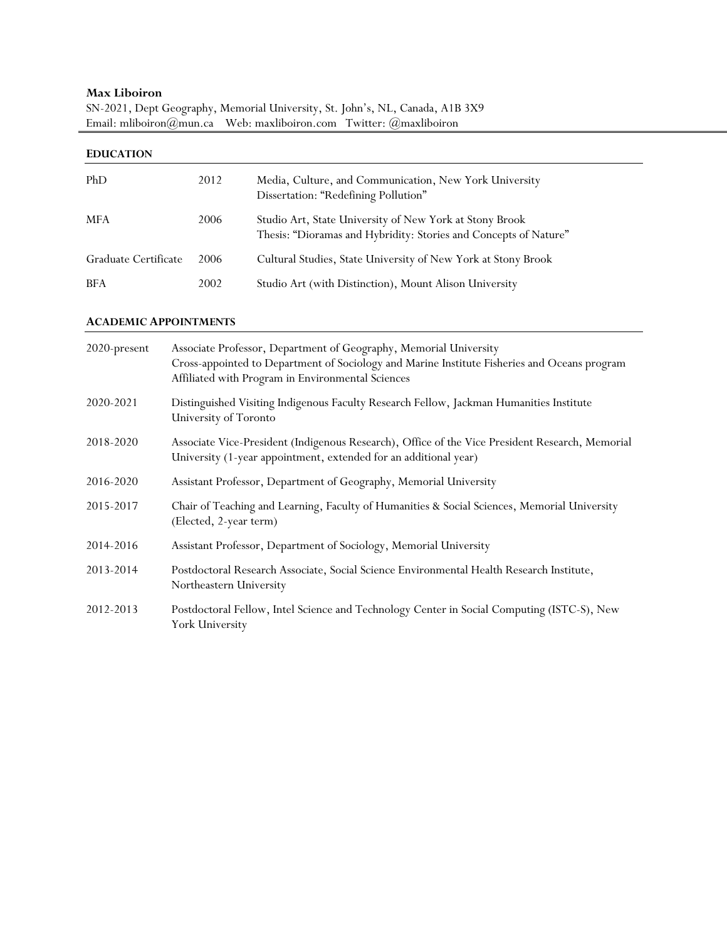# **Max Liboiron**

|                                                                                             | SN-2021, Dept Geography, Memorial University, St. John's, NL, Canada, A1B 3X9 |
|---------------------------------------------------------------------------------------------|-------------------------------------------------------------------------------|
| Email: mliboiron $(\partial)$ mun.ca Web: maxliboiron.com Twitter: $(\partial)$ maxliboiron |                                                                               |

| <b>EDUCATION</b>     |      |                                                                                                                             |  |  |
|----------------------|------|-----------------------------------------------------------------------------------------------------------------------------|--|--|
| PhD                  | 2012 | Media, Culture, and Communication, New York University<br>Dissertation: "Redefining Pollution"                              |  |  |
| <b>MFA</b>           | 2006 | Studio Art, State University of New York at Stony Brook<br>Thesis: "Dioramas and Hybridity: Stories and Concepts of Nature" |  |  |
| Graduate Certificate | 2006 | Cultural Studies, State University of New York at Stony Brook                                                               |  |  |
| <b>BFA</b>           | 2002 | Studio Art (with Distinction), Mount Alison University                                                                      |  |  |

### **ACADEMIC APPOINTMENTS**

| 2020-present | Associate Professor, Department of Geography, Memorial University<br>Cross-appointed to Department of Sociology and Marine Institute Fisheries and Oceans program<br>Affiliated with Program in Environmental Sciences |
|--------------|------------------------------------------------------------------------------------------------------------------------------------------------------------------------------------------------------------------------|
| 2020-2021    | Distinguished Visiting Indigenous Faculty Research Fellow, Jackman Humanities Institute<br>University of Toronto                                                                                                       |
| 2018-2020    | Associate Vice-President (Indigenous Research), Office of the Vice President Research, Memorial<br>University (1-year appointment, extended for an additional year)                                                    |
| 2016-2020    | Assistant Professor, Department of Geography, Memorial University                                                                                                                                                      |
| 2015-2017    | Chair of Teaching and Learning, Faculty of Humanities & Social Sciences, Memorial University<br>(Elected, 2-year term)                                                                                                 |
| 2014-2016    | Assistant Professor, Department of Sociology, Memorial University                                                                                                                                                      |
| 2013-2014    | Postdoctoral Research Associate, Social Science Environmental Health Research Institute,<br>Northeastern University                                                                                                    |
| 2012-2013    | Postdoctoral Fellow, Intel Science and Technology Center in Social Computing (ISTC-S), New<br>York University                                                                                                          |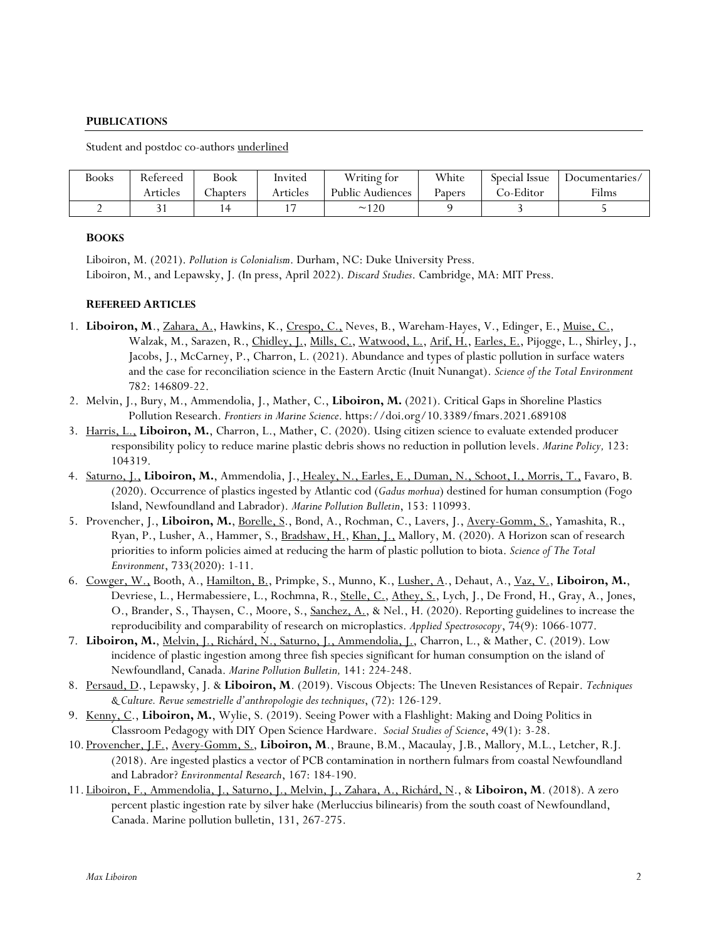### **PUBLICATIONS**

Student and postdoc co-authors underlined

| <b>Books</b> | Refereed | Book    | Invited  | Writing for      | White  | Special Issue | Documentaries/ |
|--------------|----------|---------|----------|------------------|--------|---------------|----------------|
|              | Articles | hapters | Articles | Public Audiences | Papers | Co-Editor     | Films          |
|              |          |         |          | $\sim$ 120       |        |               |                |

#### **BOOKS**

Liboiron, M. (2021). *Pollution is Colonialism*. Durham, NC: Duke University Press. Liboiron, M., and Lepawsky, J. (In press, April 2022). *Discard Studies*. Cambridge, MA: MIT Press.

### **REFEREED ARTICLES**

- 1. Liboiron, M., Zahara, A., Hawkins, K., Crespo, C., Neves, B., Wareham-Hayes, V., Edinger, E., Muise, C., Walzak, M., Sarazen, R., Chidley, J., Mills, C., Watwood, L., Arif, H., Earles, E., Pijogge, L., Shirley, J., Jacobs, J., McCarney, P., Charron, L. (2021). Abundance and types of plastic pollution in surface waters and the case for reconciliation science in the Eastern Arctic (Inuit Nunangat). *Science of the Total Environment* 782: 146809-22.
- 2. Melvin, J., Bury, M., Ammendolia, J., Mather, C., **Liboiron, M.** (2021). Critical Gaps in Shoreline Plastics Pollution Research. *Frontiers in Marine Science*. https://doi.org/10.3389/fmars.2021.689108
- 3. Harris, L., **Liboiron, M.**, Charron, L., Mather, C. (2020). Using citizen science to evaluate extended producer responsibility policy to reduce marine plastic debris shows no reduction in pollution levels. *Marine Policy,* 123: 104319.
- 4. Saturno, J., **Liboiron, M.**, Ammendolia, J., Healey, N., Earles, E., Duman, N., Schoot, I., Morris, T., Favaro, B. (2020). Occurrence of plastics ingested by Atlantic cod (*Gadus morhua*) destined for human consumption (Fogo Island, Newfoundland and Labrador). *Marine Pollution Bulletin*, 153: 110993.
- 5. Provencher, J., **Liboiron, M.**, Borelle, S., Bond, A., Rochman, C., Lavers, J., Avery-Gomm, S., Yamashita, R., Ryan, P., Lusher, A., Hammer, S., Bradshaw, H., Khan, J., Mallory, M. (2020). A Horizon scan of research priorities to inform policies aimed at reducing the harm of plastic pollution to biota. *Science of The Total Environment*, 733(2020): 1-11.
- 6. Cowger, W., Booth, A., Hamilton, B., Primpke, S., Munno, K., Lusher, A., Dehaut, A., Vaz, V., **Liboiron, M.**, Devriese, L., Hermabessiere, L., Rochmna, R., Stelle, C., Athey, S., Lych, J., De Frond, H., Gray, A., Jones, O., Brander, S., Thaysen, C., Moore, S., Sanchez, A., & Nel., H. (2020). Reporting guidelines to increase the reproducibility and comparability of research on microplastics. *Applied Spectrosocopy*, 74(9): 1066-1077.
- 7. **Liboiron, M.**, Melvin, J., Richárd, N., Saturno, J., Ammendolia, J., Charron, L., & Mather, C. (2019). Low incidence of plastic ingestion among three fish species significant for human consumption on the island of Newfoundland, Canada. *Marine Pollution Bulletin,* 141: 224-248.
- 8. Persaud, D., Lepawsky, J. & **Liboiron, M**. (2019). Viscous Objects: The Uneven Resistances of Repair. *Techniques & Culture. Revue semestrielle d'anthropologie des techniques*, (72): 126-129.
- 9. Kenny, C., **Liboiron, M.**, Wylie, S. (2019). Seeing Power with a Flashlight: Making and Doing Politics in Classroom Pedagogy with DIY Open Science Hardware. *Social Studies of Science*, 49(1): 3-28.
- 10. Provencher, J.F., Avery-Gomm, S., **Liboiron, M**., Braune, B.M., Macaulay, J.B., Mallory, M.L., Letcher, R.J. (2018). Are ingested plastics a vector of PCB contamination in northern fulmars from coastal Newfoundland and Labrador? *Environmental Research*, 167: 184-190.
- 11. Liboiron, F., Ammendolia, J., Saturno, J., Melvin, J., Zahara, A., Richárd, N., & **Liboiron, M**. (2018). A zero percent plastic ingestion rate by silver hake (Merluccius bilinearis) from the south coast of Newfoundland, Canada. Marine pollution bulletin, 131, 267-275.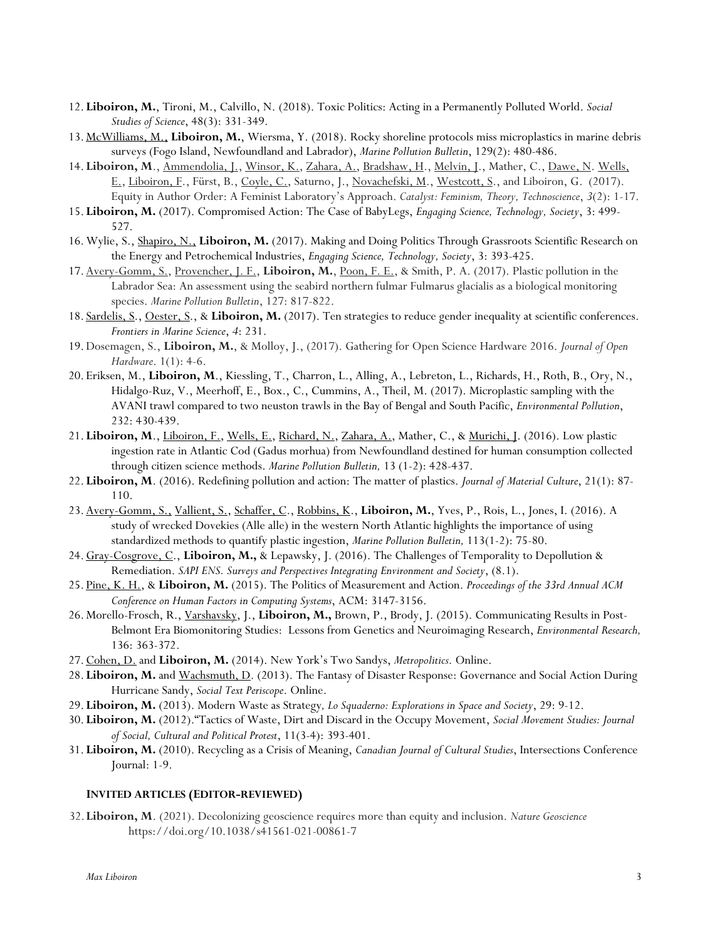- 12.**Liboiron, M.**, Tironi, M., Calvillo, N. (2018). Toxic Politics: Acting in a Permanently Polluted World. *Social Studies of Science*, 48(3): 331-349.
- 13.McWilliams, M., **Liboiron, M.**, Wiersma, Y. (2018). Rocky shoreline protocols miss microplastics in marine debris surveys (Fogo Island, Newfoundland and Labrador), *Marine Pollution Bulletin*, 129(2): 480-486.
- 14.**Liboiron, M**., Ammendolia, J., Winsor, K., Zahara, A., Bradshaw, H., Melvin, J., Mather, C., Dawe, N. Wells, E., Liboiron, F., Fürst, B., Coyle, C., Saturno, J., Novachefski, M., Westcott, S., and Liboiron, G. (2017). Equity in Author Order: A Feminist Laboratory's Approach. *Catalyst: Feminism, Theory, Technoscience*, *3*(2): 1-17.
- 15.**Liboiron, M.** (2017). Compromised Action: The Case of BabyLegs, *Engaging Science, Technology, Society*, 3: 499- 527.
- 16.Wylie, S., Shapiro, N., **Liboiron, M.** (2017). Making and Doing Politics Through Grassroots Scientific Research on the Energy and Petrochemical Industries, *Engaging Science, Technology, Society*, 3: 393-425.
- 17.Avery-Gomm, S., Provencher, J. F., **Liboiron, M.**, Poon, F. E., & Smith, P. A. (2017). Plastic pollution in the Labrador Sea: An assessment using the seabird northern fulmar Fulmarus glacialis as a biological monitoring species. *Marine Pollution Bulletin*, 127: 817-822.
- 18. Sardelis, S., Oester, S., & **Liboiron, M.** (2017). Ten strategies to reduce gender inequality at scientific conferences. *Frontiers in Marine Science*, *4*: 231.
- 19.Dosemagen, S., **Liboiron, M.**, & Molloy, J., (2017). Gathering for Open Science Hardware 2016. *Journal of Open Hardware*. 1(1): 4-6.
- 20.Eriksen, M., **Liboiron, M**., Kiessling, T., Charron, L., Alling, A., Lebreton, L., Richards, H., Roth, B., Ory, N., Hidalgo-Ruz, V., Meerhoff, E., Box., C., Cummins, A., Theil, M. (2017). Microplastic sampling with the AVANI trawl compared to two neuston trawls in the Bay of Bengal and South Pacific, *Environmental Pollution*, 232: 430-439.
- 21.**Liboiron, M**., Liboiron, F., Wells, E., Richard, N., Zahara, A., Mather, C., & Murichi, J. (2016). Low plastic ingestion rate in Atlantic Cod (Gadus morhua) from Newfoundland destined for human consumption collected through citizen science methods. *Marine Pollution Bulletin,* 13 (1-2): 428-437.
- 22.**Liboiron, M**. (2016). Redefining pollution and action: The matter of plastics. *Journal of Material Culture*, 21(1): 87- 110.
- 23.Avery-Gomm, S., Vallient, S., Schaffer, C., Robbins, K., **Liboiron, M.**, Yves, P., Rois, L., Jones, I. (2016). A study of wrecked Dovekies (Alle alle) in the western North Atlantic highlights the importance of using standardized methods to quantify plastic ingestion, *Marine Pollution Bulletin,* 113(1-2): 75-80.
- 24.Gray-Cosgrove, C., **Liboiron, M.,** & Lepawsky, J. (2016). The Challenges of Temporality to Depollution & Remediation. *SAPI ENS. Surveys and Perspectives Integrating Environment and Society*, (8.1).
- 25. Pine, K. H., & **Liboiron, M.** (2015). The Politics of Measurement and Action. *Proceedings of the 33rd Annual ACM Conference on Human Factors in Computing Systems*, ACM: 3147-3156.
- 26.Morello-Frosch, R., Varshavsky, J., **Liboiron, M.,** Brown, P., Brody, J. (2015). Communicating Results in Post-Belmont Era Biomonitoring Studies: Lessons from Genetics and Neuroimaging Research, *Environmental Research,* 136: 363-372.
- 27.Cohen, D. and **Liboiron, M.** (2014). New York's Two Sandys, *Metropolitics*. Online.
- 28. Liboiron, M. and Wachsmuth, D. (2013). The Fantasy of Disaster Response: Governance and Social Action During Hurricane Sandy, *Social Text Periscope*. Online.
- 29.**Liboiron, M.** (2013). Modern Waste as Strategy*, Lo Squaderno: Explorations in Space and Society*, 29: 9-12.
- 30.**Liboiron, M.** (2012)."Tactics of Waste, Dirt and Discard in the Occupy Movement, *Social Movement Studies: Journal of Social, Cultural and Political Protest*, 11(3-4): 393-401.
- 31.**Liboiron, M.** (2010). Recycling as a Crisis of Meaning, *Canadian Journal of Cultural Studies*, Intersections Conference Journal: 1-9.

#### **INVITED ARTICLES (EDITOR-REVIEWED)**

32.**Liboiron, M**. (2021). Decolonizing geoscience requires more than equity and inclusion. *Nature Geoscience* https://doi.org/10.1038/s41561-021-00861-7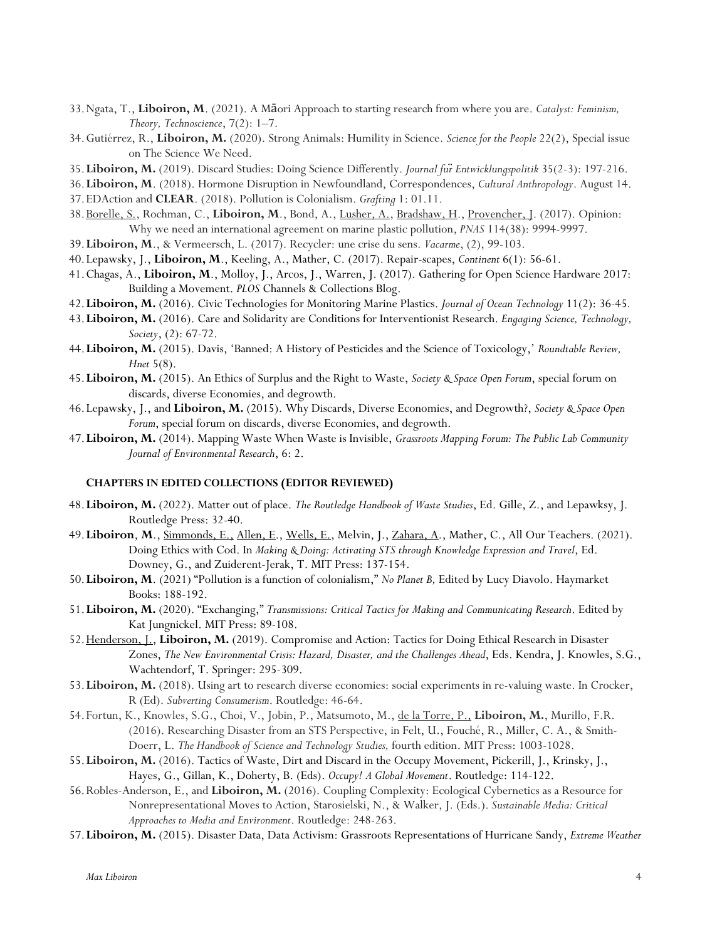- 33.Ngata, T., **Liboiron, M**. (2021). A Māori Approach to starting research from where you are. *Catalyst: Feminism, Theory, Technoscience*, 7(2): 1–7.
- 34.Gutiérrez, R., **Liboiron, M.** (2020). Strong Animals: Humility in Science. *Science for the People* 22(2), Special issue on The Science We Need.
- 35.**Liboiron, M.** (2019). Discard Studies: Doing Science Differently. *Journal für Entwicklungspolitik* 35(2-3): 197-216.
- 36.**Liboiron, M**. (2018). Hormone Disruption in Newfoundland, Correspondences, *Cultural Anthropology*. August 14. 37.EDAction and **CLEAR**. (2018). Pollution is Colonialism. *Grafting* 1: 01.11.
- 38.Borelle, S., Rochman, C., **Liboiron, M**., Bond, A., Lusher, A., Bradshaw, H., Provencher, J. (2017). Opinion: Why we need an international agreement on marine plastic pollution, *PNAS* 114(38): 9994-9997.
- 39.**Liboiron, M**., & Vermeersch, L. (2017). Recycler: une crise du sens. *Vacarme*, (2), 99-103.
- 40.Lepawsky, J., **Liboiron, M**., Keeling, A., Mather, C. (2017). Repair-scapes, *Continent* 6(1): 56-61.
- 41.Chagas, A., **Liboiron, M**., Molloy, J., Arcos, J., Warren, J. (2017). Gathering for Open Science Hardware 2017: Building a Movement. *PLOS* Channels & Collections Blog.
- 42.**Liboiron, M.** (2016). Civic Technologies for Monitoring Marine Plastics. *Journal of Ocean Technology* 11(2): 36-45*.*
- 43.**Liboiron, M.** (2016). Care and Solidarity are Conditions for Interventionist Research. *Engaging Science, Technology, Society*, (2): 67-72.
- 44.**Liboiron, M.** (2015). Davis, 'Banned: A History of Pesticides and the Science of Toxicology,' *Roundtable Review, Hnet* 5(8).
- 45.**Liboiron, M.** (2015). An Ethics of Surplus and the Right to Waste, *Society & Space Open Forum*, special forum on discards, diverse Economies, and degrowth.
- 46.Lepawsky, J., and **Liboiron, M.** (2015). Why Discards, Diverse Economies, and Degrowth?, *Society & Space Open Forum*, special forum on discards, diverse Economies, and degrowth.
- 47.**Liboiron, M.** (2014). Mapping Waste When Waste is Invisible, *Grassroots Mapping Forum: The Public Lab Community Journal of Environmental Research*, 6: 2.

### **CHAPTERS IN EDITED COLLECTIONS (EDITOR REVIEWED)**

- 48.**Liboiron, M.** (2022). Matter out of place. *The Routledge Handbook of Waste Studies*, Ed. Gille, Z., and Lepawksy, J. Routledge Press: 32-40.
- 49.**Liboiron**, **M**., Simmonds, E., Allen, E., Wells, E., Melvin, J., Zahara, A., Mather, C., All Our Teachers. (2021). Doing Ethics with Cod. In *Making & Doing: Activating STS through Knowledge Expression and Travel*, Ed. Downey, G., and Zuiderent-Jerak, T. MIT Press: 137-154.
- 50.**Liboiron, M**. (2021) "Pollution is a function of colonialism," *No Planet B,* Edited by Lucy Diavolo. Haymarket Books: 188-192.
- 51.**Liboiron, M.** (2020). "Exchanging," *Transmissions: Critical Tactics for Making and Communicating Research*. Edited by Kat Jungnickel. MIT Press: 89-108.
- 52.Henderson, J., **Liboiron, M.** (2019). Compromise and Action: Tactics for Doing Ethical Research in Disaster Zones, *The New Environmental Crisis: Hazard, Disaster, and the Challenges Ahead*, Eds. Kendra, J. Knowles, S.G., Wachtendorf, T. Springer: 295-309.
- 53.**Liboiron, M.** (2018). Using art to research diverse economies: social experiments in re-valuing waste. In Crocker, R (Ed). *Subverting Consumerism*. Routledge: 46-64.
- 54.Fortun, K., Knowles, S.G., Choi, V., Jobin, P., Matsumoto, M., de la Torre, P., **Liboiron, M.**, Murillo, F.R. (2016). Researching Disaster from an STS Perspective, in Felt, U., Fouché, R., Miller, C. A., & Smith-Doerr, L. *The Handbook of Science and Technology Studies,* fourth edition. MIT Press: 1003-1028.
- 55.**Liboiron, M.** (2016). Tactics of Waste, Dirt and Discard in the Occupy Movement, Pickerill, J., Krinsky, J., Hayes, G., Gillan, K., Doherty, B. (Eds). *Occupy! A Global Movement*. Routledge: 114-122.
- 56.Robles-Anderson, E., and **Liboiron, M.** (2016). Coupling Complexity: Ecological Cybernetics as a Resource for Nonrepresentational Moves to Action, Starosielski, N., & Walker, J. (Eds.). *Sustainable Media: Critical Approaches to Media and Environment*. Routledge: 248-263.
- 57.**Liboiron, M.** (2015). Disaster Data, Data Activism: Grassroots Representations of Hurricane Sandy, *Extreme Weather*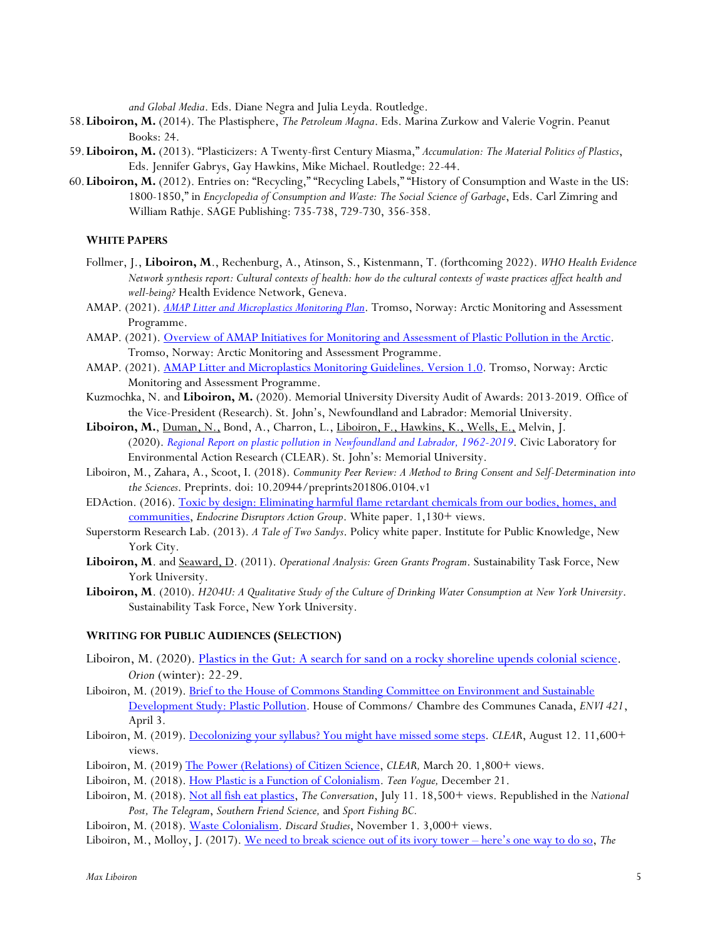*and Global Media*. Eds. Diane Negra and Julia Leyda. Routledge.

- 58.**Liboiron, M.** (2014). The Plastisphere, *The Petroleum Magna*. Eds. Marina Zurkow and Valerie Vogrin. Peanut Books: 24.
- 59.**Liboiron, M.** (2013). "Plasticizers: A Twenty-first Century Miasma," *Accumulation: The Material Politics of Plastics*, Eds. Jennifer Gabrys, Gay Hawkins, Mike Michael. Routledge: 22-44.
- 60.**Liboiron, M.** (2012). Entries on: "Recycling," "Recycling Labels," "History of Consumption and Waste in the US: 1800-1850," in *Encyclopedia of Consumption and Waste: The Social Science of Garbage*, Eds. Carl Zimring and William Rathje. SAGE Publishing: 735-738, 729-730, 356-358.

# **WHITE PAPERS**

- Follmer, J., **Liboiron, M**., Rechenburg, A., Atinson, S., Kistenmann, T. (forthcoming 2022). *WHO Health Evidence Network synthesis report: Cultural contexts of health: how do the cultural contexts of waste practices affect health and well-being?* Health Evidence Network, Geneva.
- AMAP. (2021). *AMAP Litter and Microplastics Monitoring Plan*. Tromso, Norway: Arctic Monitoring and Assessment Programme.
- AMAP. (2021). Overview of AMAP Initiatives for Monitoring and Assessment of Plastic Pollution in the Arctic. Tromso, Norway: Arctic Monitoring and Assessment Programme.
- AMAP. (2021). AMAP Litter and Microplastics Monitoring Guidelines. Version 1.0. Tromso, Norway: Arctic Monitoring and Assessment Programme.
- Kuzmochka, N. and **Liboiron, M.** (2020). Memorial University Diversity Audit of Awards: 2013-2019. Office of the Vice-President (Research). St. John's, Newfoundland and Labrador: Memorial University.
- **Liboiron, M.**, Duman, N., Bond, A., Charron, L., Liboiron, F., Hawkins, K., Wells, E., Melvin, J. (2020). *Regional Report on plastic pollution in Newfoundland and Labrador, 1962-2019*. Civic Laboratory for Environmental Action Research (CLEAR). St. John's: Memorial University.
- Liboiron, M., Zahara, A., Scoot, I. (2018). *Community Peer Review: A Method to Bring Consent and Self-Determination into the Sciences*. Preprints. doi: 10.20944/preprints201806.0104.v1
- EDAction. (2016). Toxic by design: Eliminating harmful flame retardant chemicals from our bodies, homes, and communities, *Endocrine Disruptors Action Group*. White paper. 1,130+ views.
- Superstorm Research Lab. (2013). *A Tale of Two Sandys*. Policy white paper. Institute for Public Knowledge, New York City.
- **Liboiron, M**. and Seaward, D. (2011). *Operational Analysis: Green Grants Program*. Sustainability Task Force, New York University.
- **Liboiron, M**. (2010). *H204U: A Qualitative Study of the Culture of Drinking Water Consumption at New York University*. Sustainability Task Force, New York University.

#### **WRITING FOR PUBLIC AUDIENCES (SELECTION)**

- Liboiron, M. (2020). Plastics in the Gut: A search for sand on a rocky shoreline upends colonial science. *Orion* (winter): 22-29.
- Liboiron, M. (2019). Brief to the House of Commons Standing Committee on Environment and Sustainable Development Study: Plastic Pollution. House of Commons/ Chambre des Communes Canada, *ENVI 421*, April 3.
- Liboiron, M. (2019). Decolonizing your syllabus? You might have missed some steps. *CLEAR*, August 12. 11,600+ views.
- Liboiron, M. (2019) The Power (Relations) of Citizen Science, *CLEAR,* March 20. 1,800+ views.
- Liboiron, M. (2018). How Plastic is a Function of Colonialism. *Teen Vogue,* December 21.
- Liboiron, M. (2018). Not all fish eat plastics, *The Conversation*, July 11. 18,500+ views. Republished in the *National Post, The Telegram*, *Southern Friend Science,* and *Sport Fishing BC.*
- Liboiron, M. (2018). Waste Colonialism. *Discard Studies*, November 1. 3,000+ views.
- Liboiron, M., Molloy, J. (2017). We need to break science out of its ivory tower here's one way to do so, *The*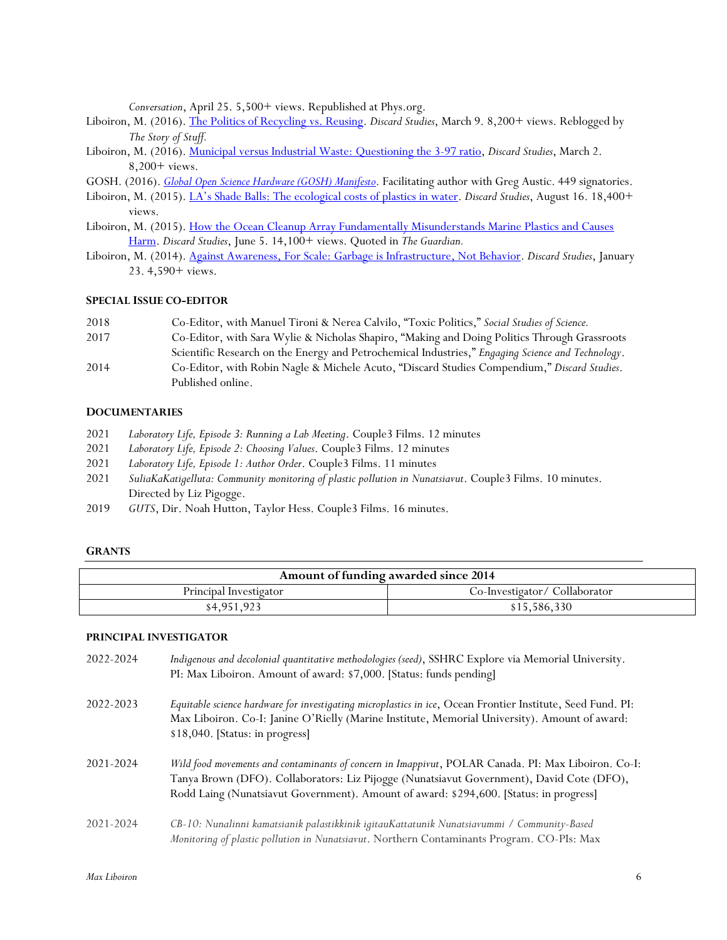*Conversation*, April 25. 5,500+ views. Republished at Phys.org.

- Liboiron, M. (2016). The Politics of Recycling vs. Reusing. *Discard Studies*, March 9. 8,200+ views. Reblogged by *The Story of Stuff.*
- Liboiron, M. (2016). Municipal versus Industrial Waste: Questioning the 3-97 ratio, *Discard Studies*, March 2. 8,200+ views.
- GOSH. (2016). *Global Open Science Hardware (GOSH) Manifesto*. Facilitating author with Greg Austic. 449 signatories.
- Liboiron, M. (2015). LA's Shade Balls: The ecological costs of plastics in water. *Discard Studies*, August 16. 18,400+ views.
- Liboiron, M. (2015). How the Ocean Cleanup Array Fundamentally Misunderstands Marine Plastics and Causes Harm. *Discard Studies*, June 5. 14,100+ views. Quoted in *The Guardian.*
- Liboiron, M. (2014). Against Awareness, For Scale: Garbage is Infrastructure, Not Behavior. *Discard Studies*, January 23. 4,590+ views.

#### **SPECIAL ISSUE CO-EDITOR**

- 2018 Co-Editor, with Manuel Tironi & Nerea Calvilo, "Toxic Politics," *Social Studies of Science.*
- 2017 Co-Editor, with Sara Wylie & Nicholas Shapiro, "Making and Doing Politics Through Grassroots Scientific Research on the Energy and Petrochemical Industries," *Engaging Science and Technology*.
- 2014 Co-Editor, with Robin Nagle & Michele Acuto, "Discard Studies Compendium," *Discard Studies*. Published online.

### **DOCUMENTARIES**

- 2021 *Laboratory Life, Episode 3: Running a Lab Meeting*. Couple3 Films. 12 minutes
- 2021 *Laboratory Life, Episode 2: Choosing Values*. Couple3 Films. 12 minutes
- 2021 *Laboratory Life, Episode 1: Author Order*. Couple3 Films. 11 minutes
- 2021 *SuliaKaKatigelluta: Community monitoring of plastic pollution in Nunatsiavut*. Couple3 Films. 10 minutes. Directed by Liz Pigogge.
- 2019 *GUTS*, Dir. Noah Hutton, Taylor Hess. Couple3 Films. 16 minutes.

#### **GRANTS**

| Amount of funding awarded since 2014 |                               |
|--------------------------------------|-------------------------------|
| Principal Investigator               | Co-Investigator/ Collaborator |
| \$4,951,923                          | \$15,586,330                  |

#### **PRINCIPAL INVESTIGATOR**

| 2022-2024 | Indigenous and decolonial quantitative methodologies (seed), SSHRC Explore via Memorial University.<br>PI: Max Liboiron. Amount of award: \$7,000. [Status: funds pending]                                                                                                                 |
|-----------|--------------------------------------------------------------------------------------------------------------------------------------------------------------------------------------------------------------------------------------------------------------------------------------------|
| 2022-2023 | Equitable science hardware for investigating microplastics in ice, Ocean Frontier Institute, Seed Fund. PI:<br>Max Liboiron. Co-I: Janine O'Rielly (Marine Institute, Memorial University). Amount of award:<br>\$18,040. [Status: in progress]                                            |
| 2021-2024 | Wild food movements and contaminants of concern in Imappivut, POLAR Canada. PI: Max Liboiron. Co-I:<br>Tanya Brown (DFO). Collaborators: Liz Pijogge (Nunatsiavut Government), David Cote (DFO),<br>Rodd Laing (Nunatsiavut Government). Amount of award: \$294,600. [Status: in progress] |
| 2021-2024 | CB-10: Nunalinni kamatsianik palastikkinik igitauKattatunik Nunatsiavummi / Community-Based<br>Monitoring of plastic pollution in Nunatsiavut. Northern Contaminants Program. CO-PIs: Max                                                                                                  |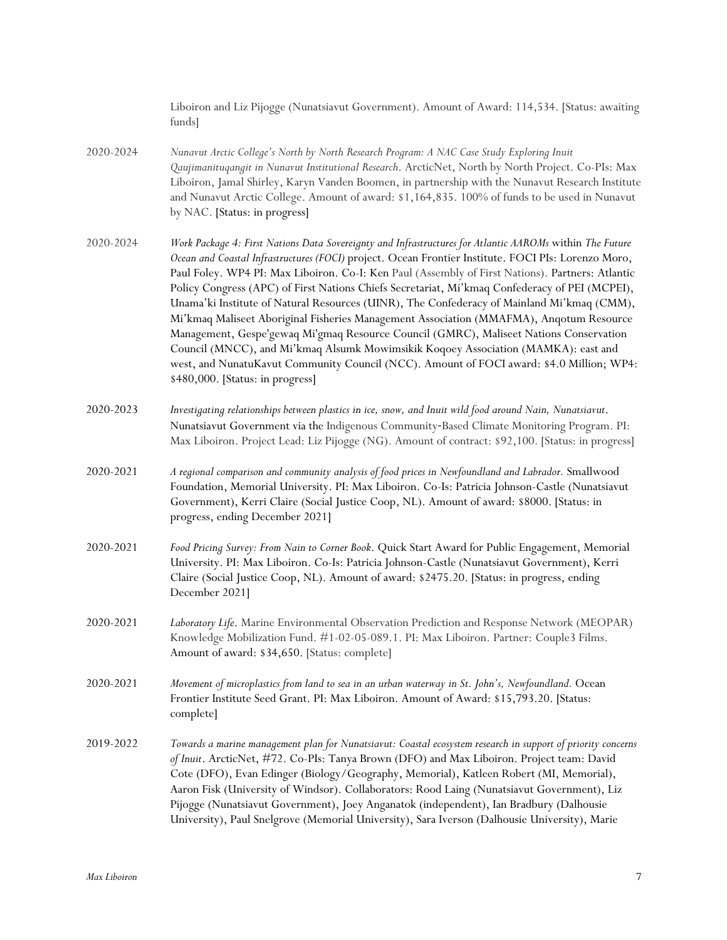|           | Liboiron and Liz Pijogge (Nunatsiavut Government). Amount of Award: 114,534. [Status: awaiting<br>funds]                                                                                                                                                                                                                                                                                                                                                                                                                                                                                                                                                                                                                                                                                                                                                                                                                       |
|-----------|--------------------------------------------------------------------------------------------------------------------------------------------------------------------------------------------------------------------------------------------------------------------------------------------------------------------------------------------------------------------------------------------------------------------------------------------------------------------------------------------------------------------------------------------------------------------------------------------------------------------------------------------------------------------------------------------------------------------------------------------------------------------------------------------------------------------------------------------------------------------------------------------------------------------------------|
| 2020-2024 | Nunavut Arctic College's North by North Research Program: A NAC Case Study Exploring Inuit<br>Qaujimanituqangit in Nunavut Institutional Research. ArcticNet, North by North Project. Co-PIs: Max<br>Liboiron, Jamal Shirley, Karyn Vanden Boomen, in partnership with the Nunavut Research Institute<br>and Nunavut Arctic College. Amount of award: \$1,164,835. 100% of funds to be used in Nunavut<br>by NAC. [Status: in progress]                                                                                                                                                                                                                                                                                                                                                                                                                                                                                        |
| 2020-2024 | Work Package 4: First Nations Data Sovereignty and Infrastructures for Atlantic AAROMs within The Future<br>Ocean and Coastal Infrastructures (FOCI) project. Ocean Frontier Institute. FOCI PIs: Lorenzo Moro,<br>Paul Foley. WP4 PI: Max Liboiron. Co-I: Ken Paul (Assembly of First Nations). Partners: Atlantic<br>Policy Congress (APC) of First Nations Chiefs Secretariat, Mi'kmaq Confederacy of PEI (MCPEI),<br>Unama'ki Institute of Natural Resources (UINR), The Confederacy of Mainland Mi'kmaq (CMM),<br>Mi'kmaq Maliseet Aboriginal Fisheries Management Association (MMAFMA), Anqotum Resource<br>Management, Gespe'gewaq Mi'gmaq Resource Council (GMRC), Maliseet Nations Conservation<br>Council (MNCC), and Mi'kmaq Alsumk Mowimsikik Koqoey Association (MAMKA): east and<br>west, and NunatuKavut Community Council (NCC). Amount of FOCI award: \$4.0 Million; WP4:<br>\$480,000. [Status: in progress] |
| 2020-2023 | Investigating relationships between plastics in ice, snow, and Inuit wild food around Nain, Nunatsiavut.<br>Nunatsiavut Government via the Indigenous Community-Based Climate Monitoring Program. PI:<br>Max Liboiron. Project Lead: Liz Pijogge (NG). Amount of contract: \$92,100. [Status: in progress]                                                                                                                                                                                                                                                                                                                                                                                                                                                                                                                                                                                                                     |
| 2020-2021 | A regional comparison and community analysis of food prices in Newfoundland and Labrador. Smallwood<br>Foundation, Memorial University. PI: Max Liboiron. Co-Is: Patricia Johnson-Castle (Nunatsiavut<br>Government), Kerri Claire (Social Justice Coop, NL). Amount of award: \$8000. [Status: in<br>progress, ending December 2021]                                                                                                                                                                                                                                                                                                                                                                                                                                                                                                                                                                                          |
| 2020-2021 | Food Pricing Survey: From Nain to Corner Book. Quick Start Award for Public Engagement, Memorial<br>University. PI: Max Liboiron. Co-Is: Patricia Johnson-Castle (Nunatsiavut Government), Kerri<br>Claire (Social Justice Coop, NL). Amount of award: \$2475.20. [Status: in progress, ending<br>December 2021]                                                                                                                                                                                                                                                                                                                                                                                                                                                                                                                                                                                                               |
| 2020-2021 | Laboratory Life. Marine Environmental Observation Prediction and Response Network (MEOPAR)<br>Knowledge Mobilization Fund. #1-02-05-089.1. PI: Max Liboiron. Partner: Couple3 Films.<br>Amount of award: \$34,650. [Status: complete]                                                                                                                                                                                                                                                                                                                                                                                                                                                                                                                                                                                                                                                                                          |
| 2020-2021 | Movement of microplastics from land to sea in an urban waterway in St. John's, Newfoundland. Ocean<br>Frontier Institute Seed Grant. PI: Max Liboiron. Amount of Award: \$15,793.20. [Status:<br>complete]                                                                                                                                                                                                                                                                                                                                                                                                                                                                                                                                                                                                                                                                                                                     |
| 2019-2022 | Towards a marine management plan for Nunatsiavut: Coastal ecosystem research in support of priority concerns<br>of Inuit. ArcticNet, #72. Co-PIs: Tanya Brown (DFO) and Max Liboiron. Project team: David<br>Cote (DFO), Evan Edinger (Biology/Geography, Memorial), Katleen Robert (MI, Memorial),<br>Aaron Fisk (University of Windsor). Collaborators: Rood Laing (Nunatsiavut Government), Liz<br>Pijogge (Nunatsiavut Government), Joey Anganatok (independent), Ian Bradbury (Dalhousie<br>University), Paul Snelgrove (Memorial University), Sara Iverson (Dalhousie University), Marie                                                                                                                                                                                                                                                                                                                                 |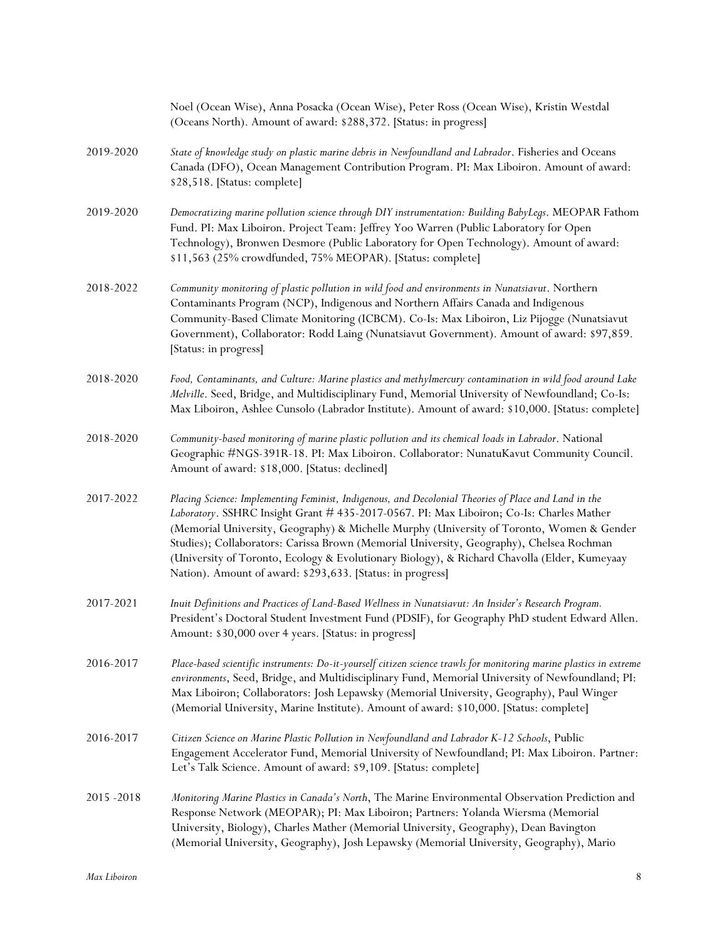|             | Noel (Ocean Wise), Anna Posacka (Ocean Wise), Peter Ross (Ocean Wise), Kristin Westdal<br>(Oceans North). Amount of award: \$288,372. [Status: in progress]                                                                                                                                                                                                                                                                                                                                                                                             |
|-------------|---------------------------------------------------------------------------------------------------------------------------------------------------------------------------------------------------------------------------------------------------------------------------------------------------------------------------------------------------------------------------------------------------------------------------------------------------------------------------------------------------------------------------------------------------------|
| 2019-2020   | State of knowledge study on plastic marine debris in Newfoundland and Labrador. Fisheries and Oceans<br>Canada (DFO), Ocean Management Contribution Program. PI: Max Liboiron. Amount of award:<br>\$28,518. [Status: complete]                                                                                                                                                                                                                                                                                                                         |
| 2019-2020   | Democratizing marine pollution science through DIY instrumentation: Building BabyLegs. MEOPAR Fathom<br>Fund. PI: Max Liboiron. Project Team: Jeffrey Yoo Warren (Public Laboratory for Open<br>Technology), Bronwen Desmore (Public Laboratory for Open Technology). Amount of award:<br>\$11,563 (25% crowdfunded, 75% MEOPAR). [Status: complete]                                                                                                                                                                                                    |
| 2018-2022   | Community monitoring of plastic pollution in wild food and environments in Nunatsiavut. Northern<br>Contaminants Program (NCP), Indigenous and Northern Affairs Canada and Indigenous<br>Community-Based Climate Monitoring (ICBCM). Co-Is: Max Liboiron, Liz Pijogge (Nunatsiavut<br>Government), Collaborator: Rodd Laing (Nunatsiavut Government). Amount of award: \$97,859.<br>[Status: in progress]                                                                                                                                               |
| 2018-2020   | Food, Contaminants, and Culture: Marine plastics and methylmercury contamination in wild food around Lake<br>Melville. Seed, Bridge, and Multidisciplinary Fund, Memorial University of Newfoundland; Co-Is:<br>Max Liboiron, Ashlee Cunsolo (Labrador Institute). Amount of award: \$10,000. [Status: complete]                                                                                                                                                                                                                                        |
| 2018-2020   | Community-based monitoring of marine plastic pollution and its chemical loads in Labrador. National<br>Geographic #NGS-391R-18. PI: Max Liboiron. Collaborator: NunatuKavut Community Council.<br>Amount of award: \$18,000. [Status: declined]                                                                                                                                                                                                                                                                                                         |
| 2017-2022   | Placing Science: Implementing Feminist, Indigenous, and Decolonial Theories of Place and Land in the<br>Laboratory. SSHRC Insight Grant # 435-2017-0567. PI: Max Liboiron; Co-Is: Charles Mather<br>(Memorial University, Geography) & Michelle Murphy (University of Toronto, Women & Gender<br>Studies); Collaborators: Carissa Brown (Memorial University, Geography), Chelsea Rochman<br>(University of Toronto, Ecology & Evolutionary Biology), & Richard Chavolla (Elder, Kumeyaay<br>Nation). Amount of award: \$293,633. [Status: in progress] |
| 2017-2021   | Inuit Definitions and Practices of Land-Based Wellness in Nunatsiavut: An Insider's Research Program.<br>President's Doctoral Student Investment Fund (PDSIF), for Geography PhD student Edward Allen.<br>Amount: \$30,000 over 4 years. [Status: in progress]                                                                                                                                                                                                                                                                                          |
| 2016-2017   | Place-based scientific instruments: Do-it-yourself citizen science trawls for monitoring marine plastics in extreme<br>environments, Seed, Bridge, and Multidisciplinary Fund, Memorial University of Newfoundland; PI:<br>Max Liboiron; Collaborators: Josh Lepawsky (Memorial University, Geography), Paul Winger<br>(Memorial University, Marine Institute). Amount of award: \$10,000. [Status: complete]                                                                                                                                           |
| 2016-2017   | Citizen Science on Marine Plastic Pollution in Newfoundland and Labrador K-12 Schools, Public<br>Engagement Accelerator Fund, Memorial University of Newfoundland; PI: Max Liboiron. Partner:<br>Let's Talk Science. Amount of award: \$9,109. [Status: complete]                                                                                                                                                                                                                                                                                       |
| 2015 - 2018 | Monitoring Marine Plastics in Canada's North, The Marine Environmental Observation Prediction and<br>Response Network (MEOPAR); PI: Max Liboiron; Partners: Yolanda Wiersma (Memorial<br>University, Biology), Charles Mather (Memorial University, Geography), Dean Bavington<br>(Memorial University, Geography), Josh Lepawsky (Memorial University, Geography), Mario                                                                                                                                                                               |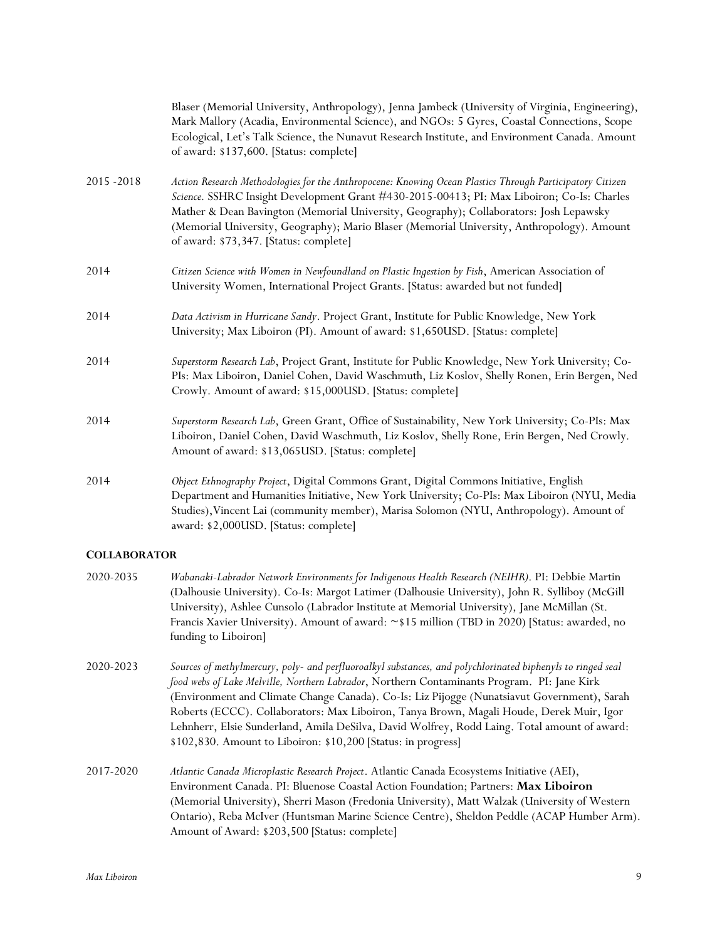|             | Blaser (Memorial University, Anthropology), Jenna Jambeck (University of Virginia, Engineering),<br>Mark Mallory (Acadia, Environmental Science), and NGOs: 5 Gyres, Coastal Connections, Scope<br>Ecological, Let's Talk Science, the Nunavut Research Institute, and Environment Canada. Amount<br>of award: \$137,600. [Status: complete]                                                                                             |
|-------------|------------------------------------------------------------------------------------------------------------------------------------------------------------------------------------------------------------------------------------------------------------------------------------------------------------------------------------------------------------------------------------------------------------------------------------------|
| 2015 - 2018 | Action Research Methodologies for the Anthropocene: Knowing Ocean Plastics Through Participatory Citizen<br>Science. SSHRC Insight Development Grant #430-2015-00413; PI: Max Liboiron; Co-Is: Charles<br>Mather & Dean Bavington (Memorial University, Geography); Collaborators: Josh Lepawsky<br>(Memorial University, Geography); Mario Blaser (Memorial University, Anthropology). Amount<br>of award: \$73,347. [Status: complete] |
| 2014        | Citizen Science with Women in Newfoundland on Plastic Ingestion by Fish, American Association of<br>University Women, International Project Grants. [Status: awarded but not funded]                                                                                                                                                                                                                                                     |
| 2014        | Data Activism in Hurricane Sandy. Project Grant, Institute for Public Knowledge, New York<br>University; Max Liboiron (PI). Amount of award: \$1,650USD. [Status: complete]                                                                                                                                                                                                                                                              |
| 2014        | Superstorm Research Lab, Project Grant, Institute for Public Knowledge, New York University; Co-<br>PIs: Max Liboiron, Daniel Cohen, David Waschmuth, Liz Koslov, Shelly Ronen, Erin Bergen, Ned<br>Crowly. Amount of award: \$15,000USD. [Status: complete]                                                                                                                                                                             |
| 2014        | Superstorm Research Lab, Green Grant, Office of Sustainability, New York University; Co-PIs: Max<br>Liboiron, Daniel Cohen, David Waschmuth, Liz Koslov, Shelly Rone, Erin Bergen, Ned Crowly.<br>Amount of award: \$13,065USD. [Status: complete]                                                                                                                                                                                       |
| 2014        | Object Ethnography Project, Digital Commons Grant, Digital Commons Initiative, English<br>Department and Humanities Initiative, New York University; Co-PIs: Max Liboiron (NYU, Media<br>Studies), Vincent Lai (community member), Marisa Solomon (NYU, Anthropology). Amount of<br>award: \$2,000USD. [Status: complete]                                                                                                                |

# **COLLABORATOR**

| 2020-2035 | Wabanaki-Labrador Network Environments for Indigenous Health Research (NEIHR). PI: Debbie Martin    |
|-----------|-----------------------------------------------------------------------------------------------------|
|           | (Dalhousie University). Co-Is: Margot Latimer (Dalhousie University), John R. Sylliboy (McGill)     |
|           | University), Ashlee Cunsolo (Labrador Institute at Memorial University), Jane McMillan (St.         |
|           | Francis Xavier University). Amount of award: $\sim$ \$15 million (TBD in 2020) [Status: awarded, no |
|           | funding to Liboiron                                                                                 |
|           |                                                                                                     |

- 2020-2023 *Sources of methylmercury, poly- and perfluoroalkyl substances, and polychlorinated biphenyls to ringed seal food webs of Lake Melville, Northern Labrador*, Northern Contaminants Program. PI: Jane Kirk (Environment and Climate Change Canada). Co-Is: Liz Pijogge (Nunatsiavut Government), Sarah Roberts (ECCC). Collaborators: Max Liboiron, Tanya Brown, Magali Houde, Derek Muir, Igor Lehnherr, Elsie Sunderland, Amila DeSilva, David Wolfrey, Rodd Laing. Total amount of award: \$102,830. Amount to Liboiron: \$10,200 [Status: in progress]
- 2017-2020 *Atlantic Canada Microplastic Research Project*. Atlantic Canada Ecosystems Initiative (AEI), Environment Canada. PI: Bluenose Coastal Action Foundation; Partners: **Max Liboiron** (Memorial University), Sherri Mason (Fredonia University), Matt Walzak (University of Western Ontario), Reba McIver (Huntsman Marine Science Centre), Sheldon Peddle (ACAP Humber Arm). Amount of Award: \$203,500 [Status: complete]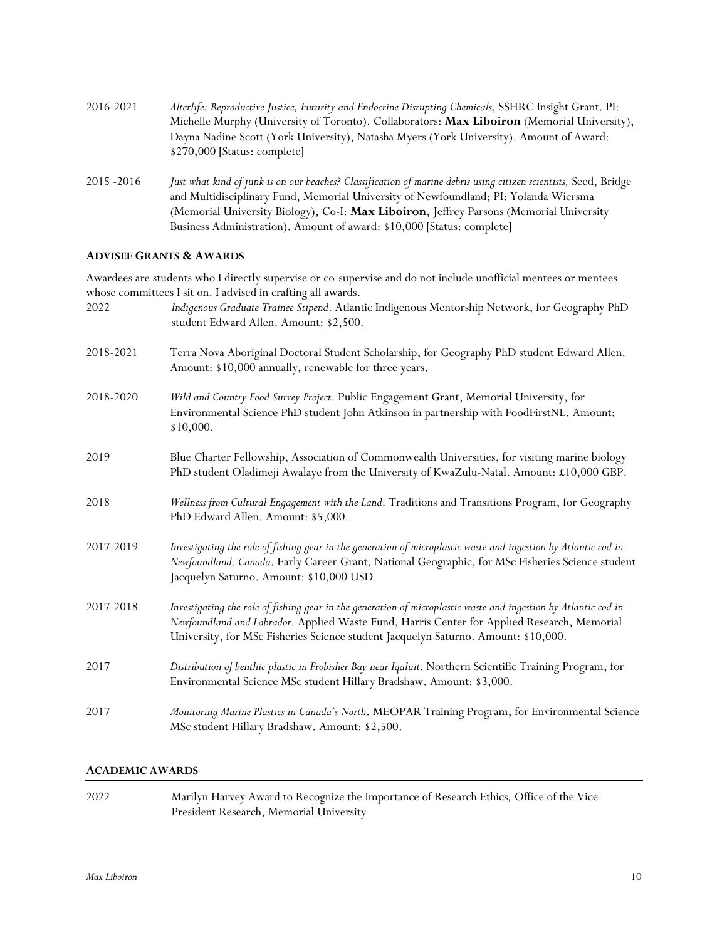| 2016-2021     | Alterlife: Reproductive Justice, Futurity and Endocrine Disrupting Chemicals, SSHRC Insight Grant. PI:           |
|---------------|------------------------------------------------------------------------------------------------------------------|
|               | Michelle Murphy (University of Toronto). Collaborators: Max Liboiron (Memorial University),                      |
|               | Dayna Nadine Scott (York University), Natasha Myers (York University). Amount of Award:                          |
|               | \$270,000 [Status: complete]                                                                                     |
| $2015 - 2016$ | Just what kind of junk is on our beaches? Classification of marine debris using citizen scientists, Seed, Bridge |
|               | and Multidisciplinary Fund, Memorial University of Newfoundland; PI: Yolanda Wiersma                             |
|               | (Memorial University Biology), Co-I: Max Liboiron, Jeffrey Parsons (Memorial University                          |

### **ADVISEE GRANTS & AWARDS**

Awardees are students who I directly supervise or co-supervise and do not include unofficial mentees or mentees whose committees I sit on. I advised in crafting all awards.

Business Administration). Amount of award: \$10,000 [Status: complete]

| 2022      | Indigenous Graduate Trainee Stipend. Atlantic Indigenous Mentorship Network, for Geography PhD<br>student Edward Allen. Amount: \$2,500.                                                                                                                                                             |
|-----------|------------------------------------------------------------------------------------------------------------------------------------------------------------------------------------------------------------------------------------------------------------------------------------------------------|
| 2018-2021 | Terra Nova Aboriginal Doctoral Student Scholarship, for Geography PhD student Edward Allen.<br>Amount: \$10,000 annually, renewable for three years.                                                                                                                                                 |
| 2018-2020 | Wild and Country Food Survey Project. Public Engagement Grant, Memorial University, for<br>Environmental Science PhD student John Atkinson in partnership with FoodFirstNL. Amount:<br>\$10,000.                                                                                                     |
| 2019      | Blue Charter Fellowship, Association of Commonwealth Universities, for visiting marine biology<br>PhD student Oladimeji Awalaye from the University of KwaZulu-Natal. Amount: £10,000 GBP.                                                                                                           |
| 2018      | Wellness from Cultural Engagement with the Land. Traditions and Transitions Program, for Geography<br>PhD Edward Allen. Amount: \$5,000.                                                                                                                                                             |
| 2017-2019 | Investigating the role of fishing gear in the generation of microplastic waste and ingestion by Atlantic cod in<br>Newfoundland, Canada. Early Career Grant, National Geographic, for MSc Fisheries Science student<br>Jacquelyn Saturno. Amount: \$10,000 USD.                                      |
| 2017-2018 | Investigating the role of fishing gear in the generation of microplastic waste and ingestion by Atlantic cod in<br>Newfoundland and Labrador. Applied Waste Fund, Harris Center for Applied Research, Memorial<br>University, for MSc Fisheries Science student Jacquelyn Saturno. Amount: \$10,000. |
| 2017      | Distribution of benthic plastic in Frobisher Bay near Iqaluit. Northern Scientific Training Program, for<br>Environmental Science MSc student Hillary Bradshaw. Amount: \$3,000.                                                                                                                     |
| 2017      | Monitoring Marine Plastics in Canada's North. MEOPAR Training Program, for Environmental Science<br>MSc student Hillary Bradshaw. Amount: \$2,500.                                                                                                                                                   |

### **ACADEMIC AWARDS**

| 2022 | Marilyn Harvey Award to Recognize the Importance of Research Ethics, Office of the Vice- |
|------|------------------------------------------------------------------------------------------|
|      | President Research, Memorial University                                                  |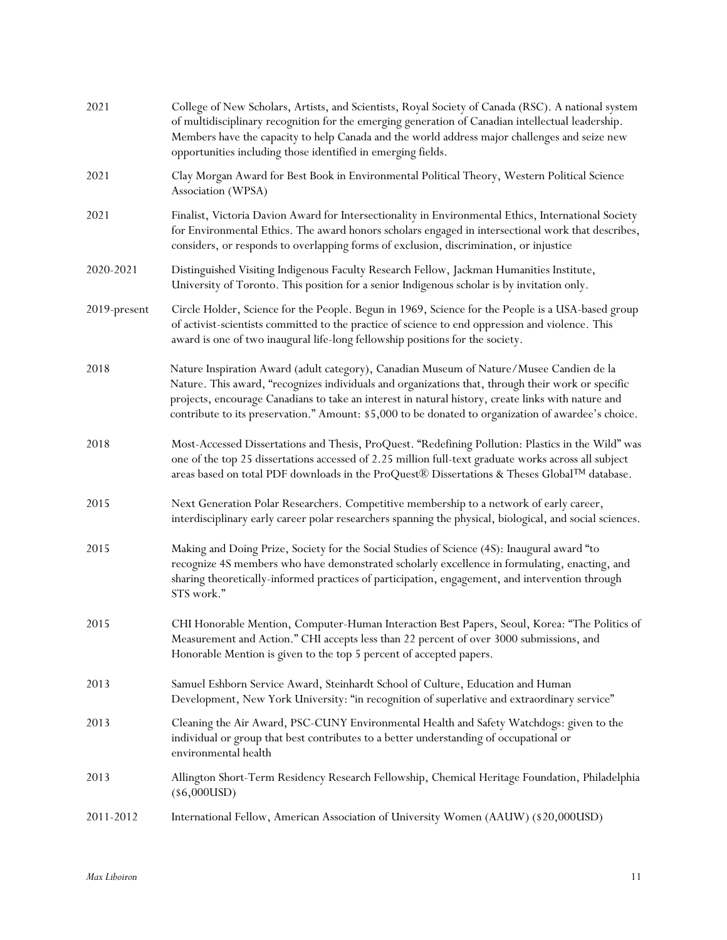| 2021         | College of New Scholars, Artists, and Scientists, Royal Society of Canada (RSC). A national system<br>of multidisciplinary recognition for the emerging generation of Canadian intellectual leadership.<br>Members have the capacity to help Canada and the world address major challenges and seize new<br>opportunities including those identified in emerging fields.                                    |
|--------------|-------------------------------------------------------------------------------------------------------------------------------------------------------------------------------------------------------------------------------------------------------------------------------------------------------------------------------------------------------------------------------------------------------------|
| 2021         | Clay Morgan Award for Best Book in Environmental Political Theory, Western Political Science<br>Association (WPSA)                                                                                                                                                                                                                                                                                          |
| 2021         | Finalist, Victoria Davion Award for Intersectionality in Environmental Ethics, International Society<br>for Environmental Ethics. The award honors scholars engaged in intersectional work that describes,<br>considers, or responds to overlapping forms of exclusion, discrimination, or injustice                                                                                                        |
| 2020-2021    | Distinguished Visiting Indigenous Faculty Research Fellow, Jackman Humanities Institute,<br>University of Toronto. This position for a senior Indigenous scholar is by invitation only.                                                                                                                                                                                                                     |
| 2019-present | Circle Holder, Science for the People. Begun in 1969, Science for the People is a USA-based group<br>of activist-scientists committed to the practice of science to end oppression and violence. This<br>award is one of two inaugural life-long fellowship positions for the society.                                                                                                                      |
| 2018         | Nature Inspiration Award (adult category), Canadian Museum of Nature/Musee Candien de la<br>Nature. This award, "recognizes individuals and organizations that, through their work or specific<br>projects, encourage Canadians to take an interest in natural history, create links with nature and<br>contribute to its preservation." Amount: \$5,000 to be donated to organization of awardee's choice. |
| 2018         | Most-Accessed Dissertations and Thesis, ProQuest. "Redefining Pollution: Plastics in the Wild" was<br>one of the top 25 dissertations accessed of 2.25 million full-text graduate works across all subject<br>areas based on total PDF downloads in the ProQuest® Dissertations & Theses Global <sup>TM</sup> database.                                                                                     |
| 2015         | Next Generation Polar Researchers. Competitive membership to a network of early career,<br>interdisciplinary early career polar researchers spanning the physical, biological, and social sciences.                                                                                                                                                                                                         |
| 2015         | Making and Doing Prize, Society for the Social Studies of Science (4S): Inaugural award "to<br>recognize 4S members who have demonstrated scholarly excellence in formulating, enacting, and<br>sharing theoretically-informed practices of participation, engagement, and intervention through<br>STS work."                                                                                               |
| 2015         | CHI Honorable Mention, Computer-Human Interaction Best Papers, Seoul, Korea: "The Politics of<br>Measurement and Action." CHI accepts less than 22 percent of over 3000 submissions, and<br>Honorable Mention is given to the top 5 percent of accepted papers.                                                                                                                                             |
| 2013         | Samuel Eshborn Service Award, Steinhardt School of Culture, Education and Human<br>Development, New York University: "in recognition of superlative and extraordinary service"                                                                                                                                                                                                                              |
| 2013         | Cleaning the Air Award, PSC-CUNY Environmental Health and Safety Watchdogs: given to the<br>individual or group that best contributes to a better understanding of occupational or<br>environmental health                                                                                                                                                                                                  |
| 2013         | Allington Short-Term Residency Research Fellowship, Chemical Heritage Foundation, Philadelphia<br>$(\$6,000USD)$                                                                                                                                                                                                                                                                                            |
| 2011-2012    | International Fellow, American Association of University Women (AAUW) (\$20,000USD)                                                                                                                                                                                                                                                                                                                         |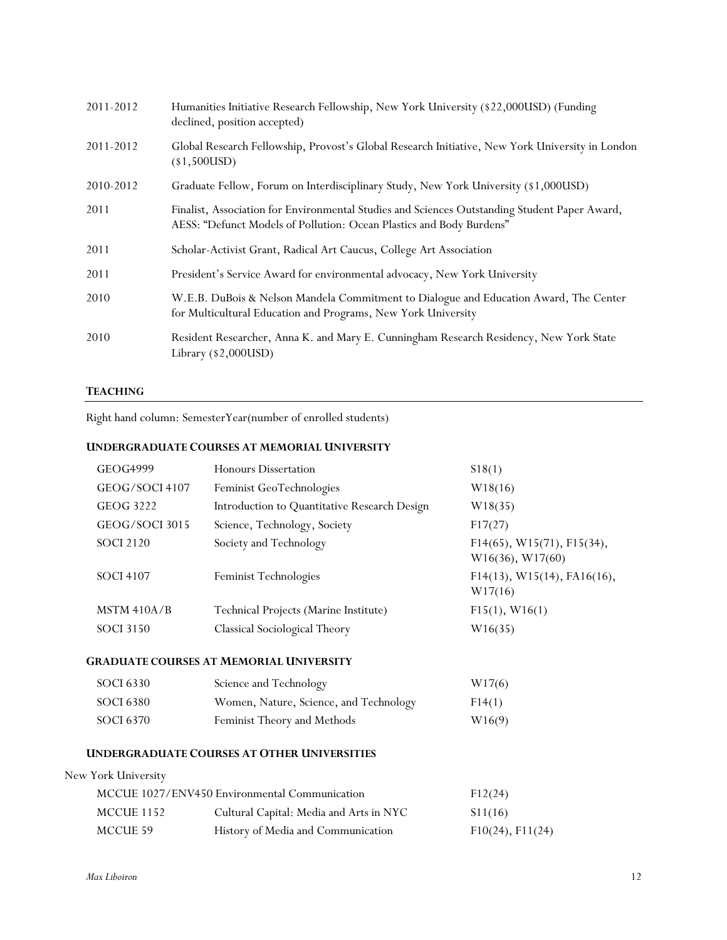| 2011-2012 | Humanities Initiative Research Fellowship, New York University (\$22,000USD) (Funding<br>declined, position accepted)                                                 |
|-----------|-----------------------------------------------------------------------------------------------------------------------------------------------------------------------|
| 2011-2012 | Global Research Fellowship, Provost's Global Research Initiative, New York University in London<br>$(*1,500USD)$                                                      |
| 2010-2012 | Graduate Fellow, Forum on Interdisciplinary Study, New York University (\$1,000USD)                                                                                   |
| 2011      | Finalist, Association for Environmental Studies and Sciences Outstanding Student Paper Award,<br>AESS: "Defunct Models of Pollution: Ocean Plastics and Body Burdens" |
| 2011      | Scholar-Activist Grant, Radical Art Caucus, College Art Association                                                                                                   |
| 2011      | President's Service Award for environmental advocacy, New York University                                                                                             |
| 2010      | W.E.B. DuBois & Nelson Mandela Commitment to Dialogue and Education Award, The Center<br>for Multicultural Education and Programs, New York University                |
| 2010      | Resident Researcher, Anna K. and Mary E. Cunningham Research Residency, New York State<br>Library (\$2,000USD)                                                        |

# **TEACHING**

Right hand column: SemesterYear(number of enrolled students)

# **UNDERGRADUATE COURSES AT MEMORIAL UNIVERSITY**

| GEOG4999            | <b>Honours Dissertation</b>                        | \$18(1)                                           |
|---------------------|----------------------------------------------------|---------------------------------------------------|
| GEOG/SOCI 4107      | Feminist GeoTechnologies                           | W18(16)                                           |
| <b>GEOG 3222</b>    | Introduction to Quantitative Research Design       | W18(35)                                           |
| GEOG/SOCI 3015      | Science, Technology, Society                       | F17(27)                                           |
| <b>SOCI 2120</b>    | Society and Technology                             | $F14(65)$ , W15(71), F15(34),<br>W16(36), W17(60) |
| <b>SOCI 4107</b>    | Feminist Technologies                              | $F14(13)$ , W15(14), FA16(16),<br>W17(16)         |
| MSTM 410A/B         | Technical Projects (Marine Institute)              | F15(1), W16(1)                                    |
| <b>SOCI 3150</b>    | Classical Sociological Theory                      | W16(35)                                           |
|                     | <b>GRADUATE COURSES AT MEMORIAL UNIVERSITY</b>     |                                                   |
| <b>SOCI 6330</b>    | Science and Technology                             | W17(6)                                            |
| <b>SOCI 6380</b>    | Women, Nature, Science, and Technology             | F14(1)                                            |
| <b>SOCI 6370</b>    | Feminist Theory and Methods                        | W16(9)                                            |
|                     | <b>UNDERGRADUATE COURSES AT OTHER UNIVERSITIES</b> |                                                   |
| New York University |                                                    |                                                   |
|                     | MCCUE 1027/ENV450 Environmental Communication      | F12(24)                                           |
| MCCUE 1152          | Cultural Capital: Media and Arts in NYC            | \$11(16)                                          |
| MCCUE 59            | History of Media and Communication                 | $F10(24)$ , $F11(24)$                             |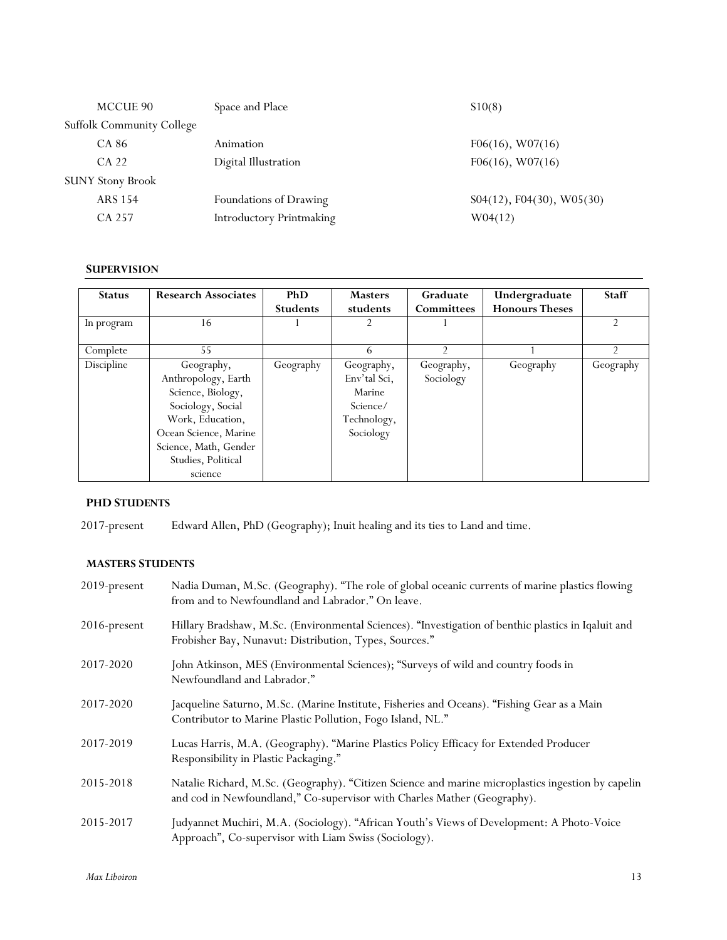| MCCUE 90                |                                  | Space and Place                 | \$10(8)                      |
|-------------------------|----------------------------------|---------------------------------|------------------------------|
|                         | <b>Suffolk Community College</b> |                                 |                              |
| CA 86                   |                                  | Animation                       | $F06(16)$ , W07(16)          |
| CA 22                   |                                  | Digital Illustration            | $F06(16)$ , W07(16)          |
| <b>SUNY Stony Brook</b> |                                  |                                 |                              |
| <b>ARS 154</b>          |                                  | Foundations of Drawing          | $S04(12)$ , F04(30), W05(30) |
| CA 257                  |                                  | <b>Introductory Printmaking</b> | W04(12)                      |

# **SUPERVISION**

| <b>Status</b> | <b>Research Associates</b> | <b>PhD</b>      | <b>Masters</b> | Graduate          | Undergraduate         | <b>Staff</b> |
|---------------|----------------------------|-----------------|----------------|-------------------|-----------------------|--------------|
|               |                            | <b>Students</b> | students       | <b>Committees</b> | <b>Honours Theses</b> |              |
| In program    | 16                         |                 |                |                   |                       |              |
|               |                            |                 |                |                   |                       |              |
| Complete      | 55                         |                 | 6              |                   |                       |              |
| Discipline    | Geography,                 | Geography       | Geography,     | Geography,        | Geography             | Geography    |
|               | Anthropology, Earth        |                 | Env'tal Sci,   | Sociology         |                       |              |
|               | Science, Biology,          |                 | Marine         |                   |                       |              |
|               | Sociology, Social          |                 | Science/       |                   |                       |              |
|               | Work, Education,           |                 | Technology,    |                   |                       |              |
|               | Ocean Science, Marine      |                 | Sociology      |                   |                       |              |
|               | Science, Math, Gender      |                 |                |                   |                       |              |
|               | Studies, Political         |                 |                |                   |                       |              |
|               | science                    |                 |                |                   |                       |              |

# **PHD STUDENTS**

2017-present Edward Allen, PhD (Geography); Inuit healing and its ties to Land and time.

# **MASTERS STUDENTS**

| 2019-present | Nadia Duman, M.Sc. (Geography). "The role of global oceanic currents of marine plastics flowing<br>from and to Newfoundland and Labrador." On leave.                           |
|--------------|--------------------------------------------------------------------------------------------------------------------------------------------------------------------------------|
| 2016-present | Hillary Bradshaw, M.Sc. (Environmental Sciences). "Investigation of benthic plastics in Iqaluit and<br>Frobisher Bay, Nunavut: Distribution, Types, Sources."                  |
| 2017-2020    | John Atkinson, MES (Environmental Sciences); "Surveys of wild and country foods in<br>Newfoundland and Labrador."                                                              |
| 2017-2020    | Jacqueline Saturno, M.Sc. (Marine Institute, Fisheries and Oceans). "Fishing Gear as a Main<br>Contributor to Marine Plastic Pollution, Fogo Island, NL."                      |
| 2017-2019    | Lucas Harris, M.A. (Geography). "Marine Plastics Policy Efficacy for Extended Producer<br>Responsibility in Plastic Packaging."                                                |
| 2015-2018    | Natalie Richard, M.Sc. (Geography). "Citizen Science and marine microplastics ingestion by capelin<br>and cod in Newfoundland," Co-supervisor with Charles Mather (Geography). |
| 2015-2017    | Judyannet Muchiri, M.A. (Sociology). "African Youth's Views of Development: A Photo-Voice<br>Approach", Co-supervisor with Liam Swiss (Sociology).                             |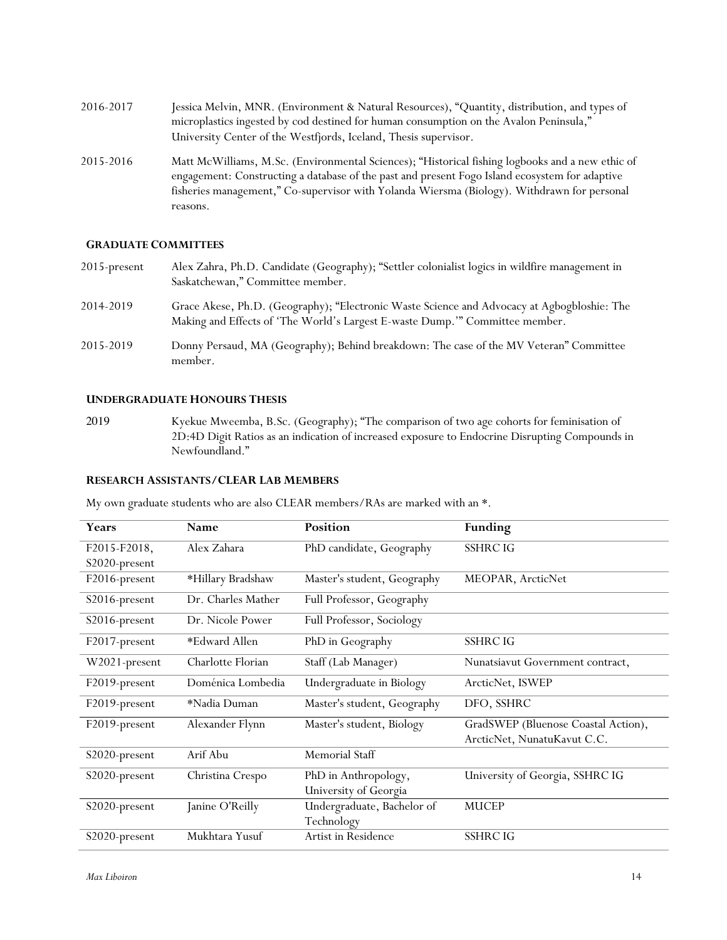- 2016-2017 Jessica Melvin, MNR. (Environment & Natural Resources), "Quantity, distribution, and types of microplastics ingested by cod destined for human consumption on the Avalon Peninsula," University Center of the Westfjords, Iceland, Thesis supervisor.
- 2015-2016 Matt McWilliams, M.Sc. (Environmental Sciences); "Historical fishing logbooks and a new ethic of engagement: Constructing a database of the past and present Fogo Island ecosystem for adaptive fisheries management," Co-supervisor with Yolanda Wiersma (Biology). Withdrawn for personal reasons.

#### **GRADUATE COMMITTEES**

- 2015-present Alex Zahra, Ph.D. Candidate (Geography); "Settler colonialist logics in wildfire management in Saskatchewan," Committee member.
- 2014-2019 Grace Akese, Ph.D. (Geography); "Electronic Waste Science and Advocacy at Agbogbloshie: The Making and Effects of 'The World's Largest E-waste Dump.'" Committee member.
- 2015-2019 Donny Persaud, MA (Geography); Behind breakdown: The case of the MV Veteran" Committee member.

### **UNDERGRADUATE HONOURS THESIS**

2019 Kyekue Mweemba, B.Sc. (Geography); "The comparison of two age cohorts for feminisation of 2D:4D Digit Ratios as an indication of increased exposure to Endocrine Disrupting Compounds in Newfoundland."

#### **RESEARCH ASSISTANTS/CLEAR LAB MEMBERS**

My own graduate students who are also CLEAR members/RAs are marked with an \*.

| Years         | Name               | Position                    | <b>Funding</b>                      |
|---------------|--------------------|-----------------------------|-------------------------------------|
| F2015-F2018,  | Alex Zahara        | PhD candidate, Geography    | <b>SSHRC IG</b>                     |
| S2020-present |                    |                             |                                     |
| F2016-present | *Hillary Bradshaw  | Master's student, Geography | MEOPAR, ArcticNet                   |
| S2016-present | Dr. Charles Mather | Full Professor, Geography   |                                     |
| S2016-present | Dr. Nicole Power   | Full Professor, Sociology   |                                     |
| F2017-present | *Edward Allen      | PhD in Geography            | <b>SSHRC IG</b>                     |
| W2021-present | Charlotte Florian  | Staff (Lab Manager)         | Nunatsiavut Government contract,    |
| F2019-present | Doménica Lombedia  | Undergraduate in Biology    | ArcticNet, ISWEP                    |
| F2019-present | *Nadia Duman       | Master's student, Geography | DFO, SSHRC                          |
| F2019-present | Alexander Flynn    | Master's student, Biology   | GradSWEP (Bluenose Coastal Action), |
|               |                    |                             | ArcticNet, NunatuKavut C.C.         |
| S2020-present | Arif Abu           | Memorial Staff              |                                     |
| S2020-present | Christina Crespo   | PhD in Anthropology,        | University of Georgia, SSHRC IG     |
|               |                    | University of Georgia       |                                     |
| S2020-present | Janine O'Reilly    | Undergraduate, Bachelor of  | MUCEP                               |
|               |                    | Technology                  |                                     |
| S2020-present | Mukhtara Yusuf     | Artist in Residence         | <b>SSHRC IG</b>                     |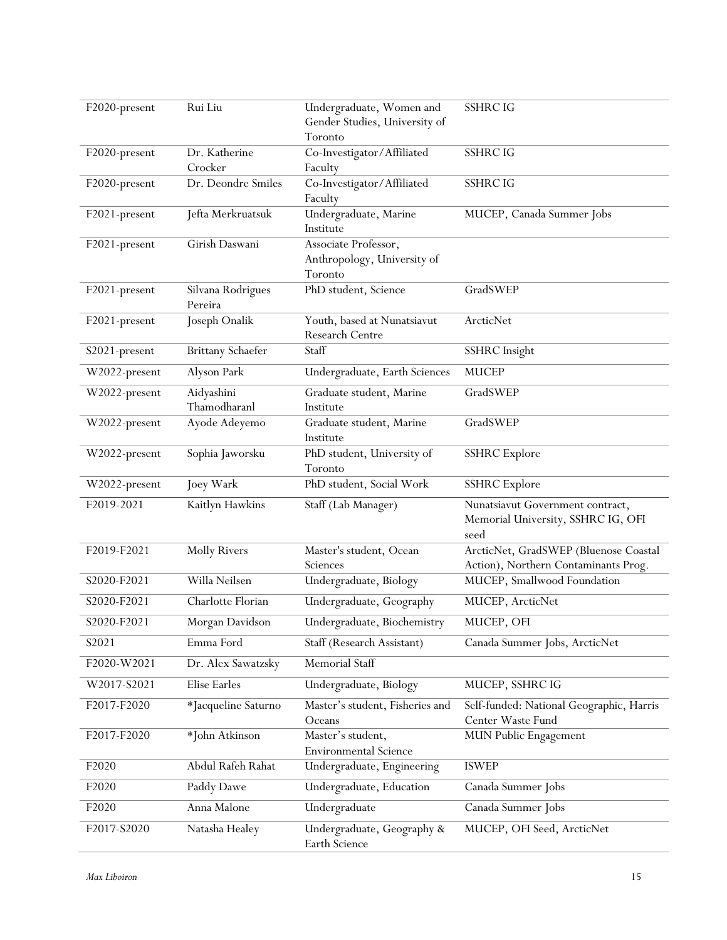| F2020-present | Rui Liu                  | Undergraduate, Women and                          | <b>SSHRC IG</b>                                                               |
|---------------|--------------------------|---------------------------------------------------|-------------------------------------------------------------------------------|
|               |                          | Gender Studies, University of<br>Toronto          |                                                                               |
| F2020-present | Dr. Katherine            | Co-Investigator/Affiliated                        | <b>SSHRC IG</b>                                                               |
|               | Crocker                  | Faculty                                           |                                                                               |
| F2020-present | Dr. Deondre Smiles       | Co-Investigator/Affiliated                        | <b>SSHRC IG</b>                                                               |
|               |                          | Faculty                                           |                                                                               |
| F2021-present | Jefta Merkruatsuk        | Undergraduate, Marine                             | MUCEP, Canada Summer Jobs                                                     |
|               |                          | Institute                                         |                                                                               |
| F2021-present | Girish Daswani           | Associate Professor,                              |                                                                               |
|               |                          | Anthropology, University of<br>Toronto            |                                                                               |
| F2021-present | Silvana Rodrigues        | PhD student, Science                              | GradSWEP                                                                      |
|               | Pereira                  |                                                   |                                                                               |
| F2021-present | Joseph Onalik            | Youth, based at Nunatsiavut                       | ArcticNet                                                                     |
|               |                          | Research Centre                                   |                                                                               |
| S2021-present | <b>Brittany Schaefer</b> | Staff                                             | <b>SSHRC</b> Insight                                                          |
| W2022-present | Alyson Park              | Undergraduate, Earth Sciences                     | <b>MUCEP</b>                                                                  |
| W2022-present | Aidyashini               | Graduate student, Marine                          | GradSWEP                                                                      |
|               | Thamodharanl             | Institute                                         |                                                                               |
| W2022-present | Ayode Adeyemo            | Graduate student, Marine                          | GradSWEP                                                                      |
| W2022-present | Sophia Jaworsku          | Institute<br>PhD student, University of           | <b>SSHRC</b> Explore                                                          |
|               |                          | Toronto                                           |                                                                               |
| W2022-present | Joey Wark                | PhD student, Social Work                          | <b>SSHRC</b> Explore                                                          |
| F2019-2021    | Kaitlyn Hawkins          | Staff (Lab Manager)                               | Nunatsiavut Government contract,                                              |
|               |                          |                                                   | Memorial University, SSHRC IG, OFI                                            |
|               |                          |                                                   | seed                                                                          |
| F2019-F2021   | <b>Molly Rivers</b>      | Master's student, Ocean<br>Sciences               | ArcticNet, GradSWEP (Bluenose Coastal<br>Action), Northern Contaminants Prog. |
| S2020-F2021   | Willa Neilsen            | Undergraduate, Biology                            | MUCEP, Smallwood Foundation                                                   |
| S2020-F2021   | Charlotte Florian        | Undergraduate, Geography                          | MUCEP, ArcticNet                                                              |
| S2020-F2021   | Morgan Davidson          | Undergraduate, Biochemistry                       | MUCEP, OFI                                                                    |
| S2021         | Emma Ford                | Staff (Research Assistant)                        | Canada Summer Jobs, ArcticNet                                                 |
| F2020-W2021   | Dr. Alex Sawatzsky       | Memorial Staff                                    |                                                                               |
| W2017-S2021   | Elise Earles             | Undergraduate, Biology                            | MUCEP, SSHRC IG                                                               |
| F2017-F2020   | *Jacqueline Saturno      | Master's student, Fisheries and                   | Self-funded: National Geographic, Harris                                      |
|               |                          | Oceans                                            | Center Waste Fund                                                             |
| F2017-F2020   | *John Atkinson           | Master's student,<br><b>Environmental Science</b> | MUN Public Engagement                                                         |
| F2020         | Abdul Rafeh Rahat        | Undergraduate, Engineering                        | <b>ISWEP</b>                                                                  |
| F2020         | Paddy Dawe               | Undergraduate, Education                          | Canada Summer Jobs                                                            |
| F2020         | Anna Malone              | Undergraduate                                     | Canada Summer Jobs                                                            |
| F2017-S2020   | Natasha Healey           | Undergraduate, Geography &                        | MUCEP, OFI Seed, ArcticNet                                                    |
|               |                          | Earth Science                                     |                                                                               |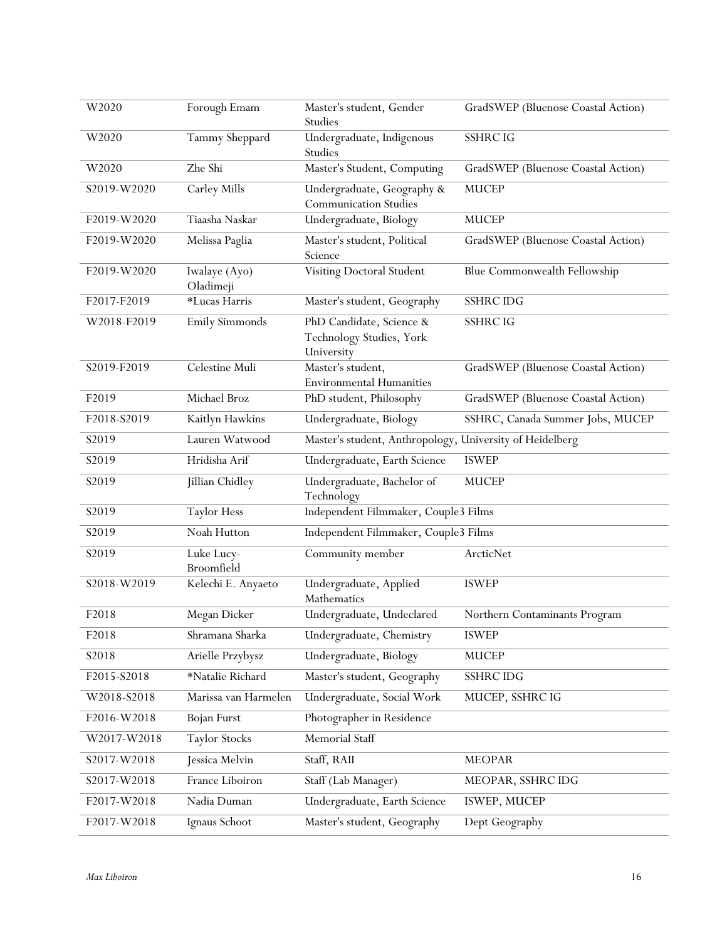| W2020       | Forough Emam               | Master's student, Gender<br>Studies                                | GradSWEP (Bluenose Coastal Action) |
|-------------|----------------------------|--------------------------------------------------------------------|------------------------------------|
| W2020       | Tammy Sheppard             | Undergraduate, Indigenous<br>Studies                               | <b>SSHRC IG</b>                    |
| W2020       | Zhe Shi                    | Master's Student, Computing                                        | GradSWEP (Bluenose Coastal Action) |
| S2019-W2020 | Carley Mills               | Undergraduate, Geography &<br><b>Communication Studies</b>         | <b>MUCEP</b>                       |
| F2019-W2020 | Tiaasha Naskar             | Undergraduate, Biology                                             | <b>MUCEP</b>                       |
| F2019-W2020 | Melissa Paglia             | Master's student, Political<br>Science                             | GradSWEP (Bluenose Coastal Action) |
| F2019-W2020 | Iwalaye (Ayo)<br>Oladimeji | Visiting Doctoral Student                                          | Blue Commonwealth Fellowship       |
| F2017-F2019 | *Lucas Harris              | Master's student, Geography                                        | <b>SSHRC IDG</b>                   |
| W2018-F2019 | Emily Simmonds             | PhD Candidate, Science &<br>Technology Studies, York<br>University | <b>SSHRC IG</b>                    |
| S2019-F2019 | Celestine Muli             | Master's student,<br><b>Environmental Humanities</b>               | GradSWEP (Bluenose Coastal Action) |
| F2019       | Michael Broz               | PhD student, Philosophy                                            | GradSWEP (Bluenose Coastal Action) |
| F2018-S2019 | Kaitlyn Hawkins            | Undergraduate, Biology                                             | SSHRC, Canada Summer Jobs, MUCEP   |
| S2019       | Lauren Watwood             | Master's student, Anthropology,                                    | University of Heidelberg           |
| S2019       | Hridisha Arif              | Undergraduate, Earth Science                                       | <b>ISWEP</b>                       |
| S2019       | Jillian Chidley            | Undergraduate, Bachelor of<br>Technology                           | <b>MUCEP</b>                       |
| S2019       | <b>Taylor Hess</b>         | Independent Filmmaker, Couple3 Films                               |                                    |
| S2019       | Noah Hutton                | Independent Filmmaker, Couple3 Films                               |                                    |
| S2019       | Luke Lucy-<br>Broomfield   | Community member                                                   | ArcticNet                          |
| S2018-W2019 | Kelechi E. Anyaeto         | Undergraduate, Applied<br>Mathematics                              | <b>ISWEP</b>                       |
| F2018       | Megan Dicker               | Undergraduate, Undeclared                                          | Northern Contaminants Program      |
| F2018       | Shramana Sharka            | Undergraduate, Chemistry                                           | <b>ISWEP</b>                       |
| S2018       | Arielle Przybysz           | Undergraduate, Biology                                             | <b>MUCEP</b>                       |
| F2015-S2018 | *Natalie Richard           | Master's student, Geography                                        | <b>SSHRC IDG</b>                   |
| W2018-S2018 | Marissa van Harmelen       | Undergraduate, Social Work                                         | MUCEP, SSHRC IG                    |
| F2016-W2018 | <b>Bojan Furst</b>         | Photographer in Residence                                          |                                    |
| W2017-W2018 | <b>Taylor Stocks</b>       | Memorial Staff                                                     |                                    |
| S2017-W2018 | Jessica Melvin             | Staff, RAII                                                        | <b>MEOPAR</b>                      |
| S2017-W2018 | France Liboiron            | Staff (Lab Manager)                                                | MEOPAR, SSHRC IDG                  |
| F2017-W2018 | Nadia Duman                | Undergraduate, Earth Science                                       | ISWEP, MUCEP                       |
| F2017-W2018 | Ignaus Schoot              | Master's student, Geography                                        | Dept Geography                     |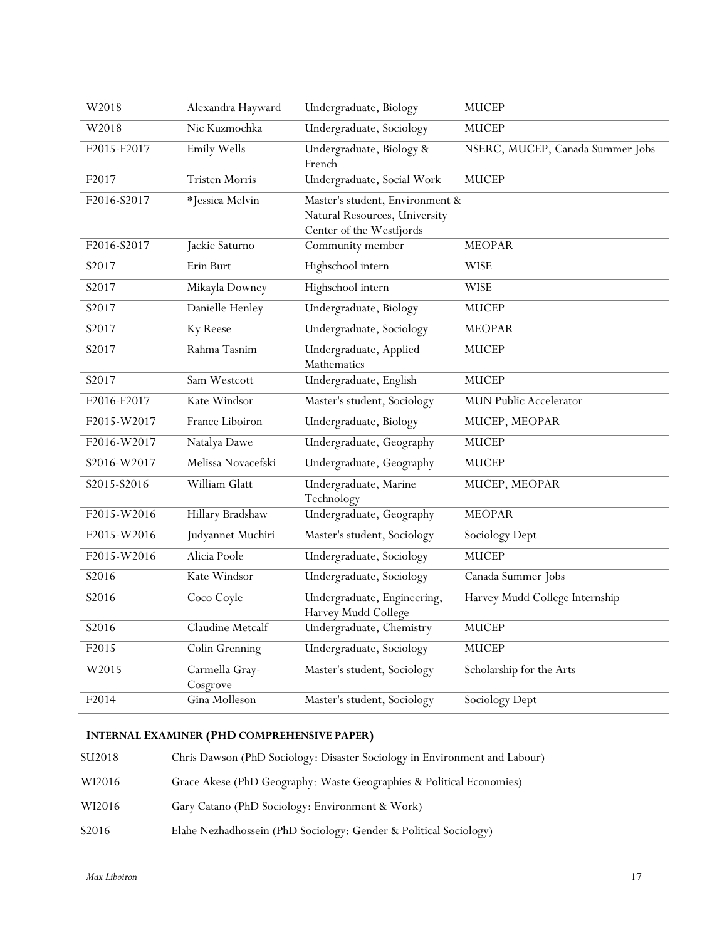| W2018       | Alexandra Hayward          | Undergraduate, Biology                                                                       | <b>MUCEP</b>                     |
|-------------|----------------------------|----------------------------------------------------------------------------------------------|----------------------------------|
| W2018       | Nic Kuzmochka              | Undergraduate, Sociology                                                                     | <b>MUCEP</b>                     |
| F2015-F2017 | Emily Wells                | Undergraduate, Biology &<br>French                                                           | NSERC, MUCEP, Canada Summer Jobs |
| F2017       | <b>Tristen Morris</b>      | Undergraduate, Social Work                                                                   | <b>MUCEP</b>                     |
| F2016-S2017 | *Jessica Melvin            | Master's student, Environment &<br>Natural Resources, University<br>Center of the Westfjords |                                  |
| F2016-S2017 | Jackie Saturno             | Community member                                                                             | <b>MEOPAR</b>                    |
| S2017       | Erin Burt                  | Highschool intern                                                                            | <b>WISE</b>                      |
| S2017       | Mikayla Downey             | Highschool intern                                                                            | <b>WISE</b>                      |
| S2017       | Danielle Henley            | Undergraduate, Biology                                                                       | <b>MUCEP</b>                     |
| S2017       | Ky Reese                   | Undergraduate, Sociology                                                                     | <b>MEOPAR</b>                    |
| S2017       | Rahma Tasnim               | Undergraduate, Applied<br>Mathematics                                                        | <b>MUCEP</b>                     |
| S2017       | Sam Westcott               | Undergraduate, English                                                                       | <b>MUCEP</b>                     |
| F2016-F2017 | Kate Windsor               | Master's student, Sociology                                                                  | MUN Public Accelerator           |
| F2015-W2017 | France Liboiron            | Undergraduate, Biology                                                                       | MUCEP, MEOPAR                    |
| F2016-W2017 | Natalya Dawe               | Undergraduate, Geography                                                                     | <b>MUCEP</b>                     |
| S2016-W2017 | Melissa Novacefski         | Undergraduate, Geography                                                                     | <b>MUCEP</b>                     |
| S2015-S2016 | William Glatt              | Undergraduate, Marine<br>Technology                                                          | MUCEP, MEOPAR                    |
| F2015-W2016 | Hillary Bradshaw           | Undergraduate, Geography                                                                     | <b>MEOPAR</b>                    |
| F2015-W2016 | Judyannet Muchiri          | Master's student, Sociology                                                                  | Sociology Dept                   |
| F2015-W2016 | Alicia Poole               | Undergraduate, Sociology                                                                     | <b>MUCEP</b>                     |
| S2016       | Kate Windsor               | Undergraduate, Sociology                                                                     | Canada Summer Jobs               |
| S2016       | Coco Coyle                 | Undergraduate, Engineering,<br>Harvey Mudd College                                           | Harvey Mudd College Internship   |
| S2016       | Claudine Metcalf           | Undergraduate, Chemistry                                                                     | <b>MUCEP</b>                     |
| F2015       | Colin Grenning             | Undergraduate, Sociology                                                                     | <b>MUCEP</b>                     |
| W2015       | Carmella Gray-<br>Cosgrove | Master's student, Sociology                                                                  | Scholarship for the Arts         |
| F2014       | Gina Molleson              | Master's student, Sociology                                                                  | Sociology Dept                   |

# **INTERNAL EXAMINER (PHD COMPREHENSIVE PAPER)**

| SU2018 | Chris Dawson (PhD Sociology: Disaster Sociology in Environment and Labour) |
|--------|----------------------------------------------------------------------------|
| WI2016 | Grace Akese (PhD Geography: Waste Geographies & Political Economies)       |
| WI2016 | Gary Catano (PhD Sociology: Environment & Work)                            |
| S2016  | Elahe Nezhadhossein (PhD Sociology: Gender & Political Sociology)          |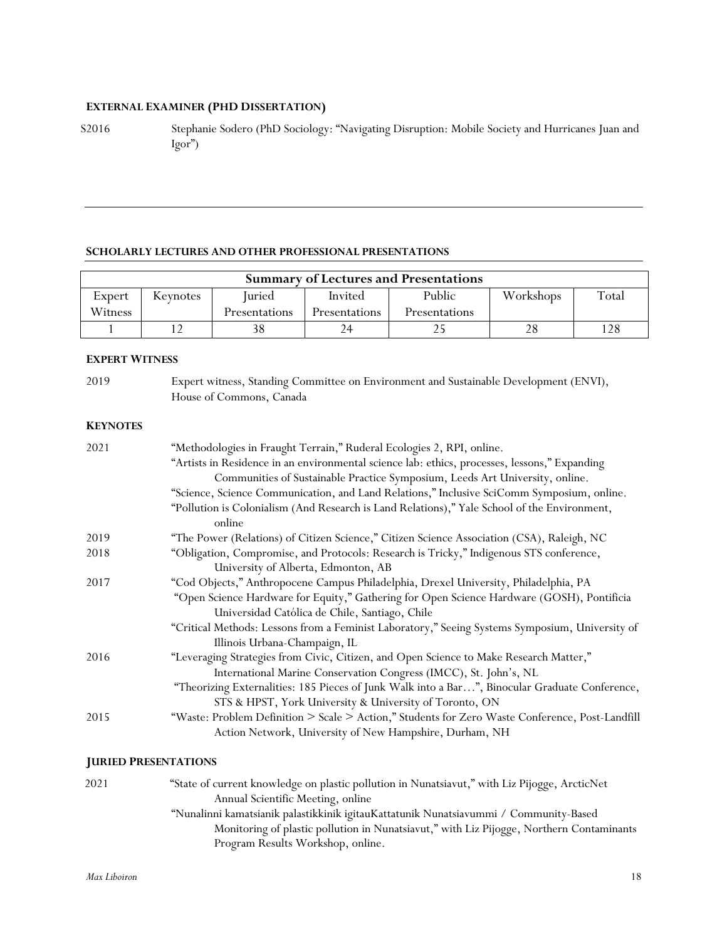# **EXTERNAL EXAMINER (PHD DISSERTATION)**

S2016 Stephanie Sodero (PhD Sociology: "Navigating Disruption: Mobile Society and Hurricanes Juan and  $Igor$ ")

#### **SCHOLARLY LECTURES AND OTHER PROFESSIONAL PRESENTATIONS**

| <b>Summary of Lectures and Presentations</b> |          |               |                      |                      |           |       |
|----------------------------------------------|----------|---------------|----------------------|----------------------|-----------|-------|
| Expert                                       | Keynotes | Iuried        | Invited              | Public               | Workshops | Total |
| Witness                                      |          | Presentations | <b>Presentations</b> | <b>Presentations</b> |           |       |
|                                              |          |               | 24                   |                      |           | 128   |

# **EXPERT WITNESS**

| 2019 | Expert witness, Standing Committee on Environment and Sustainable Development (ENVI), |
|------|---------------------------------------------------------------------------------------|
|      | House of Commons, Canada                                                              |

# **KEYNOTES**

| 2021 | "Methodologies in Fraught Terrain," Ruderal Ecologies 2, RPI, online.                           |
|------|-------------------------------------------------------------------------------------------------|
|      | "Artists in Residence in an environmental science lab: ethics, processes, lessons," Expanding   |
|      | Communities of Sustainable Practice Symposium, Leeds Art University, online.                    |
|      | "Science, Science Communication, and Land Relations," Inclusive SciComm Symposium, online.      |
|      | "Pollution is Colonialism (And Research is Land Relations)," Yale School of the Environment,    |
|      | online                                                                                          |
| 2019 | "The Power (Relations) of Citizen Science," Citizen Science Association (CSA), Raleigh, NC      |
| 2018 | "Obligation, Compromise, and Protocols: Research is Tricky," Indigenous STS conference,         |
|      | University of Alberta, Edmonton, AB                                                             |
| 2017 | "Cod Objects," Anthropocene Campus Philadelphia, Drexel University, Philadelphia, PA            |
|      | "Open Science Hardware for Equity," Gathering for Open Science Hardware (GOSH), Pontificia      |
|      | Universidad Católica de Chile, Santiago, Chile                                                  |
|      | "Critical Methods: Lessons from a Feminist Laboratory," Seeing Systems Symposium, University of |
|      | Illinois Urbana-Champaign, IL                                                                   |
| 2016 | "Leveraging Strategies from Civic, Citizen, and Open Science to Make Research Matter,"          |
|      | International Marine Conservation Congress (IMCC), St. John's, NL                               |
|      | "Theorizing Externalities: 185 Pieces of Junk Walk into a Bar", Binocular Graduate Conference,  |
|      | STS & HPST, York University & University of Toronto, ON                                         |
| 2015 | "Waste: Problem Definition > Scale > Action," Students for Zero Waste Conference, Post-Landfill |
|      | Action Network, University of New Hampshire, Durham, NH                                         |
|      |                                                                                                 |

# **JURIED PRESENTATIONS**

| 2021 | "State of current knowledge on plastic pollution in Nunatsiavut," with Liz Pijogge, ArcticNet |
|------|-----------------------------------------------------------------------------------------------|
|      | Annual Scientific Meeting, online                                                             |
|      | "Nunalinni kamatsianik palastikkinik igitauKattatunik Nunatsiavummi / Community-Based         |
|      | Monitoring of plastic pollution in Nunatsiavut," with Liz Pijogge, Northern Contaminants      |
|      | Program Results Workshop, online.                                                             |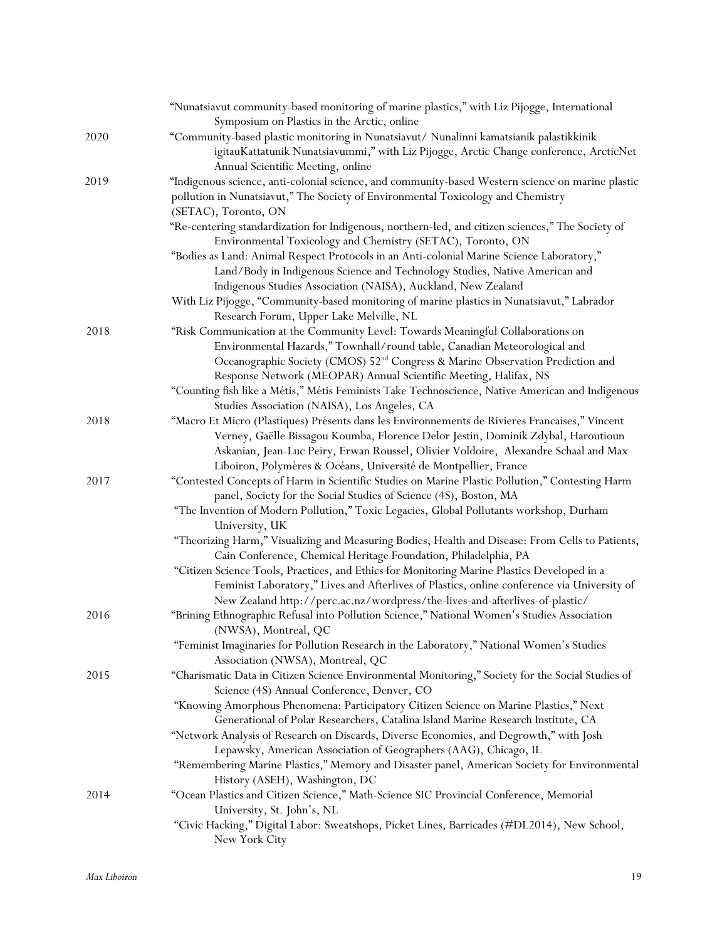|      | "Nunatsiavut community-based monitoring of marine plastics," with Liz Pijogge, International<br>Symposium on Plastics in the Arctic, online                                       |
|------|-----------------------------------------------------------------------------------------------------------------------------------------------------------------------------------|
| 2020 | "Community-based plastic monitoring in Nunatsiavut/ Nunalinni kamatsianik palastikkinik<br>igitauKattatunik Nunatsiavummi," with Liz Pijogge, Arctic Change conference, ArcticNet |
|      | Annual Scientific Meeting, online                                                                                                                                                 |
| 2019 | "Indigenous science, anti-colonial science, and community-based Western science on marine plastic                                                                                 |
|      | pollution in Nunatsiavut," The Society of Environmental Toxicology and Chemistry<br>(SETAC), Toronto, ON                                                                          |
|      | "Re-centering standardization for Indigenous, northern-led, and citizen sciences," The Society of<br>Environmental Toxicology and Chemistry (SETAC), Toronto, ON                  |
|      | "Bodies as Land: Animal Respect Protocols in an Anti-colonial Marine Science Laboratory,"                                                                                         |
|      | Land/Body in Indigenous Science and Technology Studies, Native American and<br>Indigenous Studies Association (NAISA), Auckland, New Zealand                                      |
|      | With Liz Pijogge, "Community-based monitoring of marine plastics in Nunatsiavut," Labrador                                                                                        |
|      | Research Forum, Upper Lake Melville, NL                                                                                                                                           |
| 2018 | "Risk Communication at the Community Level: Towards Meaningful Collaborations on                                                                                                  |
|      | Environmental Hazards," Townhall/round table, Canadian Meteorological and                                                                                                         |
|      | Oceanographic Society (CMOS) 52 <sup>nd</sup> Congress & Marine Observation Prediction and                                                                                        |
|      | Response Network (MEOPAR) Annual Scientific Meeting, Halifax, NS                                                                                                                  |
|      | "Counting fish like a Métis," Métis Feminists Take Technoscience, Native American and Indigenous                                                                                  |
|      | Studies Association (NAISA), Los Angeles, CA                                                                                                                                      |
| 2018 | "Macro Et Micro (Plastiques) Présents dans les Environnements de Rivieres Francaises," Vincent                                                                                    |
|      | Verney, Gaëlle Bissagou Koumba, Florence Delor Jestin, Dominik Zdybal, Haroutioun                                                                                                 |
|      | Askanian, Jean-Luc Peiry, Erwan Roussel, Olivier Voldoire, Alexandre Schaal and Max                                                                                               |
|      | Liboiron, Polymères & Océans, Université de Montpellier, France                                                                                                                   |
| 2017 | "Contested Concepts of Harm in Scientific Studies on Marine Plastic Pollution," Contesting Harm<br>panel, Society for the Social Studies of Science (4S), Boston, MA              |
|      | "The Invention of Modern Pollution," Toxic Legacies, Global Pollutants workshop, Durham<br>University, UK                                                                         |
|      | "Theorizing Harm," Visualizing and Measuring Bodies, Health and Disease: From Cells to Patients,<br>Cain Conference, Chemical Heritage Foundation, Philadelphia, PA               |
|      | "Citizen Science Tools, Practices, and Ethics for Monitoring Marine Plastics Developed in a                                                                                       |
|      | Feminist Laboratory," Lives and Afterlives of Plastics, online conference via University of                                                                                       |
| 2016 | New Zealand http://perc.ac.nz/wordpress/the-lives-and-afterlives-of-plastic/                                                                                                      |
|      | "Brining Ethnographic Refusal into Pollution Science," National Women's Studies Association<br>(NWSA), Montreal, QC                                                               |
|      | "Feminist Imaginaries for Pollution Research in the Laboratory," National Women's Studies<br>Association (NWSA), Montreal, QC                                                     |
| 2015 | "Charismatic Data in Citizen Science Environmental Monitoring," Society for the Social Studies of                                                                                 |
|      | Science (4S) Annual Conference, Denver, CO                                                                                                                                        |
|      | "Knowing Amorphous Phenomena: Participatory Citizen Science on Marine Plastics," Next                                                                                             |
|      | Generational of Polar Researchers, Catalina Island Marine Research Institute, CA                                                                                                  |
|      | "Network Analysis of Research on Discards, Diverse Economies, and Degrowth," with Josh                                                                                            |
|      | Lepawsky, American Association of Geographers (AAG), Chicago, IL                                                                                                                  |
|      | "Remembering Marine Plastics," Memory and Disaster panel, American Society for Environmental<br>History (ASEH), Washington, DC                                                    |
| 2014 | "Ocean Plastics and Citizen Science," Math-Science SIC Provincial Conference, Memorial<br>University, St. John's, NL                                                              |
|      | "Civic Hacking," Digital Labor: Sweatshops, Picket Lines, Barricades (#DL2014), New School,<br>New York City                                                                      |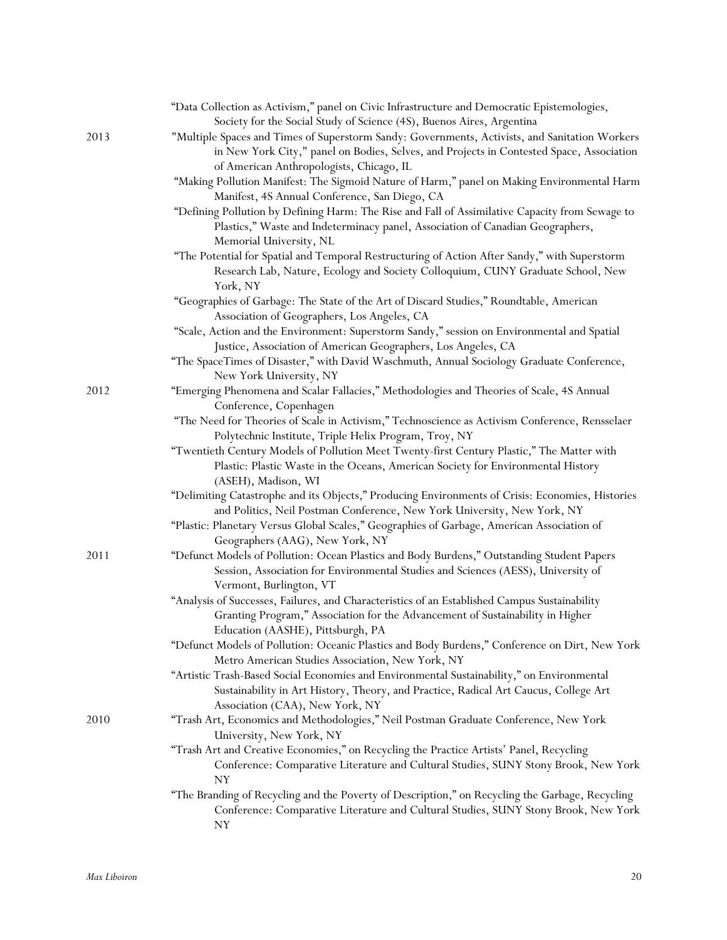|      | "Data Collection as Activism," panel on Civic Infrastructure and Democratic Epistemologies,      |
|------|--------------------------------------------------------------------------------------------------|
|      | Society for the Social Study of Science (4S), Buenos Aires, Argentina                            |
| 2013 | "Multiple Spaces and Times of Superstorm Sandy: Governments, Activists, and Sanitation Workers   |
|      | in New York City," panel on Bodies, Selves, and Projects in Contested Space, Association         |
|      | of American Anthropologists, Chicago, IL                                                         |
|      | "Making Pollution Manifest: The Sigmoid Nature of Harm," panel on Making Environmental Harm      |
|      | Manifest, 4S Annual Conference, San Diego, CA                                                    |
|      | "Defining Pollution by Defining Harm: The Rise and Fall of Assimilative Capacity from Sewage to  |
|      | Plastics," Waste and Indeterminacy panel, Association of Canadian Geographers,                   |
|      | Memorial University, NL                                                                          |
|      | "The Potential for Spatial and Temporal Restructuring of Action After Sandy," with Superstorm    |
|      | Research Lab, Nature, Ecology and Society Colloquium, CUNY Graduate School, New                  |
|      | York, NY                                                                                         |
|      | "Geographies of Garbage: The State of the Art of Discard Studies," Roundtable, American          |
|      | Association of Geographers, Los Angeles, CA                                                      |
|      | "Scale, Action and the Environment: Superstorm Sandy," session on Environmental and Spatial      |
|      | Justice, Association of American Geographers, Los Angeles, CA                                    |
|      | "The SpaceTimes of Disaster," with David Waschmuth, Annual Sociology Graduate Conference,        |
|      | New York University, NY                                                                          |
| 2012 | "Emerging Phenomena and Scalar Fallacies," Methodologies and Theories of Scale, 4S Annual        |
|      | Conference, Copenhagen                                                                           |
|      | "The Need for Theories of Scale in Activism," Technoscience as Activism Conference, Rensselaer   |
|      | Polytechnic Institute, Triple Helix Program, Troy, NY                                            |
|      | "Twentieth Century Models of Pollution Meet Twenty-first Century Plastic," The Matter with       |
|      | Plastic: Plastic Waste in the Oceans, American Society for Environmental History                 |
|      | (ASEH), Madison, WI                                                                              |
|      | "Delimiting Catastrophe and its Objects," Producing Environments of Crisis: Economies, Histories |
|      | and Politics, Neil Postman Conference, New York University, New York, NY                         |
|      | "Plastic: Planetary Versus Global Scales," Geographies of Garbage, American Association of       |
|      |                                                                                                  |
| 2011 | Geographers (AAG), New York, NY                                                                  |
|      | "Defunct Models of Pollution: Ocean Plastics and Body Burdens," Outstanding Student Papers       |
|      | Session, Association for Environmental Studies and Sciences (AESS), University of                |
|      | Vermont, Burlington, VT                                                                          |
|      | "Analysis of Successes, Failures, and Characteristics of an Established Campus Sustainability    |
|      | Granting Program," Association for the Advancement of Sustainability in Higher                   |
|      | Education (AASHE), Pittsburgh, PA                                                                |
|      | "Defunct Models of Pollution: Oceanic Plastics and Body Burdens," Conference on Dirt, New York   |
|      | Metro American Studies Association, New York, NY                                                 |
|      | "Artistic Trash-Based Social Economies and Environmental Sustainability," on Environmental       |
|      | Sustainability in Art History, Theory, and Practice, Radical Art Caucus, College Art             |
|      | Association (CAA), New York, NY                                                                  |
| 2010 | "Trash Art, Economics and Methodologies," Neil Postman Graduate Conference, New York             |
|      | University, New York, NY                                                                         |
|      | "Trash Art and Creative Economies," on Recycling the Practice Artists' Panel, Recycling          |
|      | Conference: Comparative Literature and Cultural Studies, SUNY Stony Brook, New York              |
|      | NY                                                                                               |
|      | "The Branding of Recycling and the Poverty of Description," on Recycling the Garbage, Recycling  |
|      | Conference: Comparative Literature and Cultural Studies, SUNY Stony Brook, New York              |
|      | NY                                                                                               |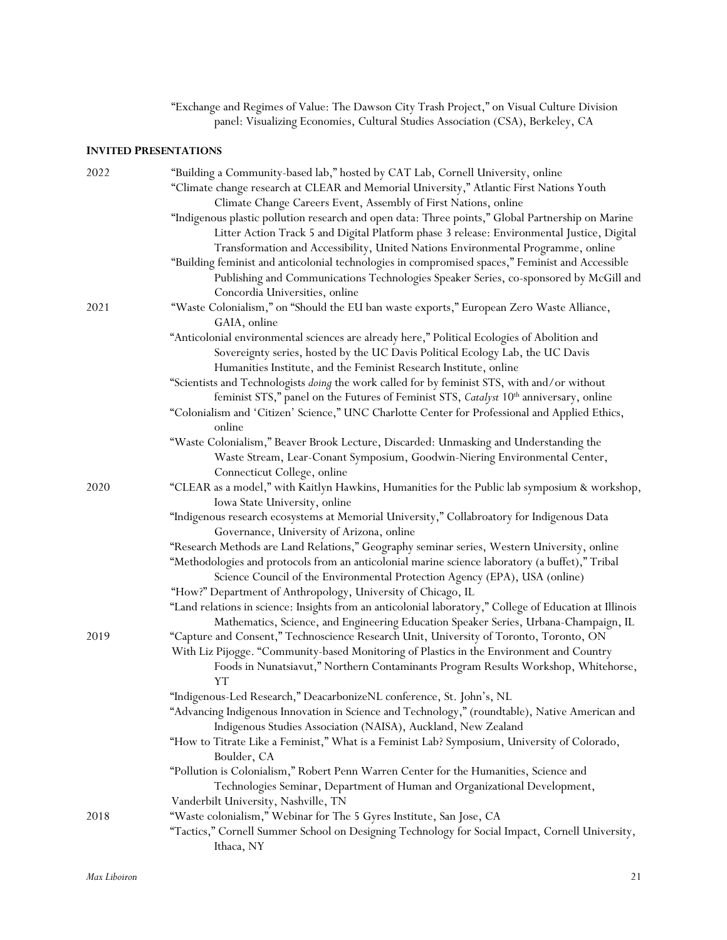| "Exchange and Regimes of Value: The Dawson City Trash Project," on Visual Culture Division |
|--------------------------------------------------------------------------------------------|
| panel: Visualizing Economies, Cultural Studies Association (CSA), Berkeley, CA             |

# **INVITED PRESENTATIONS**

| 2022 | "Building a Community-based lab," hosted by CAT Lab, Cornell University, online                         |
|------|---------------------------------------------------------------------------------------------------------|
|      | "Climate change research at CLEAR and Memorial University," Atlantic First Nations Youth                |
|      | Climate Change Careers Event, Assembly of First Nations, online                                         |
|      | "Indigenous plastic pollution research and open data: Three points," Global Partnership on Marine       |
|      | Litter Action Track 5 and Digital Platform phase 3 release: Environmental Justice, Digital              |
|      | Transformation and Accessibility, United Nations Environmental Programme, online                        |
|      |                                                                                                         |
|      | "Building feminist and anticolonial technologies in compromised spaces," Feminist and Accessible        |
|      | Publishing and Communications Technologies Speaker Series, co-sponsored by McGill and                   |
|      | Concordia Universities, online                                                                          |
| 2021 | "Waste Colonialism," on "Should the EU ban waste exports," European Zero Waste Alliance,                |
|      | GAIA, online                                                                                            |
|      | "Anticolonial environmental sciences are already here," Political Ecologies of Abolition and            |
|      | Sovereignty series, hosted by the UC Davis Political Ecology Lab, the UC Davis                          |
|      | Humanities Institute, and the Feminist Research Institute, online                                       |
|      | "Scientists and Technologists doing the work called for by feminist STS, with and/or without            |
|      | feminist STS," panel on the Futures of Feminist STS, Catalyst 10 <sup>th</sup> anniversary, online      |
|      | "Colonialism and 'Citizen' Science," UNC Charlotte Center for Professional and Applied Ethics,          |
|      | online                                                                                                  |
|      | "Waste Colonialism," Beaver Brook Lecture, Discarded: Unmasking and Understanding the                   |
|      | Waste Stream, Lear-Conant Symposium, Goodwin-Niering Environmental Center,                              |
|      | Connecticut College, online                                                                             |
| 2020 | "CLEAR as a model," with Kaitlyn Hawkins, Humanities for the Public lab symposium & workshop,           |
|      | Iowa State University, online                                                                           |
|      | "Indigenous research ecosystems at Memorial University," Collabroatory for Indigenous Data              |
|      | Governance, University of Arizona, online                                                               |
|      | "Research Methods are Land Relations," Geography seminar series, Western University, online             |
|      | "Methodologies and protocols from an anticolonial marine science laboratory (a buffet)," Tribal         |
|      | Science Council of the Environmental Protection Agency (EPA), USA (online)                              |
|      | "How?" Department of Anthropology, University of Chicago, IL                                            |
|      | "Land relations in science: Insights from an anticolonial laboratory," College of Education at Illinois |
|      | Mathematics, Science, and Engineering Education Speaker Series, Urbana-Champaign, IL                    |
| 2019 | "Capture and Consent," Technoscience Research Unit, University of Toronto, Toronto, ON                  |
|      | With Liz Pijogge. "Community-based Monitoring of Plastics in the Environment and Country                |
|      | Foods in Nunatsiavut," Northern Contaminants Program Results Workshop, Whitehorse,                      |
|      | YΤ                                                                                                      |
|      | "Indigenous-Led Research," DeacarbonizeNL conference, St. John's, NL                                    |
|      | "Advancing Indigenous Innovation in Science and Technology," (roundtable), Native American and          |
|      | Indigenous Studies Association (NAISA), Auckland, New Zealand                                           |
|      | "How to Titrate Like a Feminist," What is a Feminist Lab? Symposium, University of Colorado,            |
|      | Boulder, CA                                                                                             |
|      | "Pollution is Colonialism," Robert Penn Warren Center for the Humanities, Science and                   |
|      |                                                                                                         |
|      | Technologies Seminar, Department of Human and Organizational Development,                               |
|      | Vanderbilt University, Nashville, TN                                                                    |
| 2018 | "Waste colonialism," Webinar for The 5 Gyres Institute, San Jose, CA                                    |
|      | "Tactics," Cornell Summer School on Designing Technology for Social Impact, Cornell University,         |
|      | Ithaca, NY                                                                                              |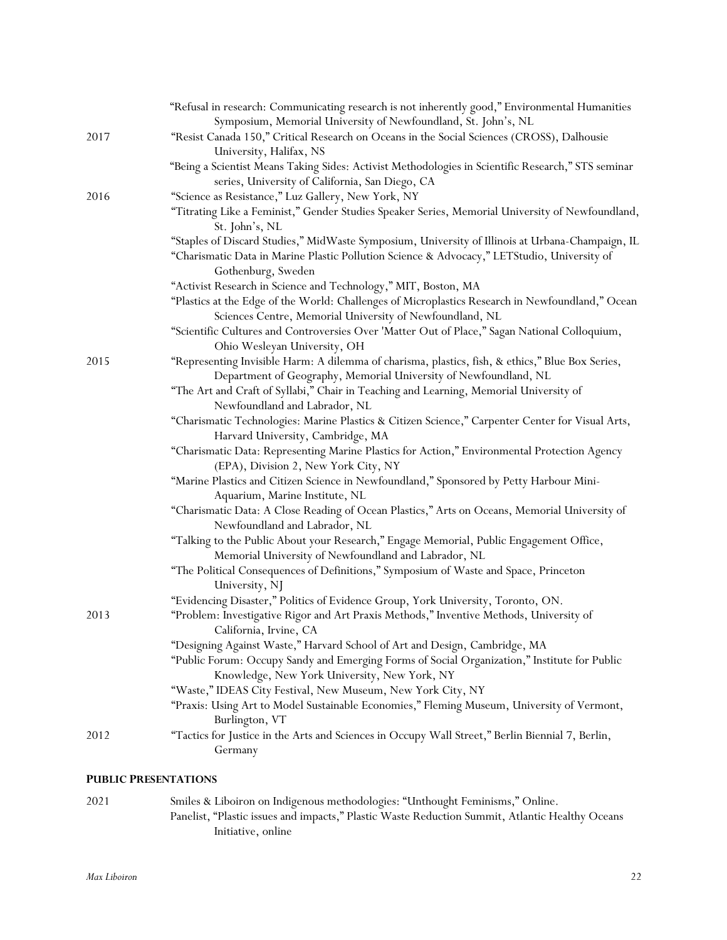| 2017 | "Refusal in research: Communicating research is not inherently good," Environmental Humanities<br>Symposium, Memorial University of Newfoundland, St. John's, NL<br>"Resist Canada 150," Critical Research on Oceans in the Social Sciences (CROSS), Dalhousie |
|------|----------------------------------------------------------------------------------------------------------------------------------------------------------------------------------------------------------------------------------------------------------------|
|      | University, Halifax, NS<br>"Being a Scientist Means Taking Sides: Activist Methodologies in Scientific Research," STS seminar<br>series, University of California, San Diego, CA                                                                               |
| 2016 | "Science as Resistance," Luz Gallery, New York, NY<br>"Titrating Like a Feminist," Gender Studies Speaker Series, Memorial University of Newfoundland,<br>St. John's, NL                                                                                       |
|      | "Staples of Discard Studies," MidWaste Symposium, University of Illinois at Urbana-Champaign, IL<br>"Charismatic Data in Marine Plastic Pollution Science & Advocacy," LETStudio, University of<br>Gothenburg, Sweden                                          |
|      | "Activist Research in Science and Technology," MIT, Boston, MA<br>"Plastics at the Edge of the World: Challenges of Microplastics Research in Newfoundland," Ocean<br>Sciences Centre, Memorial University of Newfoundland, NL                                 |
|      | "Scientific Cultures and Controversies Over 'Matter Out of Place," Sagan National Colloquium,<br>Ohio Wesleyan University, OH                                                                                                                                  |
| 2015 | "Representing Invisible Harm: A dilemma of charisma, plastics, fish, & ethics," Blue Box Series,<br>Department of Geography, Memorial University of Newfoundland, NL                                                                                           |
|      | "The Art and Craft of Syllabi," Chair in Teaching and Learning, Memorial University of<br>Newfoundland and Labrador, NL                                                                                                                                        |
|      | "Charismatic Technologies: Marine Plastics & Citizen Science," Carpenter Center for Visual Arts,<br>Harvard University, Cambridge, MA                                                                                                                          |
|      | "Charismatic Data: Representing Marine Plastics for Action," Environmental Protection Agency<br>(EPA), Division 2, New York City, NY                                                                                                                           |
|      | "Marine Plastics and Citizen Science in Newfoundland," Sponsored by Petty Harbour Mini-<br>Aquarium, Marine Institute, NL                                                                                                                                      |
|      | "Charismatic Data: A Close Reading of Ocean Plastics," Arts on Oceans, Memorial University of<br>Newfoundland and Labrador, NL                                                                                                                                 |
|      | "Talking to the Public About your Research," Engage Memorial, Public Engagement Office,<br>Memorial University of Newfoundland and Labrador, NL                                                                                                                |
|      | "The Political Consequences of Definitions," Symposium of Waste and Space, Princeton<br>University, NJ                                                                                                                                                         |
| 2013 | "Evidencing Disaster," Politics of Evidence Group, York University, Toronto, ON.<br>"Problem: Investigative Rigor and Art Praxis Methods," Inventive Methods, University of                                                                                    |
|      | California, Irvine, CA<br>"Designing Against Waste," Harvard School of Art and Design, Cambridge, MA                                                                                                                                                           |
|      | "Public Forum: Occupy Sandy and Emerging Forms of Social Organization," Institute for Public<br>Knowledge, New York University, New York, NY                                                                                                                   |
|      | "Waste," IDEAS City Festival, New Museum, New York City, NY<br>"Praxis: Using Art to Model Sustainable Economies," Fleming Museum, University of Vermont,<br>Burlington, VT                                                                                    |
| 2012 | "Tactics for Justice in the Arts and Sciences in Occupy Wall Street," Berlin Biennial 7, Berlin,<br>Germany                                                                                                                                                    |
|      |                                                                                                                                                                                                                                                                |

# **PUBLIC PRESENTATIONS**

2021 Smiles & Liboiron on Indigenous methodologies: "Unthought Feminisms," Online. Panelist, "Plastic issues and impacts," Plastic Waste Reduction Summit, Atlantic Healthy Oceans Initiative, online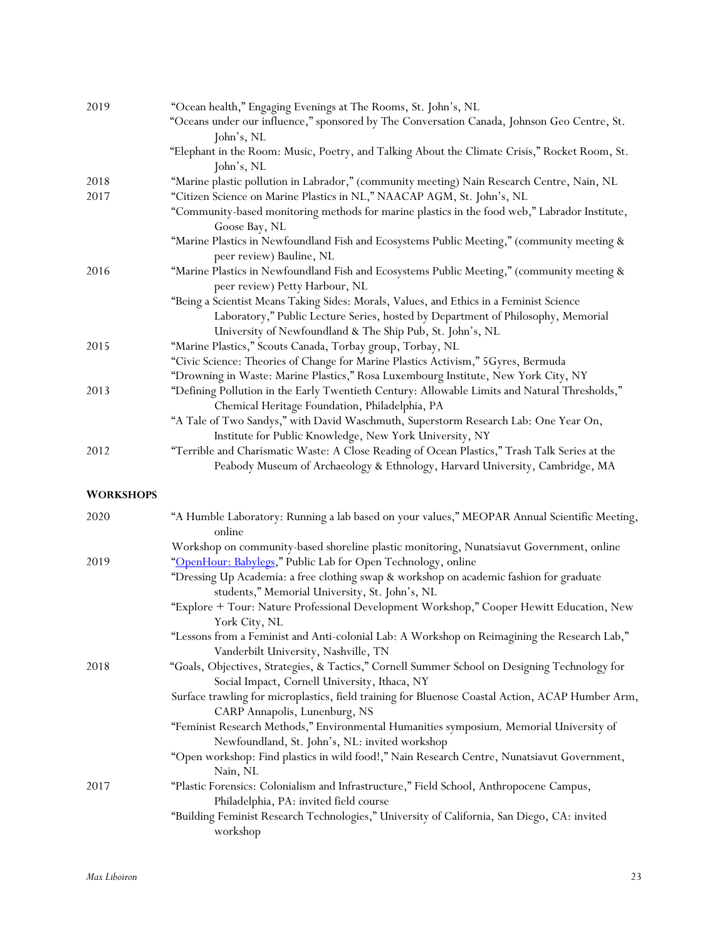| 2019             | "Ocean health," Engaging Evenings at The Rooms, St. John's, NL                                                                                 |
|------------------|------------------------------------------------------------------------------------------------------------------------------------------------|
|                  | "Oceans under our influence," sponsored by The Conversation Canada, Johnson Geo Centre, St.<br>John's, NL                                      |
|                  | "Elephant in the Room: Music, Poetry, and Talking About the Climate Crisis," Rocket Room, St.<br>John's, NL                                    |
| 2018             | "Marine plastic pollution in Labrador," (community meeting) Nain Research Centre, Nain, NL                                                     |
| 2017             | "Citizen Science on Marine Plastics in NL," NAACAP AGM, St. John's, NL                                                                         |
|                  | "Community-based monitoring methods for marine plastics in the food web," Labrador Institute,                                                  |
|                  | Goose Bay, NL                                                                                                                                  |
|                  | "Marine Plastics in Newfoundland Fish and Ecosystems Public Meeting," (community meeting &<br>peer review) Bauline, NL                         |
| 2016             | "Marine Plastics in Newfoundland Fish and Ecosystems Public Meeting," (community meeting &                                                     |
|                  | peer review) Petty Harbour, NL                                                                                                                 |
|                  | "Being a Scientist Means Taking Sides: Morals, Values, and Ethics in a Feminist Science                                                        |
|                  | Laboratory," Public Lecture Series, hosted by Department of Philosophy, Memorial                                                               |
|                  | University of Newfoundland & The Ship Pub, St. John's, NL                                                                                      |
| 2015             | "Marine Plastics," Scouts Canada, Torbay group, Torbay, NL                                                                                     |
|                  | "Civic Science: Theories of Change for Marine Plastics Activism," 5Gyres, Bermuda                                                              |
|                  | "Drowning in Waste: Marine Plastics," Rosa Luxembourg Institute, New York City, NY                                                             |
| 2013             | "Defining Pollution in the Early Twentieth Century: Allowable Limits and Natural Thresholds,"                                                  |
|                  | Chemical Heritage Foundation, Philadelphia, PA<br>"A Tale of Two Sandys," with David Waschmuth, Superstorm Research Lab: One Year On,          |
|                  | Institute for Public Knowledge, New York University, NY                                                                                        |
| 2012             | "Terrible and Charismatic Waste: A Close Reading of Ocean Plastics," Trash Talk Series at the                                                  |
|                  | Peabody Museum of Archaeology & Ethnology, Harvard University, Cambridge, MA                                                                   |
| <b>WORKSHOPS</b> |                                                                                                                                                |
| 2020             | "A Humble Laboratory: Running a lab based on your values," MEOPAR Annual Scientific Meeting,<br>online                                         |
|                  | Workshop on community-based shoreline plastic monitoring, Nunatsiavut Government, online                                                       |
| 2019             | "OpenHour: Babylegs," Public Lab for Open Technology, online                                                                                   |
|                  | "Dressing Up Academia: a free clothing swap & workshop on academic fashion for graduate                                                        |
|                  | students," Memorial University, St. John's, NL                                                                                                 |
|                  | "Explore + Tour: Nature Professional Development Workshop," Cooper Hewitt Education, New<br>York City, NL                                      |
|                  | "Lessons from a Feminist and Anti-colonial Lab: A Workshop on Reimagining the Research Lab,"                                                   |
|                  | Vanderbilt University, Nashville, TN                                                                                                           |
| 2018             | "Goals, Objectives, Strategies, & Tactics," Cornell Summer School on Designing Technology for<br>Social Impact, Cornell University, Ithaca, NY |
|                  | Surface trawling for microplastics, field training for Bluenose Coastal Action, ACAP Humber Arm,<br>CARP Annapolis, Lunenburg, NS              |
|                  | "Feminist Research Methods," Environmental Humanities symposium, Memorial University of<br>Newfoundland, St. John's, NL: invited workshop      |
|                  | "Open workshop: Find plastics in wild food!," Nain Research Centre, Nunatsiavut Government,                                                    |
|                  | Nain, NL                                                                                                                                       |
| 2017             | "Plastic Forensics: Colonialism and Infrastructure," Field School, Anthropocene Campus,                                                        |
|                  | Philadelphia, PA: invited field course                                                                                                         |
|                  | "Building Feminist Research Technologies," University of California, San Diego, CA: invited<br>workshop                                        |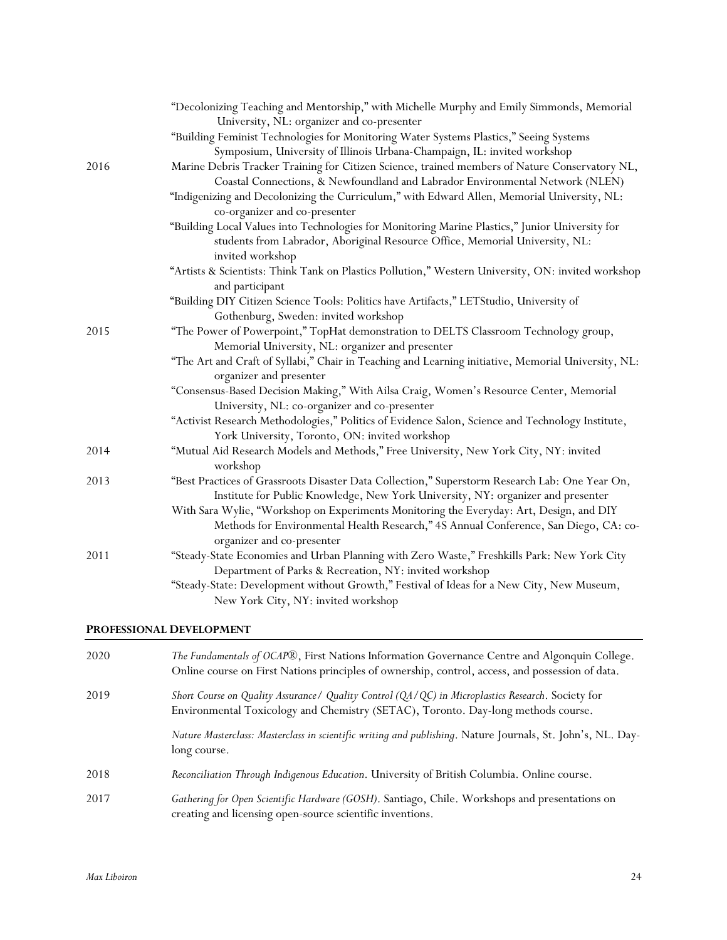|      | "Decolonizing Teaching and Mentorship," with Michelle Murphy and Emily Simmonds, Memorial                                                                                                                     |
|------|---------------------------------------------------------------------------------------------------------------------------------------------------------------------------------------------------------------|
|      | University, NL: organizer and co-presenter                                                                                                                                                                    |
|      | "Building Feminist Technologies for Monitoring Water Systems Plastics," Seeing Systems                                                                                                                        |
|      | Symposium, University of Illinois Urbana-Champaign, IL: invited workshop                                                                                                                                      |
| 2016 | Marine Debris Tracker Training for Citizen Science, trained members of Nature Conservatory NL,<br>Coastal Connections, & Newfoundland and Labrador Environmental Network (NLEN)                               |
|      | "Indigenizing and Decolonizing the Curriculum," with Edward Allen, Memorial University, NL:<br>co-organizer and co-presenter                                                                                  |
|      | "Building Local Values into Technologies for Monitoring Marine Plastics," Junior University for<br>students from Labrador, Aboriginal Resource Office, Memorial University, NL:<br>invited workshop           |
|      | "Artists & Scientists: Think Tank on Plastics Pollution," Western University, ON: invited workshop<br>and participant                                                                                         |
|      | "Building DIY Citizen Science Tools: Politics have Artifacts," LETStudio, University of                                                                                                                       |
|      | Gothenburg, Sweden: invited workshop                                                                                                                                                                          |
| 2015 | "The Power of Powerpoint," TopHat demonstration to DELTS Classroom Technology group,<br>Memorial University, NL: organizer and presenter                                                                      |
|      | "The Art and Craft of Syllabi," Chair in Teaching and Learning initiative, Memorial University, NL:<br>organizer and presenter                                                                                |
|      | "Consensus-Based Decision Making," With Ailsa Craig, Women's Resource Center, Memorial<br>University, NL: co-organizer and co-presenter                                                                       |
|      | "Activist Research Methodologies," Politics of Evidence Salon, Science and Technology Institute,<br>York University, Toronto, ON: invited workshop                                                            |
| 2014 | "Mutual Aid Research Models and Methods," Free University, New York City, NY: invited<br>workshop                                                                                                             |
| 2013 | "Best Practices of Grassroots Disaster Data Collection," Superstorm Research Lab: One Year On,<br>Institute for Public Knowledge, New York University, NY: organizer and presenter                            |
|      | With Sara Wylie, "Workshop on Experiments Monitoring the Everyday: Art, Design, and DIY<br>Methods for Environmental Health Research," 4S Annual Conference, San Diego, CA: co-<br>organizer and co-presenter |
| 2011 | "Steady-State Economies and Urban Planning with Zero Waste," Freshkills Park: New York City<br>Department of Parks & Recreation, NY: invited workshop                                                         |
|      | "Steady-State: Development without Growth," Festival of Ideas for a New City, New Museum,<br>New York City, NY: invited workshop                                                                              |

# **PROFESSIONAL DEVELOPMENT**

| 2020 | The Fundamentals of OCAP®, First Nations Information Governance Centre and Algonquin College.<br>Online course on First Nations principles of ownership, control, access, and possession of data. |
|------|---------------------------------------------------------------------------------------------------------------------------------------------------------------------------------------------------|
| 2019 | Short Course on Quality Assurance/ Quality Control (QA/QC) in Microplastics Research. Society for<br>Environmental Toxicology and Chemistry (SETAC), Toronto. Day-long methods course.            |
|      | Nature Masterclass: Masterclass in scientific writing and publishing. Nature Journals, St. John's, NL. Day-<br>long course.                                                                       |
| 2018 | Reconciliation Through Indigenous Education. University of British Columbia. Online course.                                                                                                       |
| 2017 | Gathering for Open Scientific Hardware (GOSH). Santiago, Chile. Workshops and presentations on<br>creating and licensing open-source scientific inventions.                                       |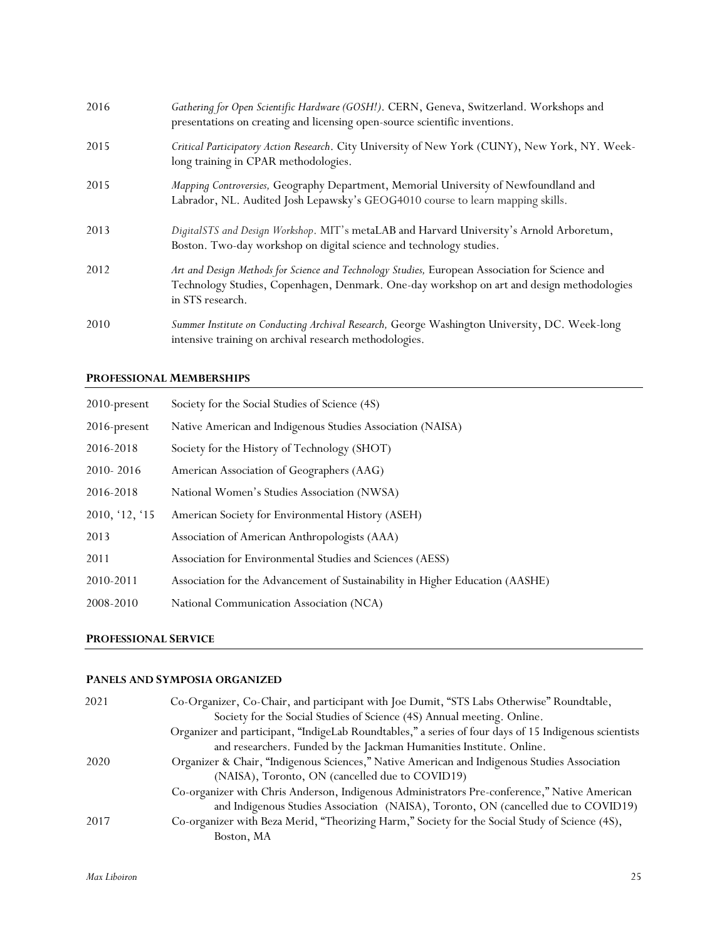| 2016 | Gathering for Open Scientific Hardware (GOSH!). CERN, Geneva, Switzerland. Workshops and<br>presentations on creating and licensing open-source scientific inventions.                                           |
|------|------------------------------------------------------------------------------------------------------------------------------------------------------------------------------------------------------------------|
| 2015 | Critical Participatory Action Research. City University of New York (CUNY), New York, NY. Week-<br>long training in CPAR methodologies.                                                                          |
| 2015 | Mapping Controversies, Geography Department, Memorial University of Newfoundland and<br>Labrador, NL. Audited Josh Lepawsky's GEOG4010 course to learn mapping skills.                                           |
| 2013 | DigitalSTS and Design Workshop. MIT's metaLAB and Harvard University's Arnold Arboretum,<br>Boston. Two-day workshop on digital science and technology studies.                                                  |
| 2012 | Art and Design Methods for Science and Technology Studies, European Association for Science and<br>Technology Studies, Copenhagen, Denmark. One-day workshop on art and design methodologies<br>in STS research. |
| 2010 | Summer Institute on Conducting Archival Research, George Washington University, DC. Week-long<br>intensive training on archival research methodologies.                                                          |

# **PROFESSIONAL MEMBERSHIPS**

| 2010-present    | Society for the Social Studies of Science (4S)                                |
|-----------------|-------------------------------------------------------------------------------|
| $2016$ -present | Native American and Indigenous Studies Association (NAISA)                    |
| 2016-2018       | Society for the History of Technology (SHOT)                                  |
| 2010-2016       | American Association of Geographers (AAG)                                     |
| 2016-2018       | National Women's Studies Association (NWSA)                                   |
| 2010, '12, '15  | American Society for Environmental History (ASEH)                             |
| 2013            | Association of American Anthropologists (AAA)                                 |
| 2011            | Association for Environmental Studies and Sciences (AESS)                     |
| 2010-2011       | Association for the Advancement of Sustainability in Higher Education (AASHE) |
| 2008-2010       | National Communication Association (NCA)                                      |

# **PROFESSIONAL SERVICE**

# **PANELS AND SYMPOSIA ORGANIZED**

| 2021<br>Co-Organizer, Co-Chair, and participant with Joe Dumit, "STS Labs Otherwise" Roundtable, |                                                                                                       |  |
|--------------------------------------------------------------------------------------------------|-------------------------------------------------------------------------------------------------------|--|
|                                                                                                  | Society for the Social Studies of Science (4S) Annual meeting. Online.                                |  |
|                                                                                                  | Organizer and participant, "IndigeLab Roundtables," a series of four days of 15 Indigenous scientists |  |
|                                                                                                  | and researchers. Funded by the Jackman Humanities Institute. Online.                                  |  |
| 2020                                                                                             | Organizer & Chair, "Indigenous Sciences," Native American and Indigenous Studies Association          |  |
|                                                                                                  | (NAISA), Toronto, ON (cancelled due to COVID19)                                                       |  |
|                                                                                                  | Co-organizer with Chris Anderson, Indigenous Administrators Pre-conference," Native American          |  |
|                                                                                                  | and Indigenous Studies Association (NAISA), Toronto, ON (cancelled due to COVID19)                    |  |
| 2017                                                                                             | Co-organizer with Beza Merid, "Theorizing Harm," Society for the Social Study of Science (4S),        |  |
|                                                                                                  | Boston, MA                                                                                            |  |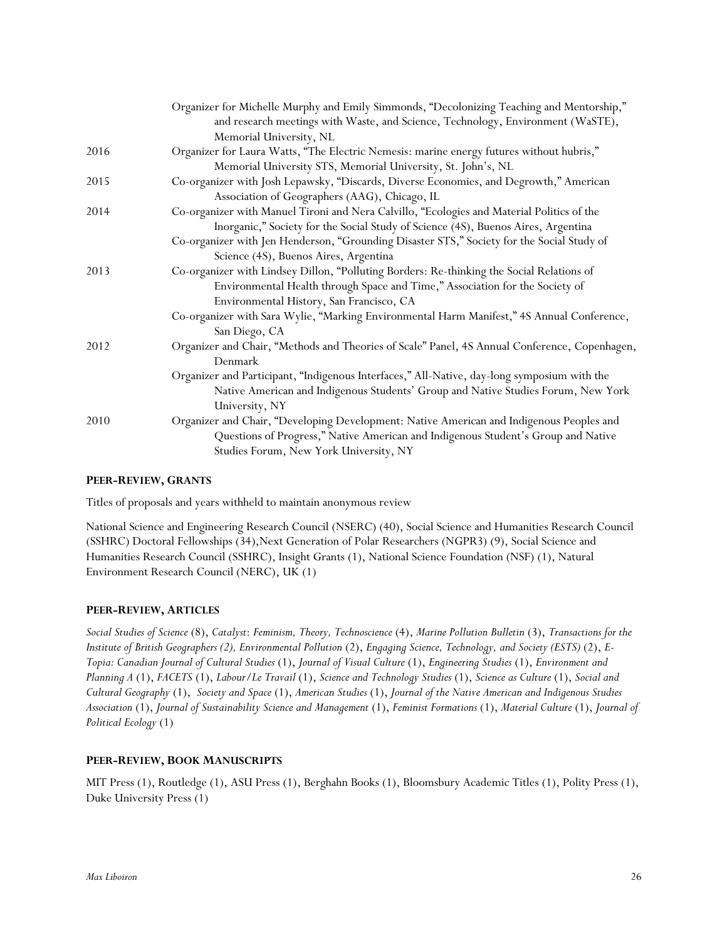|      | Organizer for Michelle Murphy and Emily Simmonds, "Decolonizing Teaching and Mentorship,"     |
|------|-----------------------------------------------------------------------------------------------|
|      | and research meetings with Waste, and Science, Technology, Environment (WaSTE),               |
|      | Memorial University, NL                                                                       |
| 2016 | Organizer for Laura Watts, "The Electric Nemesis: marine energy futures without hubris,"      |
|      | Memorial University STS, Memorial University, St. John's, NL                                  |
| 2015 | Co-organizer with Josh Lepawsky, "Discards, Diverse Economies, and Degrowth," American        |
|      | Association of Geographers (AAG), Chicago, IL                                                 |
| 2014 | Co-organizer with Manuel Tironi and Nera Calvillo, "Ecologies and Material Politics of the    |
|      | Inorganic," Society for the Social Study of Science (4S), Buenos Aires, Argentina             |
|      | Co-organizer with Jen Henderson, "Grounding Disaster STS," Society for the Social Study of    |
|      | Science (4S), Buenos Aires, Argentina                                                         |
| 2013 | Co-organizer with Lindsey Dillon, "Polluting Borders: Re-thinking the Social Relations of     |
|      | Environmental Health through Space and Time," Association for the Society of                  |
|      | Environmental History, San Francisco, CA                                                      |
|      | Co-organizer with Sara Wylie, "Marking Environmental Harm Manifest," 4S Annual Conference,    |
|      | San Diego, CA                                                                                 |
| 2012 | Organizer and Chair, "Methods and Theories of Scale" Panel, 4S Annual Conference, Copenhagen, |
|      | Denmark                                                                                       |
|      | Organizer and Participant, "Indigenous Interfaces," All-Native, day-long symposium with the   |
|      | Native American and Indigenous Students' Group and Native Studies Forum, New York             |
|      | University, NY                                                                                |
| 2010 | Organizer and Chair, "Developing Development: Native American and Indigenous Peoples and      |
|      | Questions of Progress," Native American and Indigenous Student's Group and Native             |
|      | Studies Forum, New York University, NY                                                        |
|      |                                                                                               |

# **PEER-REVIEW, GRANTS**

Titles of proposals and years withheld to maintain anonymous review

National Science and Engineering Research Council (NSERC) (40), Social Science and Humanities Research Council (SSHRC) Doctoral Fellowships (34),Next Generation of Polar Researchers (NGPR3) (9), Social Science and Humanities Research Council (SSHRC), Insight Grants (1), National Science Foundation (NSF) (1), Natural Environment Research Council (NERC), UK (1)

# **PEER-REVIEW, ARTICLES**

*Social Studies of Science* (8), *Catalyst*: *Feminism, Theory, Technoscience* (4), *Marine Pollution Bulletin* (3), *Transactions for the Institute of British Geographers (2), Environmental Pollution* (2), *Engaging Science, Technology, and Society (ESTS)* (2), *E-Topia: Canadian Journal of Cultural Studies* (1), *Journal of Visual Culture* (1), *Engineering Studies* (1), *Environment and Planning A* (1), *FACETS* (1), *Labour/Le Travail* (1), *Science and Technology Studies* (1), *Science as Culture* (1), *Social and Cultural Geography* (1), *Society and Space* (1), *American Studies* (1), *Journal of the Native American and Indigenous Studies Association* (1), *Journal of Sustainability Science and Management* (1), *Feminist Formations* (1), *Material Culture* (1), *Journal of Political Ecology* (1)

#### **PEER-REVIEW, BOOK MANUSCRIPTS**

MIT Press (1), Routledge (1), ASU Press (1), Berghahn Books (1), Bloomsbury Academic Titles (1), Polity Press (1), Duke University Press (1)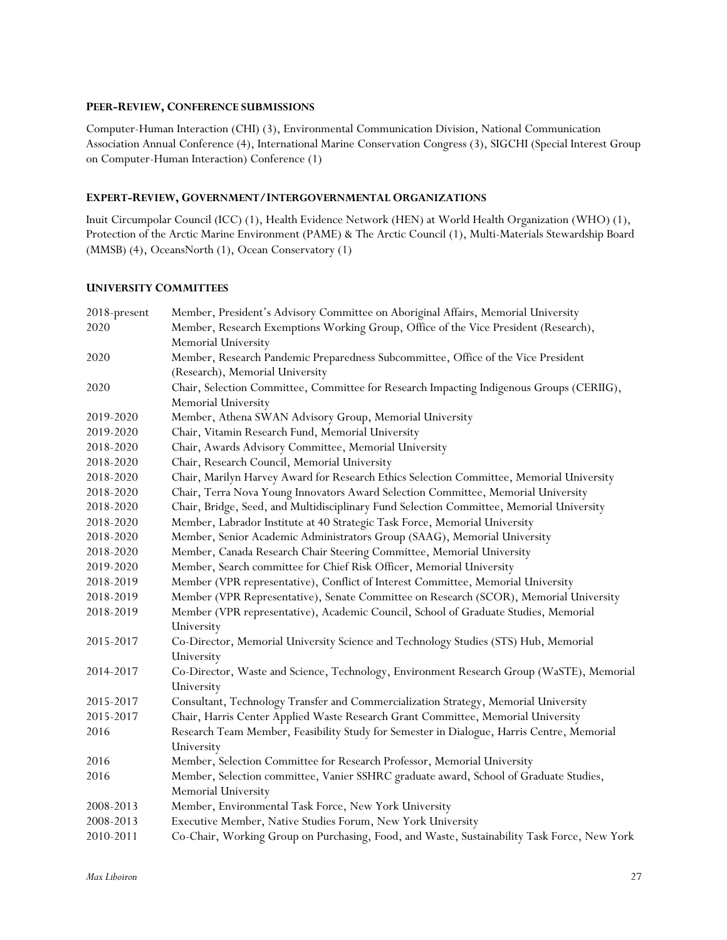### **PEER-REVIEW, CONFERENCE SUBMISSIONS**

Computer-Human Interaction (CHI) (3), Environmental Communication Division, National Communication Association Annual Conference (4), International Marine Conservation Congress (3), SIGCHI (Special Interest Group on Computer-Human Interaction) Conference (1)

# **EXPERT-REVIEW, GOVERNMENT/INTERGOVERNMENTAL ORGANIZATIONS**

Inuit Circumpolar Council (ICC) (1), Health Evidence Network (HEN) at World Health Organization (WHO) (1), Protection of the Arctic Marine Environment (PAME) & The Arctic Council (1), Multi-Materials Stewardship Board (MMSB) (4), OceansNorth (1), Ocean Conservatory (1)

# **UNIVERSITY COMMITTEES**

| 2018-present | Member, President's Advisory Committee on Aboriginal Affairs, Memorial University           |  |  |
|--------------|---------------------------------------------------------------------------------------------|--|--|
| 2020         | Member, Research Exemptions Working Group, Office of the Vice President (Research),         |  |  |
|              | Memorial University                                                                         |  |  |
| 2020         | Member, Research Pandemic Preparedness Subcommittee, Office of the Vice President           |  |  |
|              | (Research), Memorial University                                                             |  |  |
| 2020         | Chair, Selection Committee, Committee for Research Impacting Indigenous Groups (CERIIG),    |  |  |
|              | Memorial University                                                                         |  |  |
| 2019-2020    | Member, Athena SWAN Advisory Group, Memorial University                                     |  |  |
| 2019-2020    | Chair, Vitamin Research Fund, Memorial University                                           |  |  |
| 2018-2020    | Chair, Awards Advisory Committee, Memorial University                                       |  |  |
| 2018-2020    | Chair, Research Council, Memorial University                                                |  |  |
| 2018-2020    | Chair, Marilyn Harvey Award for Research Ethics Selection Committee, Memorial University    |  |  |
| 2018-2020    | Chair, Terra Nova Young Innovators Award Selection Committee, Memorial University           |  |  |
| 2018-2020    | Chair, Bridge, Seed, and Multidisciplinary Fund Selection Committee, Memorial University    |  |  |
| 2018-2020    | Member, Labrador Institute at 40 Strategic Task Force, Memorial University                  |  |  |
| 2018-2020    | Member, Senior Academic Administrators Group (SAAG), Memorial University                    |  |  |
| 2018-2020    | Member, Canada Research Chair Steering Committee, Memorial University                       |  |  |
| 2019-2020    | Member, Search committee for Chief Risk Officer, Memorial University                        |  |  |
| 2018-2019    | Member (VPR representative), Conflict of Interest Committee, Memorial University            |  |  |
| 2018-2019    | Member (VPR Representative), Senate Committee on Research (SCOR), Memorial University       |  |  |
| 2018-2019    | Member (VPR representative), Academic Council, School of Graduate Studies, Memorial         |  |  |
|              | University                                                                                  |  |  |
| 2015-2017    | Co-Director, Memorial University Science and Technology Studies (STS) Hub, Memorial         |  |  |
|              | University                                                                                  |  |  |
| 2014-2017    | Co-Director, Waste and Science, Technology, Environment Research Group (WaSTE), Memorial    |  |  |
|              | University                                                                                  |  |  |
| 2015-2017    | Consultant, Technology Transfer and Commercialization Strategy, Memorial University         |  |  |
| 2015-2017    | Chair, Harris Center Applied Waste Research Grant Committee, Memorial University            |  |  |
| 2016         | Research Team Member, Feasibility Study for Semester in Dialogue, Harris Centre, Memorial   |  |  |
|              | University                                                                                  |  |  |
| 2016         | Member, Selection Committee for Research Professor, Memorial University                     |  |  |
| 2016         | Member, Selection committee, Vanier SSHRC graduate award, School of Graduate Studies,       |  |  |
|              | Memorial University                                                                         |  |  |
| 2008-2013    | Member, Environmental Task Force, New York University                                       |  |  |
| 2008-2013    | Executive Member, Native Studies Forum, New York University                                 |  |  |
| 2010-2011    | Co-Chair, Working Group on Purchasing, Food, and Waste, Sustainability Task Force, New York |  |  |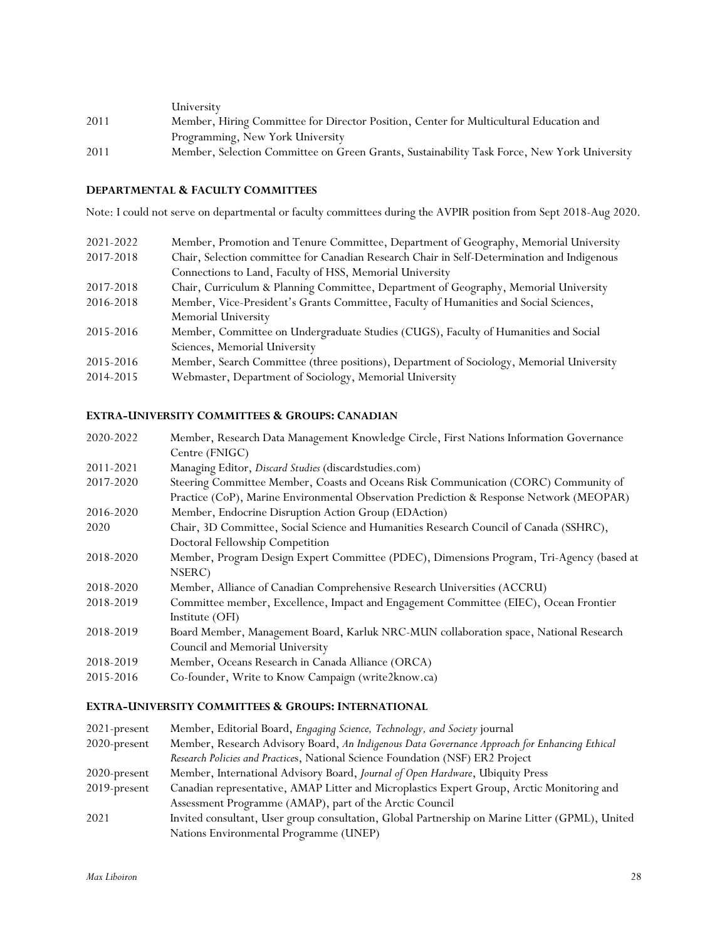|      | University                                                                                  |
|------|---------------------------------------------------------------------------------------------|
| 2011 | Member, Hiring Committee for Director Position, Center for Multicultural Education and      |
|      | Programming, New York University                                                            |
| 2011 | Member, Selection Committee on Green Grants, Sustainability Task Force, New York University |

# **DEPARTMENTAL & FACULTY COMMITTEES**

Note: I could not serve on departmental or faculty committees during the AVPIR position from Sept 2018-Aug 2020.

| 2021-2022 | Member, Promotion and Tenure Committee, Department of Geography, Memorial University        |  |  |
|-----------|---------------------------------------------------------------------------------------------|--|--|
| 2017-2018 | Chair, Selection committee for Canadian Research Chair in Self-Determination and Indigenous |  |  |
|           | Connections to Land, Faculty of HSS, Memorial University                                    |  |  |
| 2017-2018 | Chair, Curriculum & Planning Committee, Department of Geography, Memorial University        |  |  |
| 2016-2018 | Member, Vice-President's Grants Committee, Faculty of Humanities and Social Sciences,       |  |  |
|           | Memorial University                                                                         |  |  |
| 2015-2016 | Member, Committee on Undergraduate Studies (CUGS), Faculty of Humanities and Social         |  |  |
|           | Sciences, Memorial University                                                               |  |  |
| 2015-2016 | Member, Search Committee (three positions), Department of Sociology, Memorial University    |  |  |
| 2014-2015 | Webmaster, Department of Sociology, Memorial University                                     |  |  |
|           |                                                                                             |  |  |

# **EXTRA-UNIVERSITY COMMITTEES & GROUPS: CANADIAN**

| 2020-2022                                                                                      | Member, Research Data Management Knowledge Circle, First Nations Information Governance  |  |  |  |
|------------------------------------------------------------------------------------------------|------------------------------------------------------------------------------------------|--|--|--|
|                                                                                                | Centre (FNIGC)                                                                           |  |  |  |
| 2011-2021                                                                                      | Managing Editor, Discard Studies (discardstudies.com)                                    |  |  |  |
| 2017-2020                                                                                      | Steering Committee Member, Coasts and Oceans Risk Communication (CORC) Community of      |  |  |  |
|                                                                                                | Practice (CoP), Marine Environmental Observation Prediction & Response Network (MEOPAR)  |  |  |  |
| 2016-2020                                                                                      | Member, Endocrine Disruption Action Group (EDAction)                                     |  |  |  |
| Chair, 3D Committee, Social Science and Humanities Research Council of Canada (SSHRC),<br>2020 |                                                                                          |  |  |  |
|                                                                                                | Doctoral Fellowship Competition                                                          |  |  |  |
| 2018-2020                                                                                      | Member, Program Design Expert Committee (PDEC), Dimensions Program, Tri-Agency (based at |  |  |  |
|                                                                                                | NSERC)                                                                                   |  |  |  |
| 2018-2020                                                                                      | Member, Alliance of Canadian Comprehensive Research Universities (ACCRU)                 |  |  |  |
| 2018-2019                                                                                      | Committee member, Excellence, Impact and Engagement Committee (EIEC), Ocean Frontier     |  |  |  |
|                                                                                                | Institute (OFI)                                                                          |  |  |  |
| 2018-2019                                                                                      | Board Member, Management Board, Karluk NRC-MUN collaboration space, National Research    |  |  |  |
|                                                                                                | Council and Memorial University                                                          |  |  |  |
| 2018-2019                                                                                      | Member, Oceans Research in Canada Alliance (ORCA)                                        |  |  |  |
| 2015-2016                                                                                      | Co-founder, Write to Know Campaign (write2know.ca)                                       |  |  |  |
|                                                                                                |                                                                                          |  |  |  |

# **EXTRA-UNIVERSITY COMMITTEES & GROUPS: INTERNATIONAL**

| $2021$ -present | Member, Editorial Board, Engaging Science, Technology, and Society journal                      |  |  |  |
|-----------------|-------------------------------------------------------------------------------------------------|--|--|--|
| 2020-present    | Member, Research Advisory Board, An Indigenous Data Governance Approach for Enhancing Ethical   |  |  |  |
|                 | Research Policies and Practices, National Science Foundation (NSF) ER2 Project                  |  |  |  |
| $2020$ -present | Member, International Advisory Board, Journal of Open Hardware, Ubiquity Press                  |  |  |  |
| $2019$ -present | Canadian representative, AMAP Litter and Microplastics Expert Group, Arctic Monitoring and      |  |  |  |
|                 | Assessment Programme (AMAP), part of the Arctic Council                                         |  |  |  |
| 2021            | Invited consultant, User group consultation, Global Partnership on Marine Litter (GPML), United |  |  |  |
|                 | Nations Environmental Programme (UNEP)                                                          |  |  |  |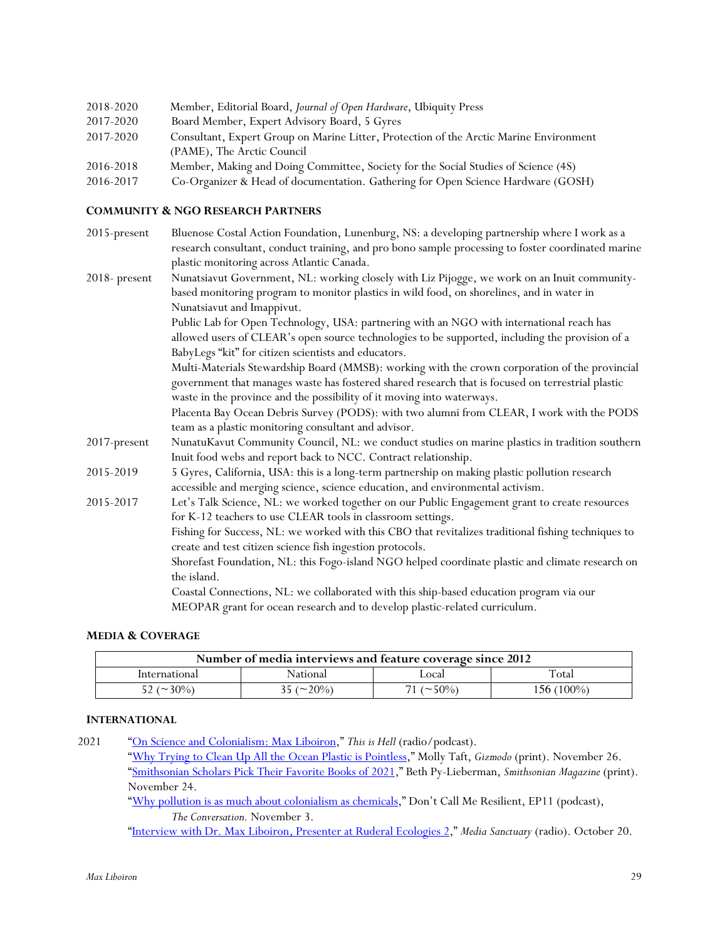| 2018-2020 | Member, Editorial Board, Journal of Open Hardware, Ubiquity Press                      |
|-----------|----------------------------------------------------------------------------------------|
| 2017-2020 | Board Member, Expert Advisory Board, 5 Gyres                                           |
| 2017-2020 | Consultant, Expert Group on Marine Litter, Protection of the Arctic Marine Environment |
|           | (PAME), The Arctic Council                                                             |
| 2016-2018 | Member, Making and Doing Committee, Society for the Social Studies of Science (4S)     |
| 2016-2017 | Co-Organizer & Head of documentation. Gathering for Open Science Hardware (GOSH)       |

# **COMMUNITY & NGO RESEARCH PARTNERS**

| 2015-present  | Bluenose Costal Action Foundation, Lunenburg, NS: a developing partnership where I work as a<br>research consultant, conduct training, and pro bono sample processing to foster coordinated marine |
|---------------|----------------------------------------------------------------------------------------------------------------------------------------------------------------------------------------------------|
|               | plastic monitoring across Atlantic Canada.                                                                                                                                                         |
| 2018- present | Nunatsiavut Government, NL: working closely with Liz Pijogge, we work on an Inuit community-                                                                                                       |
|               | based monitoring program to monitor plastics in wild food, on shorelines, and in water in                                                                                                          |
|               | Nunatsiavut and Imappivut.                                                                                                                                                                         |
|               | Public Lab for Open Technology, USA: partnering with an NGO with international reach has                                                                                                           |
|               | allowed users of CLEAR's open source technologies to be supported, including the provision of a                                                                                                    |
|               | BabyLegs "kit" for citizen scientists and educators.                                                                                                                                               |
|               | Multi-Materials Stewardship Board (MMSB): working with the crown corporation of the provincial                                                                                                     |
|               | government that manages waste has fostered shared research that is focused on terrestrial plastic                                                                                                  |
|               | waste in the province and the possibility of it moving into waterways.                                                                                                                             |
|               | Placenta Bay Ocean Debris Survey (PODS): with two alumni from CLEAR, I work with the PODS                                                                                                          |
|               | team as a plastic monitoring consultant and advisor.                                                                                                                                               |
| 2017-present  | NunatuKavut Community Council, NL: we conduct studies on marine plastics in tradition southern                                                                                                     |
|               | Inuit food webs and report back to NCC. Contract relationship.                                                                                                                                     |
| 2015-2019     | 5 Gyres, California, USA: this is a long-term partnership on making plastic pollution research<br>accessible and merging science, science education, and environmental activism.                   |
| 2015-2017     | Let's Talk Science, NL: we worked together on our Public Engagement grant to create resources                                                                                                      |
|               | for K-12 teachers to use CLEAR tools in classroom settings.                                                                                                                                        |
|               | Fishing for Success, NL: we worked with this CBO that revitalizes traditional fishing techniques to                                                                                                |
|               | create and test citizen science fish ingestion protocols.                                                                                                                                          |
|               | Shorefast Foundation, NL: this Fogo-island NGO helped coordinate plastic and climate research on<br>the island.                                                                                    |
|               | Coastal Connections, NL: we collaborated with this ship-based education program via our                                                                                                            |
|               | MEOPAR grant for ocean research and to develop plastic-related curriculum.                                                                                                                         |

# **MEDIA & COVERAGE**

| Number of media interviews and feature coverage since 2012 |                                  |                 |            |
|------------------------------------------------------------|----------------------------------|-----------------|------------|
| International                                              | National                         | ∟ocal           | Total      |
| 52 ( $\sim$ 30%)                                           | $25 \left( \approx 20\% \right)$ | $($ $\sim$ 50%) | 156 (100%) |

### **INTERNATIONAL**

2021 "On Science and Colonialism: Max Liboiron," *This is Hell* (radio/podcast).

"Why Trying to Clean Up All the Ocean Plastic is Pointless," Molly Taft, *Gizmodo* (print). November 26. "Smithsonian Scholars Pick Their Favorite Books of 2021," Beth Py-Lieberman, *Smithsonian Magazine* (print). November 24.

"Why pollution is as much about colonialism as chemicals," Don't Call Me Resilient, EP11 (podcast), *The Conversation.* November 3.

"Interview with Dr. Max Liboiron, Presenter at Ruderal Ecologies 2," *Media Sanctuary* (radio). October 20.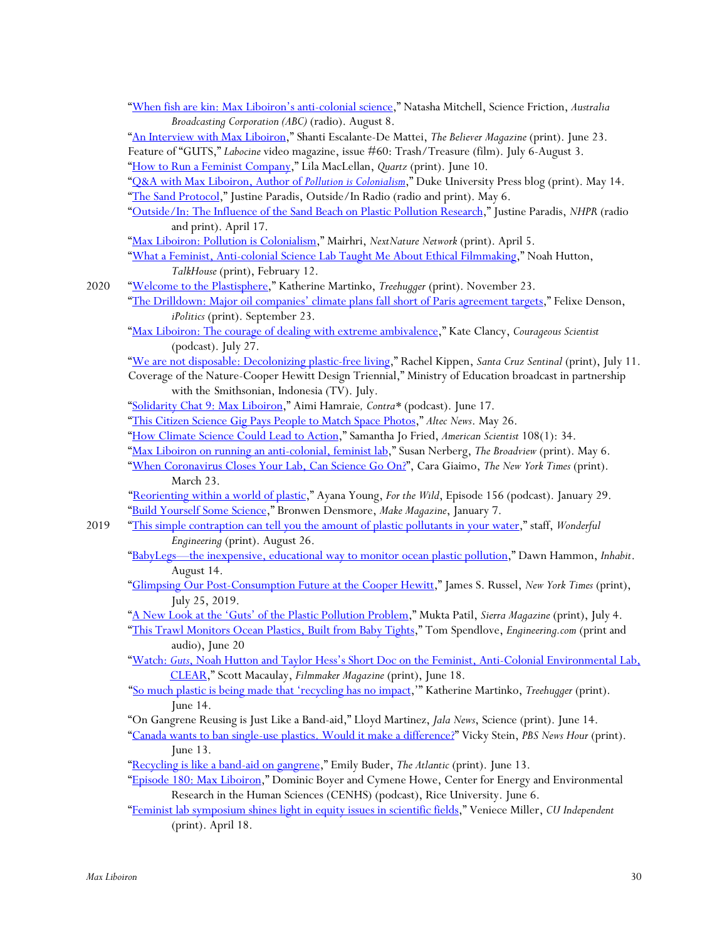|      | "When fish are kin: Max Liboiron's anti-colonial science," Natasha Mitchell, Science Friction, Australia        |
|------|-----------------------------------------------------------------------------------------------------------------|
|      | Broadcasting Corporation (ABC) (radio). August 8.                                                               |
|      | "An Interview with Max Liboiron," Shanti Escalante-De Mattei, The Believer Magazine (print). June 23.           |
|      | Feature of "GUTS," Labocine video magazine, issue #60: Trash/Treasure (film). July 6-August 3.                  |
|      | "How to Run a Feminist Company," Lila MacLellan, Quartz (print). June 10.                                       |
|      | "Q&A with Max Liboiron, Author of Pollution is Colonialism," Duke University Press blog (print). May 14.        |
|      | "The Sand Protocol," Justine Paradis, Outside/In Radio (radio and print). May 6.                                |
|      | "Outside/In: The Influence of the Sand Beach on Plastic Pollution Research," Justine Paradis, NHPR (radio       |
|      | and print). April 17.                                                                                           |
|      | "Max Liboiron: Pollution is Colonialism," Mairhri, NextNature Network (print). April 5.                         |
|      | "What a Feminist, Anti-colonial Science Lab Taught Me About Ethical Filmmaking," Noah Hutton,                   |
|      | TalkHouse (print), February 12.                                                                                 |
| 2020 | "Welcome to the Plastisphere," Katherine Martinko, Treehugger (print). November 23.                             |
|      | "The Drilldown: Major oil companies' climate plans fall short of Paris agreement targets," Felixe Denson,       |
|      | iPolitics (print). September 23.                                                                                |
|      | "Max Liboiron: The courage of dealing with extreme ambivalence," Kate Clancy, Courageous Scientist              |
|      | (podcast). July 27.                                                                                             |
|      | "We are not disposable: Decolonizing plastic-free living," Rachel Kippen, Santa Cruz Sentinal (print), July 11. |
|      | Coverage of the Nature-Cooper Hewitt Design Triennial," Ministry of Education broadcast in partnership          |
|      | with the Smithsonian, Indonesia (TV). July.                                                                     |
|      | "Solidarity Chat 9: Max Liboiron," Aimi Hamraie, Contra* (podcast). June 17.                                    |
|      | "This Citizen Science Gig Pays People to Match Space Photos," Altec News. May 26.                               |
|      | "How Climate Science Could Lead to Action," Samantha Jo Fried, American Scientist 108(1): 34.                   |
|      | "Max Liboiron on running an anti-colonial, feminist lab," Susan Nerberg, The Broadview (print). May 6.          |
|      | "When Coronavirus Closes Your Lab, Can Science Go On?", Cara Giaimo, The New York Times (print).                |
|      | March 23.                                                                                                       |
|      | "Reorienting within a world of plastic," Ayana Young, For the Wild, Episode 156 (podcast). January 29.          |
|      | "Build Yourself Some Science," Bronwen Densmore, Make Magazine, January 7.                                      |
| 2019 | "This simple contraption can tell you the amount of plastic pollutants in your water," staff, Wonderful         |
|      | Engineering (print). August 26.                                                                                 |
|      | "BabyLegs-the inexpensive, educational way to monitor ocean plastic pollution," Dawn Hammon, Inhabit.           |
|      | August 14.                                                                                                      |
|      | "Glimpsing Our Post-Consumption Future at the Cooper Hewitt," James S. Russel, New York Times (print),          |
|      | July 25, 2019.                                                                                                  |
|      | "A New Look at the 'Guts' of the Plastic Pollution Problem," Mukta Patil, Sierra Magazine (print), July 4.      |
|      | "This Trawl Monitors Ocean Plastics, Built from Baby Tights," Tom Spendlove, Engineering.com (print and         |
|      | audio), June 20                                                                                                 |
|      | "Watch: Guts, Noah Hutton and Taylor Hess's Short Doc on the Feminist, Anti-Colonial Environmental Lab,         |
|      | CLEAR," Scott Macaulay, Filmmaker Magazine (print), June 18.                                                    |
|      | "So much plastic is being made that 'recycling has no impact," Katherine Martinko, Treehugger (print).          |
|      | June $14$ .                                                                                                     |
|      | "On Gangrene Reusing is Just Like a Band-aid," Lloyd Martinez, Jala News, Science (print). June 14.             |
|      | "Canada wants to ban single-use plastics. Would it make a difference?" Vicky Stein, PBS News Hour (print).      |
|      | June 13.                                                                                                        |
|      | "Recycling is like a band-aid on gangrene," Emily Buder, The Atlantic (print). June 13.                         |
|      | "Episode 180: Max Liboiron," Dominic Boyer and Cymene Howe, Center for Energy and Environmental                 |
|      | Research in the Human Sciences (CENHS) (podcast), Rice University. June 6.                                      |
|      | "Feminist lab symposium shines light in equity issues in scientific fields," Veniece Miller, CU Independent     |
|      | (print). April 18.                                                                                              |
|      |                                                                                                                 |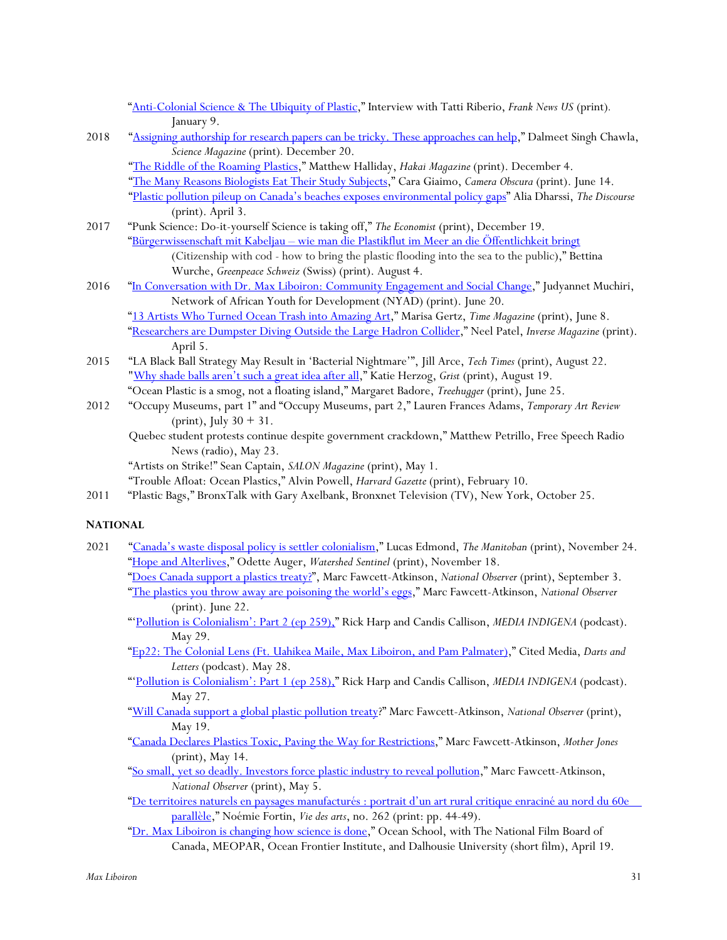"Anti-Colonial Science & The Ubiquity of Plastic," Interview with Tatti Riberio, *Frank News US* (print)*.* January 9.

2018 "Assigning authorship for research papers can be tricky. These approaches can help," Dalmeet Singh Chawla, *Science Magazine* (print)*.* December 20.

"The Riddle of the Roaming Plastics," Matthew Halliday, *Hakai Magazine* (print). December 4. "The Many Reasons Biologists Eat Their Study Subjects," Cara Giaimo, *Camera Obscura* (print). June 14. "Plastic pollution pileup on Canada's beaches exposes environmental policy gaps" Alia Dharssi, *The Discourse* (print). April 3.

- 2017 "Punk Science: Do-it-yourself Science is taking off," *The Economist* (print), December 19. "Bürgerwissenschaft mit Kabeljau – wie man die Plastikflut im Meer an die Öffentlichkeit bringt (Citizenship with cod - how to bring the plastic flooding into the sea to the public)," Bettina Wurche, *Greenpeace Schweiz* (Swiss) (print). August 4.
- 2016 "In Conversation with Dr. Max Liboiron: Community Engagement and Social Change," Judyannet Muchiri, Network of African Youth for Development (NYAD) (print). June 20. "13 Artists Who Turned Ocean Trash into Amazing Art," Marisa Gertz, *Time Magazine* (print), June 8. "Researchers are Dumpster Diving Outside the Large Hadron Collider," Neel Patel, *Inverse Magazine* (print). April 5.
- 2015 "LA Black Ball Strategy May Result in 'Bacterial Nightmare'", Jill Arce, *Tech Times* (print), August 22. "Why shade balls aren't such a great idea after all," Katie Herzog, *Grist* (print), August 19. "Ocean Plastic is a smog, not a floating island," Margaret Badore, *Treehugger* (print), June 25.
- 2012 "Occupy Museums, part 1" and "Occupy Museums, part 2," Lauren Frances Adams, *Temporary Art Review* (print), July  $30 + 31$ .
	- Quebec student protests continue despite government crackdown," Matthew Petrillo, Free Speech Radio News (radio), May 23.

"Artists on Strike!" Sean Captain, *SALON Magazine* (print), May 1.

"Trouble Afloat: Ocean Plastics," Alvin Powell, *Harvard Gazette* (print), February 10.

2011 "Plastic Bags," BronxTalk with Gary Axelbank, Bronxnet Television (TV), New York, October 25.

# **NATIONAL**

2021 "Canada's waste disposal policy is settler colonialism," Lucas Edmond, *The Manitoban* (print), November 24. "Hope and Alterlives," Odette Auger, *Watershed Sentinel* (print), November 18. "Does Canada support a plastics treaty?", Marc Fawcett-Atkinson, *National Observer* (print), September 3.

"The plastics you throw away are poisoning the world's eggs," Marc Fawcett-Atkinson, *National Observer* (print). June 22.

- "'Pollution is Colonialism': Part 2 (ep 259)," Rick Harp and Candis Callison, *MEDIA INDIGENA* (podcast). May 29.
- "Ep22: The Colonial Lens (Ft. Uahikea Maile, Max Liboiron, and Pam Palmater)," Cited Media, *Darts and Letters* (podcast). May 28.
- "'Pollution is Colonialism': Part 1 (ep 258)," Rick Harp and Candis Callison, *MEDIA INDIGENA* (podcast). May 27.
- "Will Canada support a global plastic pollution treaty?" Marc Fawcett-Atkinson, *National Observer* (print), May 19.
- "Canada Declares Plastics Toxic, Paving the Way for Restrictions," Marc Fawcett-Atkinson, *Mother Jones* (print), May 14.

"So small, yet so deadly. Investors force plastic industry to reveal pollution," Marc Fawcett-Atkinson, *National Observer* (print), May 5.

- "De territoires naturels en paysages manufacturés : portrait d'un art rural critique enraciné au nord du 60e parallèle," Noémie Fortin, *Vie des arts*, no. 262 (print: pp. 44-49).
- "Dr. Max Liboiron is changing how science is done," Ocean School, with The National Film Board of Canada, MEOPAR, Ocean Frontier Institute, and Dalhousie University (short film), April 19.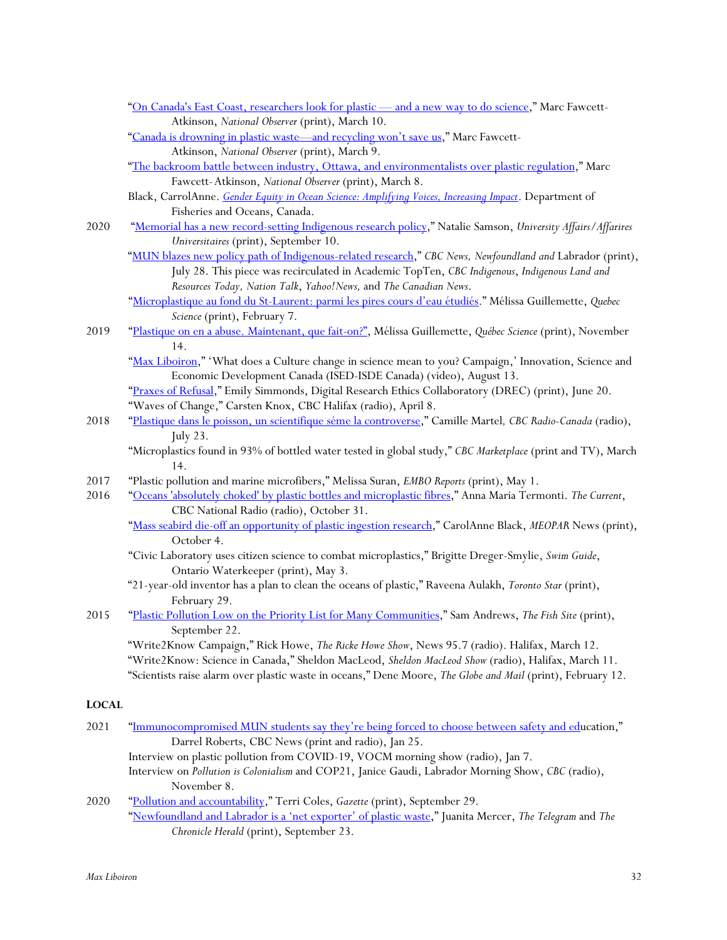- "On Canada's East Coast, researchers look for plastic and a new way to do science," Marc Fawcett-Atkinson, *National Observer* (print), March 10.
- "Canada is drowning in plastic waste—and recycling won't save us," Marc Fawcett-Atkinson, *National Observer* (print), March 9.
- "The backroom battle between industry, Ottawa, and environmentalists over plastic regulation," Marc Fawcett-Atkinson, *National Observer* (print), March 8.
- Black, CarrolAnne. *Gender Equity in Ocean Science: Amplifying Voices, Increasing Impact*. Department of Fisheries and Oceans, Canada.
- 2020 "Memorial has a new record-setting Indigenous research policy," Natalie Samson, *University Affairs/Affarires Universitaires* (print), September 10.
	- "MUN blazes new policy path of Indigenous-related research," *CBC News, Newfoundland and* Labrador (print), July 28. This piece was recirculated in Academic TopTen, *CBC Indigenous*, *Indigenous Land and Resources Today, Nation Talk*, *Yahoo!News,* and *The Canadian News*.
	- "Microplastique au fond du St-Laurent: parmi les pires cours d'eau étudiés." Mélissa Guillemette, *Quebec Science* (print), February 7.
- 2019 "Plastique on en a abuse. Maintenant, que fait-on?", Mélissa Guillemette, *Québec Science* (print), November 14.
	- "Max Liboiron," 'What does a Culture change in science mean to you? Campaign,' Innovation, Science and Economic Development Canada (ISED-ISDE Canada) (video), August 13.
	- "Praxes of Refusal," Emily Simmonds, Digital Research Ethics Collaboratory (DREC) (print), June 20. "Waves of Change," Carsten Knox, CBC Halifax (radio), April 8.
- 2018 "Plastique dans le poisson, un scientifique séme la controverse," Camille Martel*, CBC Radio-Canada* (radio), July 23.
	- "Microplastics found in 93% of bottled water tested in global study," *CBC Marketplace* (print and TV), March 14.
- 2017 "Plastic pollution and marine microfibers," Melissa Suran, *EMBO Reports* (print), May 1.
- 2016 "Oceans 'absolutely choked' by plastic bottles and microplastic fibres," Anna Maria Termonti. *The Current*, CBC National Radio (radio), October 31.
	- "Mass seabird die-off an opportunity of plastic ingestion research," CarolAnne Black, *MEOPAR* News (print), October 4.
	- "Civic Laboratory uses citizen science to combat microplastics," Brigitte Dreger-Smylie, *Swim Guide*, Ontario Waterkeeper (print), May 3.
	- "21-year-old inventor has a plan to clean the oceans of plastic," Raveena Aulakh, *Toronto Star* (print), February 29.
- 2015 "Plastic Pollution Low on the Priority List for Many Communities," Sam Andrews, *The Fish Site* (print), September 22.
	- "Write2Know Campaign," Rick Howe, *The Ricke Howe Show*, News 95.7 (radio). Halifax, March 12. "Write2Know: Science in Canada," Sheldon MacLeod, *Sheldon MacLeod Show* (radio), Halifax, March 11. "Scientists raise alarm over plastic waste in oceans," Dene Moore, *The Globe and Mail* (print), February 12.

### **LOCAL**

- 2021 "Immunocompromised MUN students say they're being forced to choose between safety and education," Darrel Roberts, CBC News (print and radio), Jan 25. Interview on plastic pollution from COVID-19, VOCM morning show (radio), Jan 7. Interview on *Pollution is Colonialism* and COP21, Janice Gaudi, Labrador Morning Show, *CBC* (radio), November 8. 2020 "Pollution and accountability," Terri Coles, *Gazette* (print), September 29.
	- "Newfoundland and Labrador is a 'net exporter' of plastic waste," Juanita Mercer, *The Telegram* and *The Chronicle Herald* (print), September 23.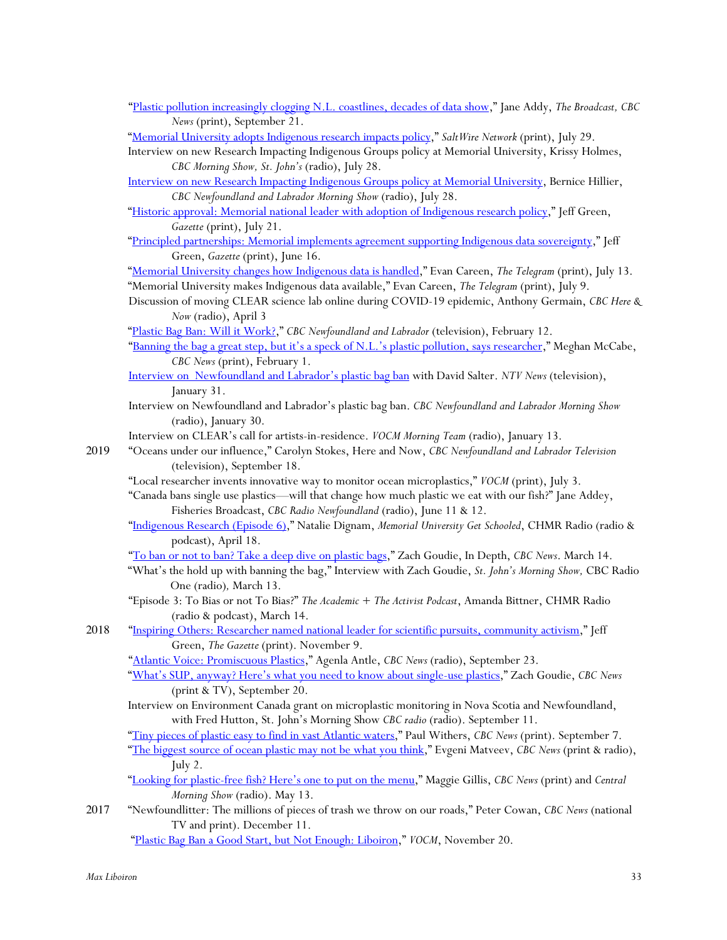"Plastic pollution increasingly clogging N.L. coastlines, decades of data show," Jane Addy, *The Broadcast, CBC News* (print), September 21.

"Memorial University adopts Indigenous research impacts policy," *SaltWire Network* (print), July 29.

Interview on new Research Impacting Indigenous Groups policy at Memorial University, Krissy Holmes, *CBC Morning Show, St. John's* (radio), July 28.

Interview on new Research Impacting Indigenous Groups policy at Memorial University, Bernice Hillier, *CBC Newfoundland and Labrador Morning Show* (radio), July 28.

"Historic approval: Memorial national leader with adoption of Indigenous research policy," [eff Green, *Gazette* (print), July 21.

"Principled partnerships: Memorial implements agreement supporting Indigenous data sovereignty," Jeff Green, *Gazette* (print), June 16.

"Memorial University changes how Indigenous data is handled," Evan Careen, *The Telegram* (print), July 13. "Memorial University makes Indigenous data available," Evan Careen, *The Telegram* (print), July 9.

Discussion of moving CLEAR science lab online during COVID-19 epidemic, Anthony Germain, *CBC Here & Now* (radio), April 3

"Plastic Bag Ban: Will it Work?," *CBC Newfoundland and Labrador* (television), February 12.

- "Banning the bag a great step, but it's a speck of N.L.'s plastic pollution, says researcher," Meghan McCabe, *CBC News* (print), February 1.
- Interview on Newfoundland and Labrador's plastic bag ban with David Salter. *NTV News* (television), January 31.
- Interview on Newfoundland and Labrador's plastic bag ban. *CBC Newfoundland and Labrador Morning Show* (radio), January 30.

Interview on CLEAR's call for artists-in-residence. *VOCM Morning Team* (radio), January 13.

- 2019 "Oceans under our influence," Carolyn Stokes, Here and Now, *CBC Newfoundland and Labrador Television* (television), September 18.
	- "Local researcher invents innovative way to monitor ocean microplastics," *VOCM* (print), July 3.

"Canada bans single use plastics—will that change how much plastic we eat with our fish?" Jane Addey, Fisheries Broadcast, *CBC Radio Newfoundland* (radio), June 11 & 12.

"Indigenous Research (Episode 6)," Natalie Dignam, *Memorial University Get Schooled*, CHMR Radio (radio & podcast), April 18.

"To ban or not to ban? Take a deep dive on plastic bags," Zach Goudie, In Depth, *CBC News*. March 14.

- "What's the hold up with banning the bag," Interview with Zach Goudie, *St. John's Morning Show,* CBC Radio One (radio)*,* March 13.
- "Episode 3: To Bias or not To Bias?" *The Academic + The Activist Podcast*, Amanda Bittner, CHMR Radio (radio & podcast), March 14.
- 2018 "Inspiring Others: Researcher named national leader for scientific pursuits, community activism," Jeff Green, *The Gazette* (print). November 9.

"Atlantic Voice: Promiscuous Plastics," Agenla Antle, *CBC News* (radio), September 23.

- "What's SUP, anyway? Here's what you need to know about single-use plastics," Zach Goudie, *CBC News* (print & TV), September 20.
- Interview on Environment Canada grant on microplastic monitoring in Nova Scotia and Newfoundland, with Fred Hutton, St. John's Morning Show *CBC radio* (radio). September 11.

"Tiny pieces of plastic easy to find in vast Atlantic waters," Paul Withers, *CBC News* (print). September 7. "The biggest source of ocean plastic may not be what you think," Evgeni Matveev, *CBC News* (print & radio), July 2.

- "Looking for plastic-free fish? Here's one to put on the menu," Maggie Gillis, *CBC News* (print) and *Central Morning Show* (radio). May 13.
- 2017 "Newfoundlitter: The millions of pieces of trash we throw on our roads," Peter Cowan, *CBC News* (national TV and print). December 11.

"Plastic Bag Ban a Good Start, but Not Enough: Liboiron," *VOCM*, November 20.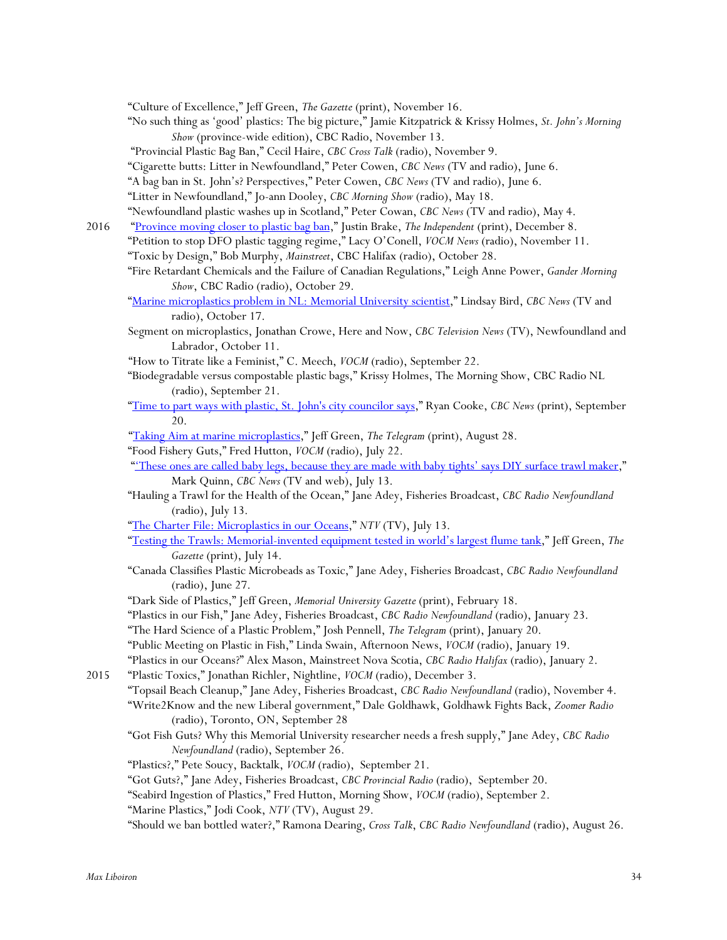"Culture of Excellence," Jeff Green, *The Gazette* (print), November 16.

"No such thing as 'good' plastics: The big picture," Jamie Kitzpatrick & Krissy Holmes, *St. John's Morning Show* (province-wide edition), CBC Radio, November 13.

"Provincial Plastic Bag Ban," Cecil Haire, *CBC Cross Talk* (radio), November 9.

"Cigarette butts: Litter in Newfoundland," Peter Cowen, *CBC News* (TV and radio), June 6.

"A bag ban in St. John's? Perspectives," Peter Cowen, *CBC News* (TV and radio), June 6.

"Litter in Newfoundland," Jo-ann Dooley, *CBC Morning Show* (radio), May 18.

"Newfoundland plastic washes up in Scotland," Peter Cowan, *CBC News* (TV and radio), May 4.

2016 "Province moving closer to plastic bag ban," Justin Brake, *The Independent* (print), December 8. "Petition to stop DFO plastic tagging regime," Lacy O'Conell, *VOCM News* (radio), November 11.

"Toxic by Design," Bob Murphy, *Mainstreet*, CBC Halifax (radio), October 28.

- "Fire Retardant Chemicals and the Failure of Canadian Regulations," Leigh Anne Power, *Gander Morning Show*, CBC Radio (radio), October 29.
- "Marine microplastics problem in NL: Memorial University scientist," Lindsay Bird, *CBC News* (TV and radio), October 17.
- Segment on microplastics, Jonathan Crowe, Here and Now, *CBC Television News* (TV), Newfoundland and Labrador, October 11.

"How to Titrate like a Feminist," C. Meech, *VOCM* (radio), September 22.

- "Biodegradable versus compostable plastic bags," Krissy Holmes, The Morning Show, CBC Radio NL (radio), September 21.
- "Time to part ways with plastic, St. John's city councilor says," Ryan Cooke, *CBC News* (print), September 20.

"Taking Aim at marine microplastics," Jeff Green, *The Telegram* (print), August 28.

"Food Fishery Guts," Fred Hutton, *VOCM* (radio), July 22.

"These ones are called baby legs, because they are made with baby tights' says DIY surface trawl maker," Mark Quinn, *CBC News* (TV and web), July 13.

"Hauling a Trawl for the Health of the Ocean," Jane Adey, Fisheries Broadcast, *CBC Radio Newfoundland* (radio), July 13.

"The Charter File: Microplastics in our Oceans," *NTV* (TV), July 13.

- "Testing the Trawls: Memorial-invented equipment tested in world's largest flume tank," Jeff Green, *The Gazette* (print), July 14.
- "Canada Classifies Plastic Microbeads as Toxic," Jane Adey, Fisheries Broadcast, *CBC Radio Newfoundland* (radio), June 27.

"Dark Side of Plastics," Jeff Green, *Memorial University Gazette* (print), February 18.

"Plastics in our Fish," Jane Adey, Fisheries Broadcast, *CBC Radio Newfoundland* (radio), January 23.

"The Hard Science of a Plastic Problem," Josh Pennell, *The Telegram* (print), January 20.

"Public Meeting on Plastic in Fish," Linda Swain, Afternoon News, *VOCM* (radio), January 19.

"Plastics in our Oceans?" Alex Mason, Mainstreet Nova Scotia, *CBC Radio Halifax* (radio), January 2.

2015 "Plastic Toxics," Jonathan Richler, Nightline, *VOCM* (radio), December 3.

"Topsail Beach Cleanup," Jane Adey, Fisheries Broadcast, *CBC Radio Newfoundland* (radio), November 4. "Write2Know and the new Liberal government," Dale Goldhawk, Goldhawk Fights Back, *Zoomer Radio* (radio), Toronto, ON, September 28

- "Got Fish Guts? Why this Memorial University researcher needs a fresh supply," Jane Adey, *CBC Radio Newfoundland* (radio), September 26.
- "Plastics?," Pete Soucy, Backtalk, *VOCM* (radio), September 21.

"Got Guts?," Jane Adey, Fisheries Broadcast, *CBC Provincial Radio* (radio), September 20.

"Seabird Ingestion of Plastics," Fred Hutton, Morning Show, *VOCM* (radio), September 2.

"Marine Plastics," Jodi Cook, *NTV* (TV), August 29.

"Should we ban bottled water?," Ramona Dearing, *Cross Talk*, *CBC Radio Newfoundland* (radio), August 26.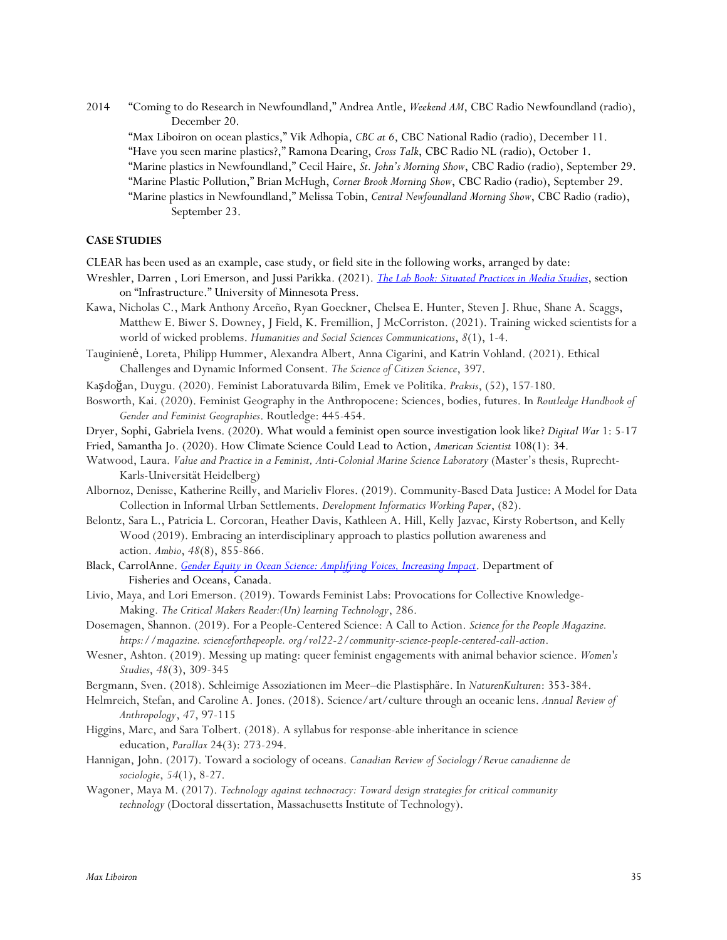2014 "Coming to do Research in Newfoundland," Andrea Antle, *Weekend AM*, CBC Radio Newfoundland (radio), December 20.

"Max Liboiron on ocean plastics," Vik Adhopia, *CBC at 6*, CBC National Radio (radio), December 11. "Have you seen marine plastics?," Ramona Dearing, *Cross Talk*, CBC Radio NL (radio), October 1. "Marine plastics in Newfoundland," Cecil Haire, *St. John's Morning Show*, CBC Radio (radio), September 29. "Marine Plastic Pollution," Brian McHugh, *Corner Brook Morning Show*, CBC Radio (radio), September 29. "Marine plastics in Newfoundland," Melissa Tobin, *Central Newfoundland Morning Show*, CBC Radio (radio),

September 23.

### **CASE STUDIES**

CLEAR has been used as an example, case study, or field site in the following works, arranged by date:

- Wreshler, Darren , Lori Emerson, and Jussi Parikka. (2021). *The Lab Book: Situated Practices in Media Studies*, section on "Infrastructure." University of Minnesota Press.
- Kawa, Nicholas C., Mark Anthony Arceño, Ryan Goeckner, Chelsea E. Hunter, Steven J. Rhue, Shane A. Scaggs, Matthew E. Biwer S. Downey, J Field, K. Fremillion, J McCorriston. (2021). Training wicked scientists for a world of wicked problems. *Humanities and Social Sciences Communications*, *8*(1), 1-4.
- Tauginienė, Loreta, Philipp Hummer, Alexandra Albert, Anna Cigarini, and Katrin Vohland. (2021). Ethical Challenges and Dynamic Informed Consent. *The Science of Citizen Science*, 397.
- Kaşdoğan, Duygu. (2020). Feminist Laboratuvarda Bilim, Emek ve Politika. *Praksis*, (52), 157-180.
- Bosworth, Kai. (2020). Feminist Geography in the Anthropocene: Sciences, bodies, futures. In *Routledge Handbook of Gender and Feminist Geographies*. Routledge: 445-454.
- Dryer, Sophi, Gabriela Ivens. (2020). What would a feminist open source investigation look like? *Digital War* 1: 5-17
- Fried, Samantha Jo. (2020). How Climate Science Could Lead to Action, *American Scientist* 108(1): 34.
- Watwood, Laura. *Value and Practice in a Feminist, Anti-Colonial Marine Science Laboratory* (Master's thesis, Ruprecht-Karls-Universität Heidelberg)
- Albornoz, Denisse, Katherine Reilly, and Marieliv Flores. (2019). Community-Based Data Justice: A Model for Data Collection in Informal Urban Settlements. *Development Informatics Working Paper*, (82).
- Belontz, Sara L., Patricia L. Corcoran, Heather Davis, Kathleen A. Hill, Kelly Jazvac, Kirsty Robertson, and Kelly Wood (2019). Embracing an interdisciplinary approach to plastics pollution awareness and action. *Ambio*, *48*(8), 855-866.
- Black, CarrolAnne. *Gender Equity in Ocean Science: Amplifying Voices, Increasing Impact*. Department of Fisheries and Oceans, Canada.
- Livio, Maya, and Lori Emerson. (2019). Towards Feminist Labs: Provocations for Collective Knowledge-Making. *The Critical Makers Reader:(Un) learning Technology*, 286.
- Dosemagen, Shannon. (2019). For a People-Centered Science: A Call to Action. *Science for the People Magazine. https://magazine. scienceforthepeople. org/vol22-2/community-science-people-centered-call-action*.
- Wesner, Ashton. (2019). Messing up mating: queer feminist engagements with animal behavior science. *Women's Studies*, *48*(3), 309-345
- Bergmann, Sven. (2018). Schleimige Assoziationen im Meer–die Plastisphäre. In *NaturenKulturen*: 353-384.
- Helmreich, Stefan, and Caroline A. Jones. (2018). Science/art/culture through an oceanic lens. *Annual Review of Anthropology*, *47*, 97-115
- Higgins, Marc, and Sara Tolbert. (2018). A syllabus for response-able inheritance in science education, *Parallax* 24(3): 273-294.
- Hannigan, John. (2017). Toward a sociology of oceans. *Canadian Review of Sociology/Revue canadienne de sociologie*, *54*(1), 8-27.
- Wagoner, Maya M. (2017). *Technology against technocracy: Toward design strategies for critical community technology* (Doctoral dissertation, Massachusetts Institute of Technology).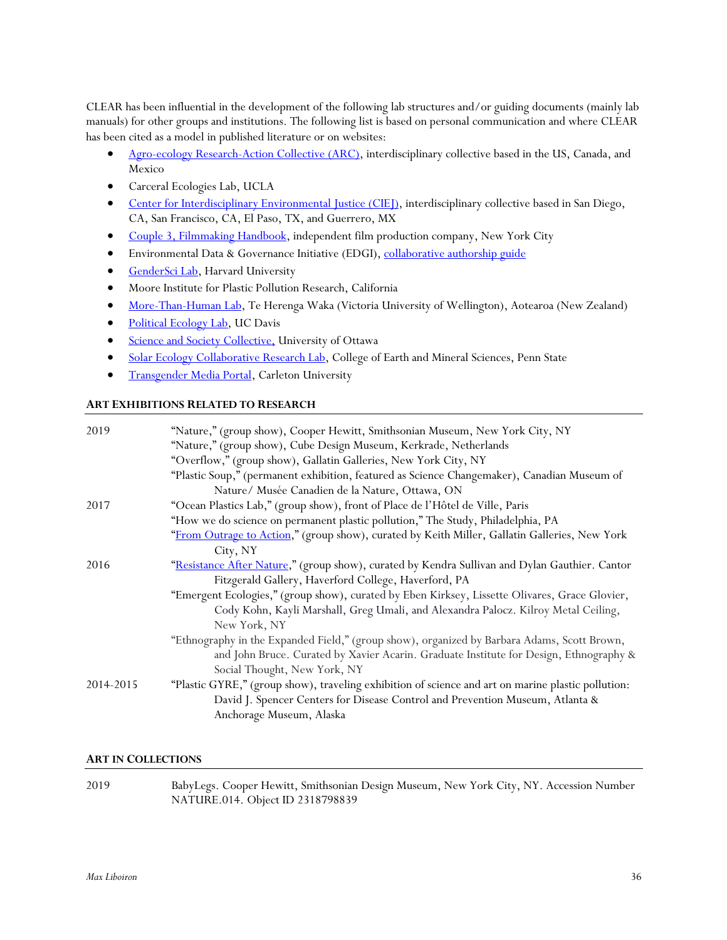CLEAR has been influential in the development of the following lab structures and/or guiding documents (mainly lab manuals) for other groups and institutions. The following list is based on personal communication and where CLEAR has been cited as a model in published literature or on websites:

- Agro-ecology Research-Action Collective (ARC), interdisciplinary collective based in the US, Canada, and Mexico
- Carceral Ecologies Lab, UCLA
- Center for Interdisciplinary Environmental Justice (CIEJ), interdisciplinary collective based in San Diego, CA, San Francisco, CA, El Paso, TX, and Guerrero, MX
- Couple 3, Filmmaking Handbook, independent film production company, New York City
- Environmental Data & Governance Initiative (EDGI), collaborative authorship guide
- GenderSci Lab, Harvard University
- Moore Institute for Plastic Pollution Research, California
- More-Than-Human Lab, Te Herenga Waka (Victoria University of Wellington), Aotearoa (New Zealand)
- Political Ecology Lab, UC Davis
- **Science and Society Collective, University of Ottawa**
- Solar Ecology Collaborative Research Lab, College of Earth and Mineral Sciences, Penn State
- **Transgender Media Portal, Carleton University**

# **ART EXHIBITIONS RELATED TO RESEARCH**

| 2019      | "Nature," (group show), Cooper Hewitt, Smithsonian Museum, New York City, NY<br>"Nature," (group show), Cube Design Museum, Kerkrade, Netherlands                                                               |
|-----------|-----------------------------------------------------------------------------------------------------------------------------------------------------------------------------------------------------------------|
|           | "Overflow," (group show), Gallatin Galleries, New York City, NY                                                                                                                                                 |
|           | "Plastic Soup," (permanent exhibition, featured as Science Changemaker), Canadian Museum of                                                                                                                     |
|           | Nature/ Musée Canadien de la Nature, Ottawa, ON                                                                                                                                                                 |
| 2017      | "Ocean Plastics Lab," (group show), front of Place de l'Hôtel de Ville, Paris                                                                                                                                   |
|           | "How we do science on permanent plastic pollution," The Study, Philadelphia, PA                                                                                                                                 |
|           | "From Outrage to Action," (group show), curated by Keith Miller, Gallatin Galleries, New York                                                                                                                   |
|           | City, NY                                                                                                                                                                                                        |
| 2016      | "Resistance After Nature," (group show), curated by Kendra Sullivan and Dylan Gauthier. Cantor                                                                                                                  |
|           | Fitzgerald Gallery, Haverford College, Haverford, PA                                                                                                                                                            |
|           | "Emergent Ecologies," (group show), curated by Eben Kirksey, Lissette Olivares, Grace Glovier,                                                                                                                  |
|           | Cody Kohn, Kayli Marshall, Greg Umali, and Alexandra Palocz. Kilroy Metal Ceiling,<br>New York, NY                                                                                                              |
|           | "Ethnography in the Expanded Field," (group show), organized by Barbara Adams, Scott Brown,                                                                                                                     |
|           | and John Bruce. Curated by Xavier Acarin. Graduate Institute for Design, Ethnography &<br>Social Thought, New York, NY                                                                                          |
| 2014-2015 | "Plastic GYRE," (group show), traveling exhibition of science and art on marine plastic pollution:<br>David J. Spencer Centers for Disease Control and Prevention Museum, Atlanta &<br>Anchorage Museum, Alaska |

# **ART IN COLLECTIONS**

2019 BabyLegs. Cooper Hewitt, Smithsonian Design Museum, New York City, NY. Accession Number NATURE.014. Object ID 2318798839